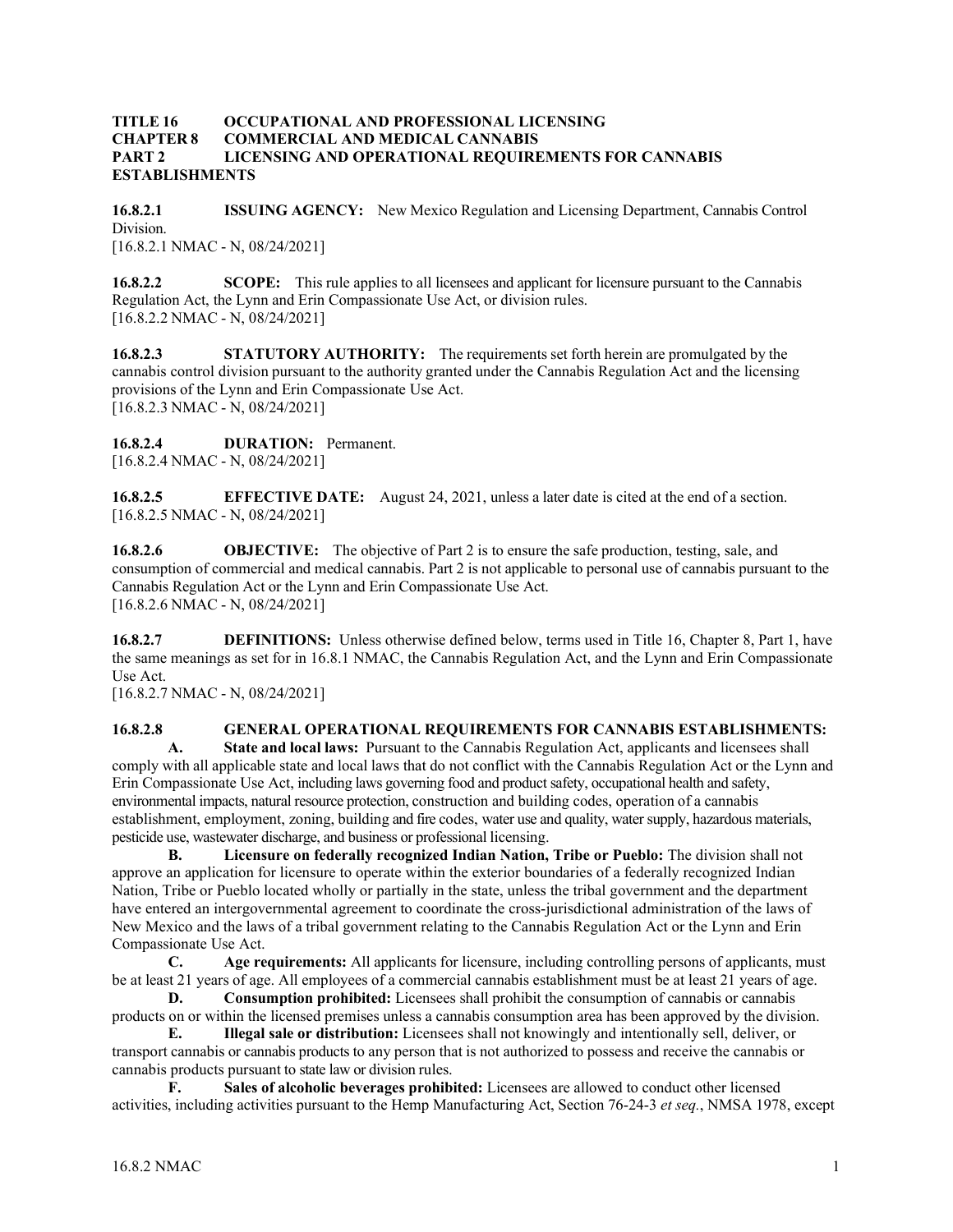#### **TITLE 16 OCCUPATIONAL AND PROFESSIONAL LICENSING CHAPTER 8 COMMERCIAL AND MEDICAL CANNABIS PART 2 LICENSING AND OPERATIONAL REQUIREMENTS FOR CANNABIS ESTABLISHMENTS**

**16.8.2.1 ISSUING AGENCY:** New Mexico Regulation and Licensing Department, Cannabis Control Division. [16.8.2.1 NMAC - N, 08/24/2021]

**16.8.2.2 SCOPE:** This rule applies to all licensees and applicant for licensure pursuant to the Cannabis Regulation Act, the Lynn and Erin Compassionate Use Act, or division rules. [16.8.2.2 NMAC - N, 08/24/2021]

**16.8.2.3 STATUTORY AUTHORITY:** The requirements set forth herein are promulgated by the cannabis control division pursuant to the authority granted under the Cannabis Regulation Act and the licensing provisions of the Lynn and Erin Compassionate Use Act. [16.8.2.3 NMAC - N, 08/24/2021]

**16.8.2.4 DURATION:** Permanent. [16.8.2.4 NMAC - N, 08/24/2021]

**16.8.2.5 EFFECTIVE DATE:** August 24, 2021, unless a later date is cited at the end of a section. [16.8.2.5 NMAC - N, 08/24/2021]

**16.8.2.6 OBJECTIVE:** The objective of Part 2 is to ensure the safe production, testing, sale, and consumption of commercial and medical cannabis. Part 2 is not applicable to personal use of cannabis pursuant to the Cannabis Regulation Act or the Lynn and Erin Compassionate Use Act. [16.8.2.6 NMAC - N, 08/24/2021]

**16.8.2.7 DEFINITIONS:** Unless otherwise defined below, terms used in Title 16, Chapter 8, Part 1, have the same meanings as set for in 16.8.1 NMAC, the Cannabis Regulation Act, and the Lynn and Erin Compassionate Use Act.

[16.8.2.7 NMAC - N, 08/24/2021]

## **16.8.2.8 GENERAL OPERATIONAL REQUIREMENTS FOR CANNABIS ESTABLISHMENTS:**

**A. State and local laws:** Pursuant to the Cannabis Regulation Act, applicants and licensees shall comply with all applicable state and local laws that do not conflict with the Cannabis Regulation Act or the Lynn and Erin Compassionate Use Act, including laws governing food and product safety, occupational health and safety, environmental impacts, natural resource protection, construction and building codes, operation of a cannabis establishment, employment, zoning, building and fire codes, water use and quality, water supply, hazardous materials, pesticide use, wastewater discharge, and business or professional licensing.

**B. Licensure on federally recognized Indian Nation, Tribe or Pueblo:** The division shall not approve an application for licensure to operate within the exterior boundaries of a federally recognized Indian Nation, Tribe or Pueblo located wholly or partially in the state, unless the tribal government and the department have entered an intergovernmental agreement to coordinate the cross-jurisdictional administration of the laws of New Mexico and the laws of a tribal government relating to the Cannabis Regulation Act or the Lynn and Erin Compassionate Use Act.

**C. Age requirements:** All applicants for licensure, including controlling persons of applicants, must be at least 21 years of age. All employees of a commercial cannabis establishment must be at least 21 years of age.

**D. Consumption prohibited:** Licensees shall prohibit the consumption of cannabis or cannabis products on or within the licensed premises unless a cannabis consumption area has been approved by the division. **E. Illegal sale or distribution:** Licensees shall not knowingly and intentionally sell, deliver, or

transport cannabis or cannabis products to any person that is not authorized to possess and receive the cannabis or cannabis products pursuant to state law or division rules.<br> **F.** Sales of alcoholic heverages probible

**F. Sales of alcoholic beverages prohibited:** Licensees are allowed to conduct other licensed activities, including activities pursuant to the Hemp Manufacturing Act, Section 76-24-3 *et seq.*, NMSA 1978, except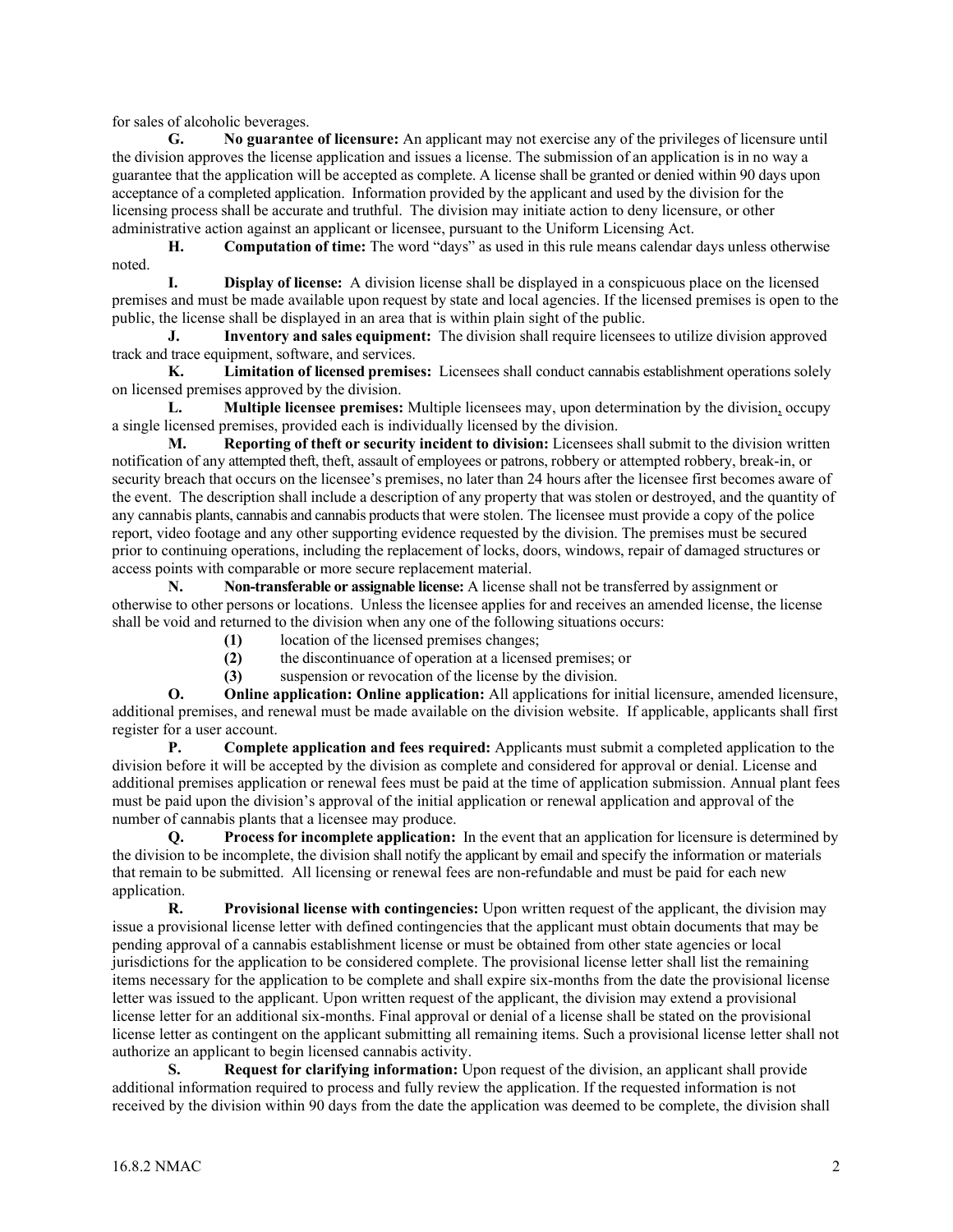for sales of alcoholic beverages.

**G. No guarantee of licensure:** An applicant may not exercise any of the privileges of licensure until the division approves the license application and issues a license. The submission of an application is in no way a guarantee that the application will be accepted as complete. A license shall be granted or denied within 90 days upon acceptance of a completed application. Information provided by the applicant and used by the division for the licensing process shall be accurate and truthful. The division may initiate action to deny licensure, or other administrative action against an applicant or licensee, pursuant to the Uniform Licensing Act.

**H. Computation of time:** The word "days" as used in this rule means calendar days unless otherwise noted.

**I. Display of license:** A division license shall be displayed in a conspicuous place on the licensed premises and must be made available upon request by state and local agencies. If the licensed premises is open to the public, the license shall be displayed in an area that is within plain sight of the public.

**J. Inventory and sales equipment:** The division shall require licensees to utilize division approved track and trace equipment, software, and services.

**K. Limitation of licensed premises:** Licensees shall conduct cannabis establishment operations solely on licensed premises approved by the division.

**L. Multiple licensee premises:** Multiple licensees may, upon determination by the division, occupy a single licensed premises, provided each is individually licensed by the division.

**M. Reporting of theft or security incident to division:** Licensees shall submit to the division written notification of any attempted theft, theft, assault of employees or patrons, robbery or attempted robbery, break-in, or security breach that occurs on the licensee's premises, no later than 24 hours after the licensee first becomes aware of the event. The description shall include a description of any property that was stolen or destroyed, and the quantity of any cannabis plants, cannabis and cannabis products that were stolen. The licensee must provide a copy of the police report, video footage and any other supporting evidence requested by the division. The premises must be secured prior to continuing operations, including the replacement of locks, doors, windows, repair of damaged structures or access points with comparable or more secure replacement material.

**N. Non-transferable or assignable license:** A license shall not be transferred by assignment or otherwise to other persons or locations. Unless the licensee applies for and receives an amended license, the license shall be void and returned to the division when any one of the following situations occurs:

- **(1)** location of the licensed premises changes;
- **(2)** the discontinuance of operation at a licensed premises; or

 **(3)** suspension or revocation of the license by the division.

**O. Online application: Online application:** All applications for initial licensure, amended licensure, additional premises, and renewal must be made available on the division website. If applicable, applicants shall first register for a user account.

**P. Complete application and fees required:** Applicants must submit a completed application to the division before it will be accepted by the division as complete and considered for approval or denial. License and additional premises application or renewal fees must be paid at the time of application submission. Annual plant fees must be paid upon the division's approval of the initial application or renewal application and approval of the number of cannabis plants that a licensee may produce.

**Q. Process for incomplete application:** In the event that an application for licensure is determined by the division to be incomplete, the division shall notify the applicant by email and specify the information or materials that remain to be submitted. All licensing or renewal fees are non-refundable and must be paid for each new application.

**R. Provisional license with contingencies:** Upon written request of the applicant, the division may issue a provisional license letter with defined contingencies that the applicant must obtain documents that may be pending approval of a cannabis establishment license or must be obtained from other state agencies or local jurisdictions for the application to be considered complete. The provisional license letter shall list the remaining items necessary for the application to be complete and shall expire six-months from the date the provisional license letter was issued to the applicant. Upon written request of the applicant, the division may extend a provisional license letter for an additional six-months. Final approval or denial of a license shall be stated on the provisional license letter as contingent on the applicant submitting all remaining items. Such a provisional license letter shall not authorize an applicant to begin licensed cannabis activity.

**S. Request for clarifying information:** Upon request of the division, an applicant shall provide additional information required to process and fully review the application. If the requested information is not received by the division within 90 days from the date the application was deemed to be complete, the division shall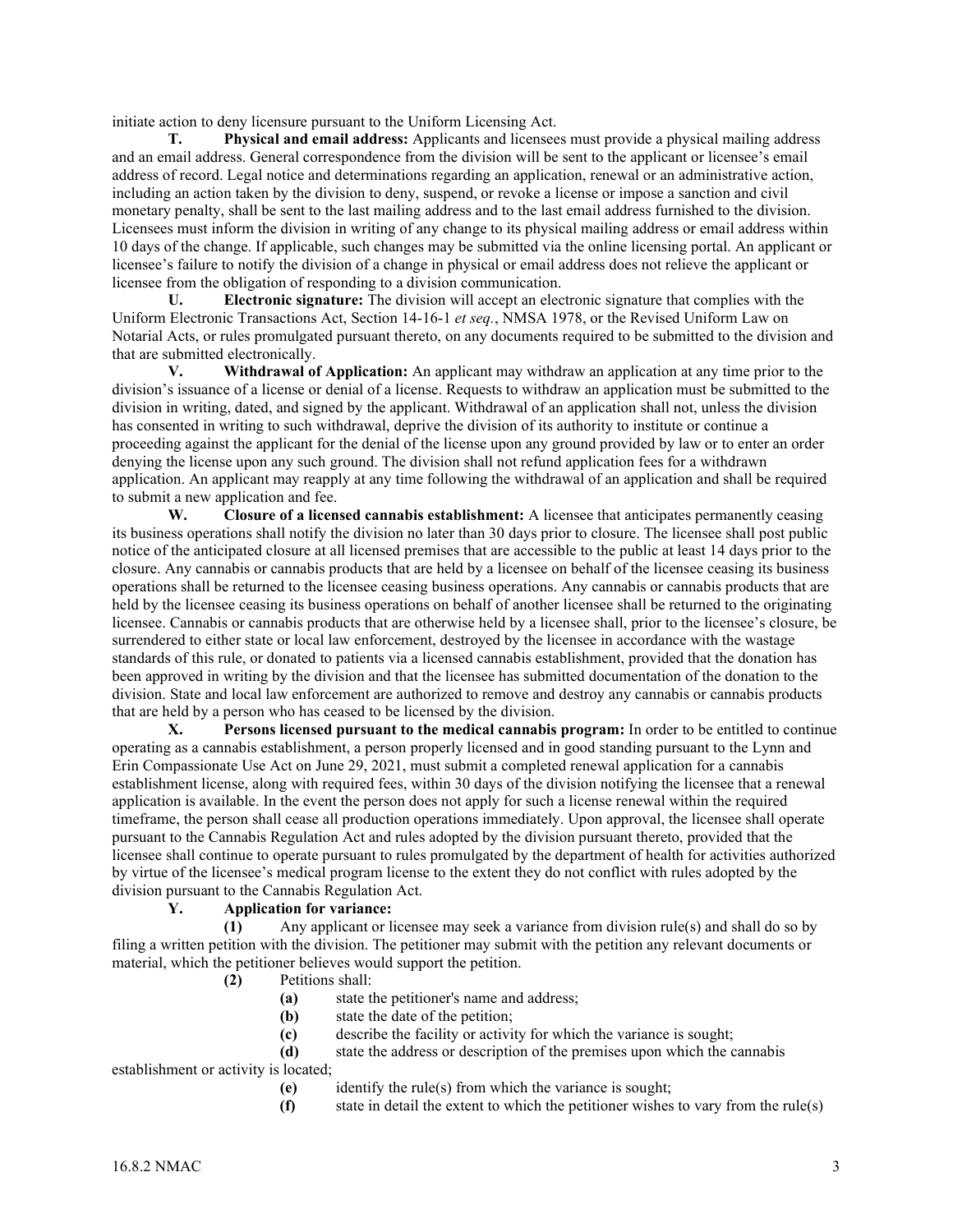initiate action to deny licensure pursuant to the Uniform Licensing Act.

**T. Physical and email address:** Applicants and licensees must provide a physical mailing address and an email address. General correspondence from the division will be sent to the applicant or licensee's email address of record. Legal notice and determinations regarding an application, renewal or an administrative action, including an action taken by the division to deny, suspend, or revoke a license or impose a sanction and civil monetary penalty, shall be sent to the last mailing address and to the last email address furnished to the division. Licensees must inform the division in writing of any change to its physical mailing address or email address within 10 days of the change. If applicable, such changes may be submitted via the online licensing portal. An applicant or licensee's failure to notify the division of a change in physical or email address does not relieve the applicant or licensee from the obligation of responding to a division communication.

**U. Electronic signature:** The division will accept an electronic signature that complies with the Uniform Electronic Transactions Act, Section 14-16-1 *et seq.*, NMSA 1978, or the Revised Uniform Law on Notarial Acts, or rules promulgated pursuant thereto, on any documents required to be submitted to the division and that are submitted electronically.

**V. Withdrawal of Application:** An applicant may withdraw an application at any time prior to the division's issuance of a license or denial of a license. Requests to withdraw an application must be submitted to the division in writing, dated, and signed by the applicant. Withdrawal of an application shall not, unless the division has consented in writing to such withdrawal, deprive the division of its authority to institute or continue a proceeding against the applicant for the denial of the license upon any ground provided by law or to enter an order denying the license upon any such ground. The division shall not refund application fees for a withdrawn application. An applicant may reapply at any time following the withdrawal of an application and shall be required to submit a new application and fee.

**W. Closure of a licensed cannabis establishment:** A licensee that anticipates permanently ceasing its business operations shall notify the division no later than 30 days prior to closure. The licensee shall post public notice of the anticipated closure at all licensed premises that are accessible to the public at least 14 days prior to the closure. Any cannabis or cannabis products that are held by a licensee on behalf of the licensee ceasing its business operations shall be returned to the licensee ceasing business operations. Any cannabis or cannabis products that are held by the licensee ceasing its business operations on behalf of another licensee shall be returned to the originating licensee. Cannabis or cannabis products that are otherwise held by a licensee shall, prior to the licensee's closure, be surrendered to either state or local law enforcement, destroyed by the licensee in accordance with the wastage standards of this rule, or donated to patients via a licensed cannabis establishment, provided that the donation has been approved in writing by the division and that the licensee has submitted documentation of the donation to the division. State and local law enforcement are authorized to remove and destroy any cannabis or cannabis products that are held by a person who has ceased to be licensed by the division.

**X. Persons licensed pursuant to the medical cannabis program:** In order to be entitled to continue operating as a cannabis establishment, a person properly licensed and in good standing pursuant to the Lynn and Erin Compassionate Use Act on June 29, 2021, must submit a completed renewal application for a cannabis establishment license, along with required fees, within 30 days of the division notifying the licensee that a renewal application is available. In the event the person does not apply for such a license renewal within the required timeframe, the person shall cease all production operations immediately. Upon approval, the licensee shall operate pursuant to the Cannabis Regulation Act and rules adopted by the division pursuant thereto, provided that the licensee shall continue to operate pursuant to rules promulgated by the department of health for activities authorized by virtue of the licensee's medical program license to the extent they do not conflict with rules adopted by the division pursuant to the Cannabis Regulation Act.

#### **Y. Application for variance:**

**(1)** Any applicant or licensee may seek a variance from division rule(s) and shall do so by filing a written petition with the division. The petitioner may submit with the petition any relevant documents or material, which the petitioner believes would support the petition.

- **(2)** Petitions shall:
	- **(a)** state the petitioner's name and address;<br>**(b)** state the date of the petition:
	- state the date of the petition;
	- **(c)** describe the facility or activity for which the variance is sought;
	- **(d)** state the address or description of the premises upon which the cannabis

establishment or activity is located;

- **(e)** identify the rule(s) from which the variance is sought;
- **(f)** state in detail the extent to which the petitioner wishes to vary from the rule(s)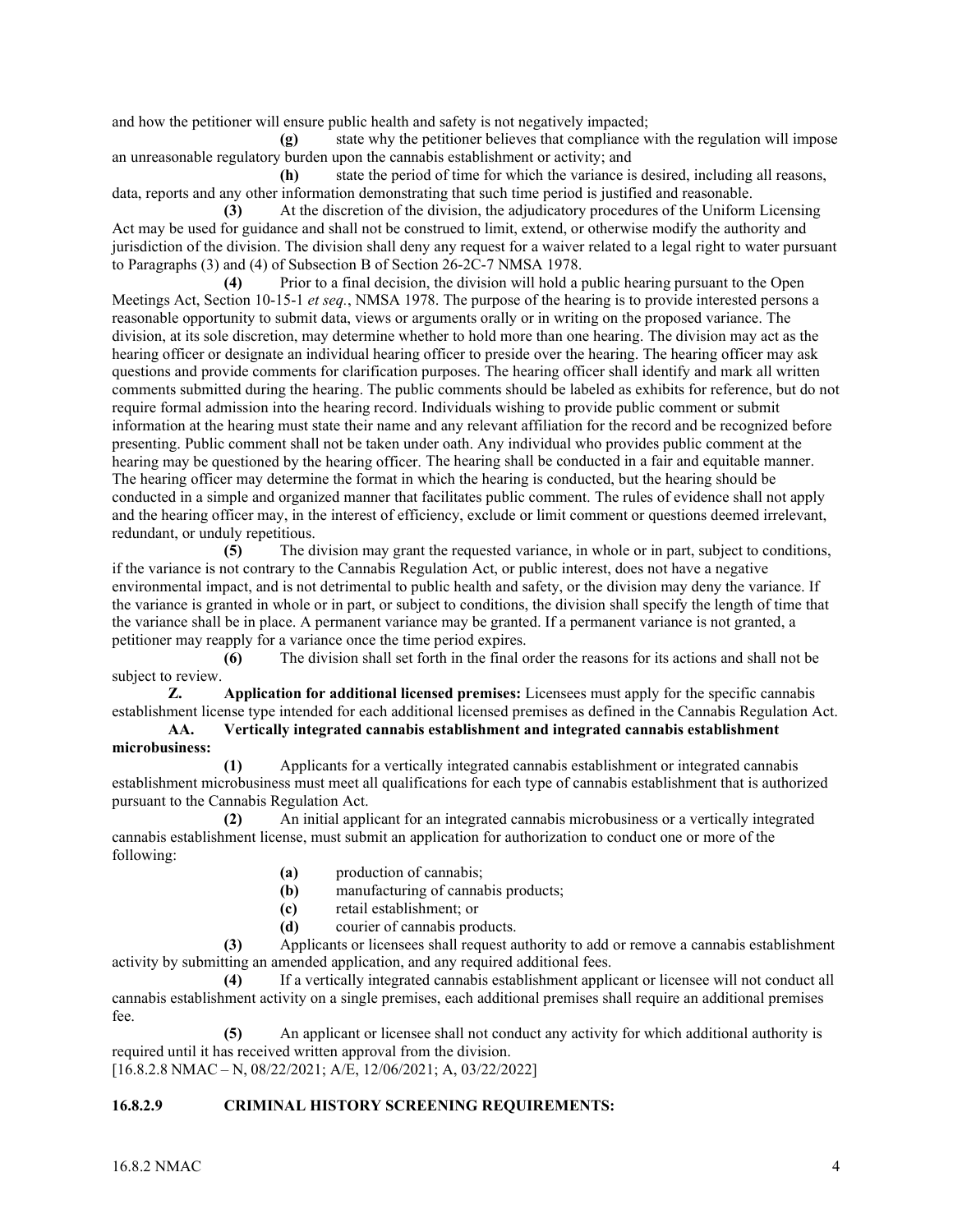and how the petitioner will ensure public health and safety is not negatively impacted;

**(g)** state why the petitioner believes that compliance with the regulation will impose an unreasonable regulatory burden upon the cannabis establishment or activity; and

**(h)** state the period of time for which the variance is desired, including all reasons, data, reports and any other information demonstrating that such time period is justified and reasonable.

**(3)** At the discretion of the division, the adjudicatory procedures of the Uniform Licensing Act may be used for guidance and shall not be construed to limit, extend, or otherwise modify the authority and jurisdiction of the division. The division shall deny any request for a waiver related to a legal right to water pursuant to Paragraphs (3) and (4) of Subsection B of Section 26-2C-7 NMSA 1978.

**(4)** Prior to a final decision, the division will hold a public hearing pursuant to the Open Meetings Act, Section 10-15-1 *et seq.*, NMSA 1978. The purpose of the hearing is to provide interested persons a reasonable opportunity to submit data, views or arguments orally or in writing on the proposed variance. The division, at its sole discretion, may determine whether to hold more than one hearing. The division may act as the hearing officer or designate an individual hearing officer to preside over the hearing. The hearing officer may ask questions and provide comments for clarification purposes. The hearing officer shall identify and mark all written comments submitted during the hearing. The public comments should be labeled as exhibits for reference, but do not require formal admission into the hearing record. Individuals wishing to provide public comment or submit information at the hearing must state their name and any relevant affiliation for the record and be recognized before presenting. Public comment shall not be taken under oath. Any individual who provides public comment at the hearing may be questioned by the hearing officer. The hearing shall be conducted in a fair and equitable manner. The hearing officer may determine the format in which the hearing is conducted, but the hearing should be conducted in a simple and organized manner that facilitates public comment. The rules of evidence shall not apply and the hearing officer may, in the interest of efficiency, exclude or limit comment or questions deemed irrelevant, redundant, or unduly repetitious.

**(5)** The division may grant the requested variance, in whole or in part, subject to conditions, if the variance is not contrary to the Cannabis Regulation Act, or public interest, does not have a negative environmental impact, and is not detrimental to public health and safety, or the division may deny the variance. If the variance is granted in whole or in part, or subject to conditions, the division shall specify the length of time that the variance shall be in place. A permanent variance may be granted. If a permanent variance is not granted, a petitioner may reapply for a variance once the time period expires.

**(6)** The division shall set forth in the final order the reasons for its actions and shall not be subject to review.

**Z. Application for additional licensed premises:** Licensees must apply for the specific cannabis establishment license type intended for each additional licensed premises as defined in the Cannabis Regulation Act.

**AA. Vertically integrated cannabis establishment and integrated cannabis establishment microbusiness:**

**(1)** Applicants for a vertically integrated cannabis establishment or integrated cannabis establishment microbusiness must meet all qualifications for each type of cannabis establishment that is authorized pursuant to the Cannabis Regulation Act.

**(2)** An initial applicant for an integrated cannabis microbusiness or a vertically integrated cannabis establishment license, must submit an application for authorization to conduct one or more of the following:

- **(a)** production of cannabis;
- **(b)** manufacturing of cannabis products;
- **(c)** retail establishment; or
- **(d)** courier of cannabis products.

**(3)** Applicants or licensees shall request authority to add or remove a cannabis establishment activity by submitting an amended application, and any required additional fees.

**(4)** If a vertically integrated cannabis establishment applicant or licensee will not conduct all cannabis establishment activity on a single premises, each additional premises shall require an additional premises fee.

**(5)** An applicant or licensee shall not conduct any activity for which additional authority is required until it has received written approval from the division. [16.8.2.8 NMAC – N, 08/22/2021; A/E, 12/06/2021; A, 03/22/2022]

## **16.8.2.9 CRIMINAL HISTORY SCREENING REQUIREMENTS:**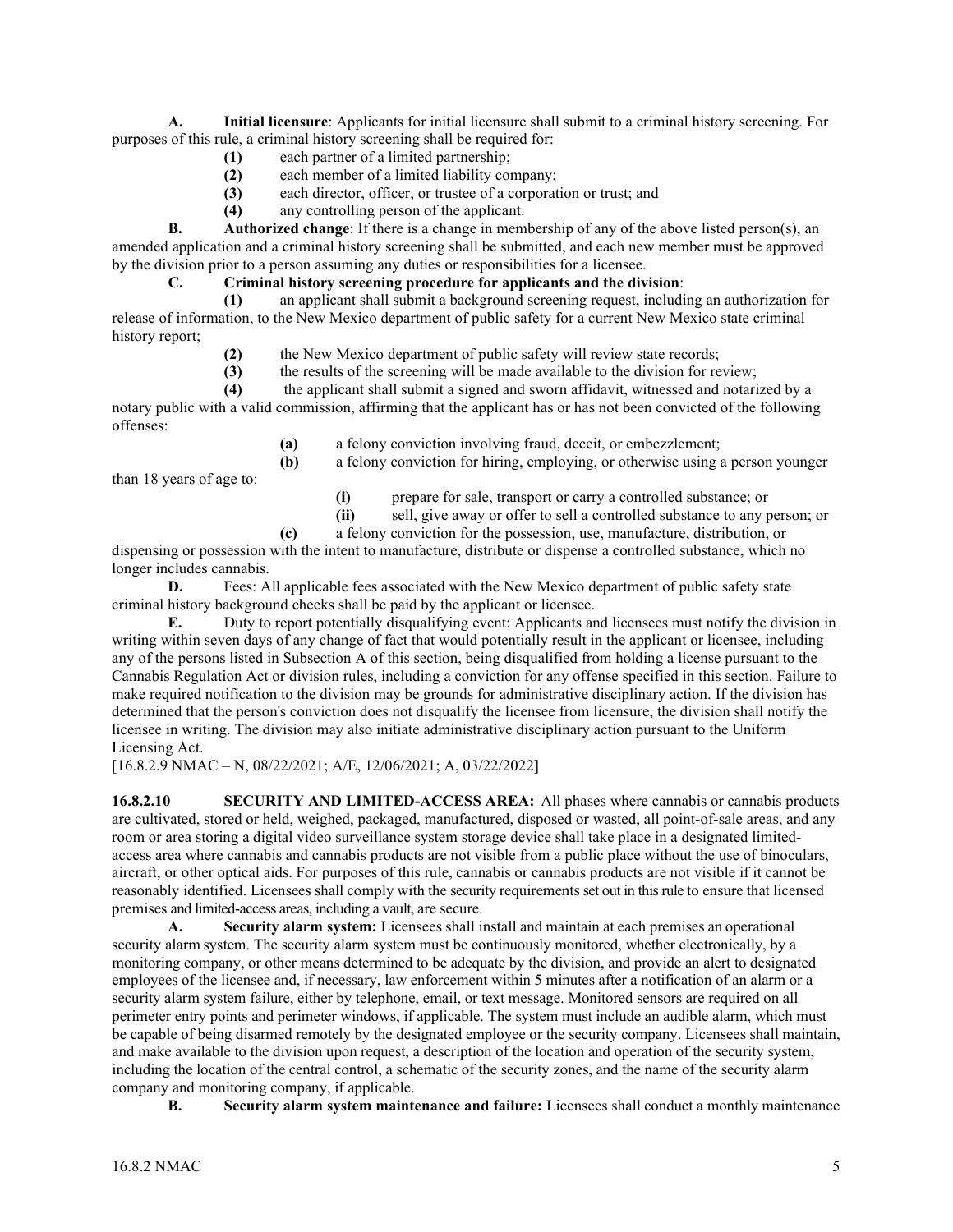**A. Initial licensure**: Applicants for initial licensure shall submit to a criminal history screening. For purposes of this rule, a criminal history screening shall be required for:

- **(1)** each partner of a limited partnership;
- **(2)** each member of a limited liability company;
- **(3)** each director, officer, or trustee of a corporation or trust; and
- **(4)** any controlling person of the applicant.

**B. Authorized change**: If there is a change in membership of any of the above listed person(s), an amended application and a criminal history screening shall be submitted, and each new member must be approved by the division prior to a person assuming any duties or responsibilities for a licensee.

## **C. Criminal history screening procedure for applicants and the division**:

**(1)** an applicant shall submit a background screening request, including an authorization for release of information, to the New Mexico department of public safety for a current New Mexico state criminal history report;

- (2) the New Mexico department of public safety will review state records;<br>(3) the results of the screening will be made available to the division for re
- **(3)** the results of the screening will be made available to the division for review;

**(4)** the applicant shall submit a signed and sworn affidavit, witnessed and notarized by a notary public with a valid commission, affirming that the applicant has or has not been convicted of the following offenses:

**(a)** a felony conviction involving fraud, deceit, or embezzlement;

than 18 years of age to:

**(i)** prepare for sale, transport or carry a controlled substance; or

**(b)** a felony conviction for hiring, employing, or otherwise using a person younger

- **(ii)** sell, give away or offer to sell a controlled substance to any person; or
- **(c)** a felony conviction for the possession, use, manufacture, distribution, or

dispensing or possession with the intent to manufacture, distribute or dispense a controlled substance, which no longer includes cannabis.

**D.** Fees: All applicable fees associated with the New Mexico department of public safety state criminal history background checks shall be paid by the applicant or licensee.

**E.** Duty to report potentially disqualifying event: Applicants and licensees must notify the division in writing within seven days of any change of fact that would potentially result in the applicant or licensee, including any of the persons listed in Subsection A of this section, being disqualified from holding a license pursuant to the Cannabis Regulation Act or division rules, including a conviction for any offense specified in this section. Failure to make required notification to the division may be grounds for administrative disciplinary action. If the division has determined that the person's conviction does not disqualify the licensee from licensure, the division shall notify the licensee in writing. The division may also initiate administrative disciplinary action pursuant to the Uniform Licensing Act.

[16.8.2.9 NMAC – N, 08/22/2021; A/E, 12/06/2021; A, 03/22/2022]

**16.8.2.10 SECURITY AND LIMITED-ACCESS AREA:** All phases where cannabis or cannabis products are cultivated, stored or held, weighed, packaged, manufactured, disposed or wasted, all point-of-sale areas, and any room or area storing a digital video surveillance system storage device shall take place in a designated limitedaccess area where cannabis and cannabis products are not visible from a public place without the use of binoculars, aircraft, or other optical aids. For purposes of this rule, cannabis or cannabis products are not visible if it cannot be reasonably identified. Licensees shall comply with the security requirements set out in this rule to ensure that licensed premises and limited-access areas, including a vault, are secure.

**A. Security alarm system:** Licensees shall install and maintain at each premises an operational security alarm system. The security alarm system must be continuously monitored, whether electronically, by a monitoring company, or other means determined to be adequate by the division, and provide an alert to designated employees of the licensee and, if necessary, law enforcement within 5 minutes after a notification of an alarm or a security alarm system failure, either by telephone, email, or text message. Monitored sensors are required on all perimeter entry points and perimeter windows, if applicable. The system must include an audible alarm, which must be capable of being disarmed remotely by the designated employee or the security company. Licensees shall maintain, and make available to the division upon request, a description of the location and operation of the security system, including the location of the central control, a schematic of the security zones, and the name of the security alarm company and monitoring company, if applicable.

**B. Security alarm system maintenance and failure:** Licensees shall conduct a monthly maintenance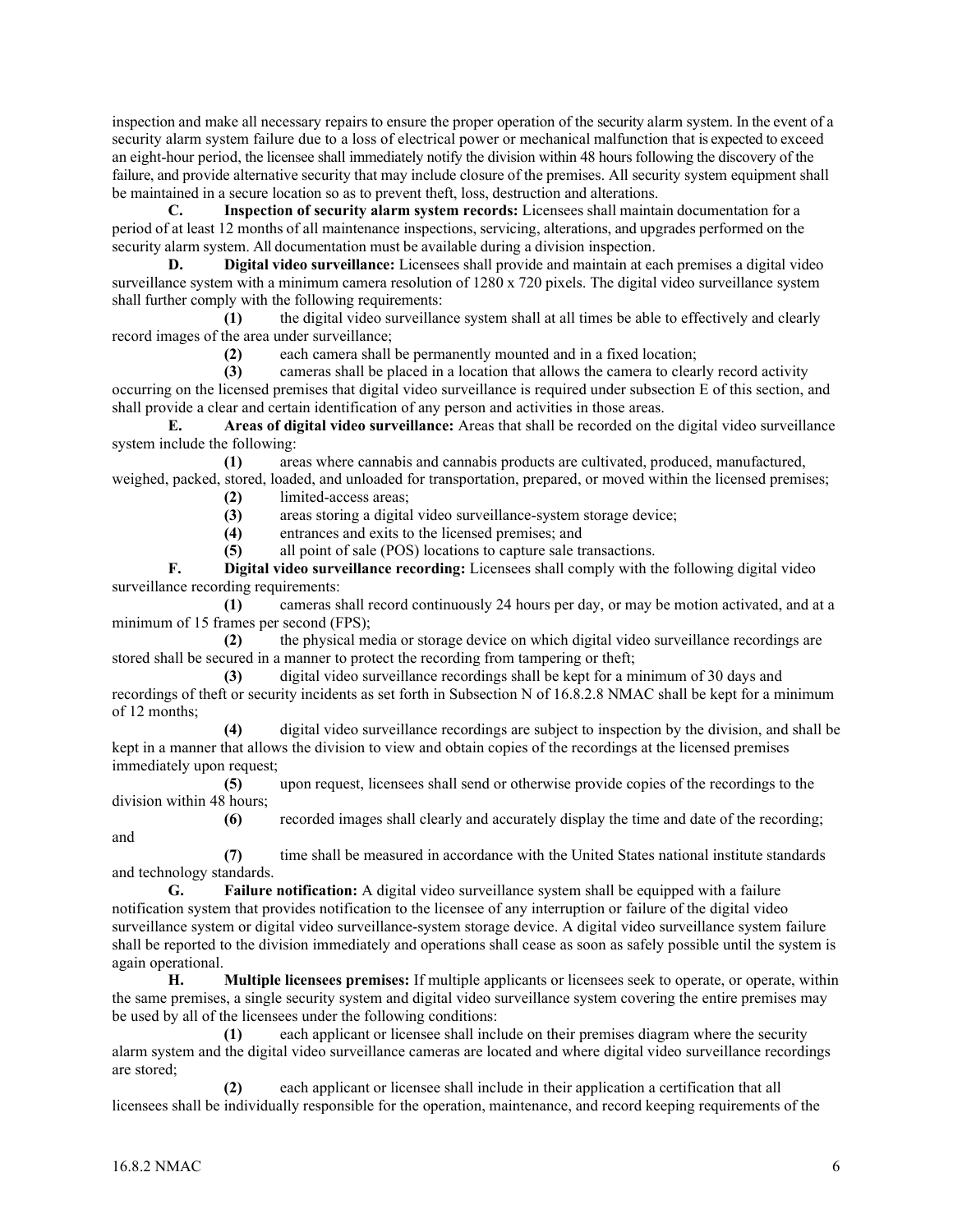inspection and make all necessary repairs to ensure the proper operation of the security alarm system. In the event of a security alarm system failure due to a loss of electrical power or mechanical malfunction that is expected to exceed an eight-hour period, the licensee shall immediately notify the division within 48 hours following the discovery of the failure, and provide alternative security that may include closure of the premises. All security system equipment shall be maintained in a secure location so as to prevent theft, loss, destruction and alterations.

**C. Inspection of security alarm system records:** Licensees shall maintain documentation for a period of at least 12 months of all maintenance inspections, servicing, alterations, and upgrades performed on the security alarm system. All documentation must be available during a division inspection.

**D. Digital video surveillance:** Licensees shall provide and maintain at each premises a digital video surveillance system with a minimum camera resolution of 1280 x 720 pixels. The digital video surveillance system shall further comply with the following requirements:

**(1)** the digital video surveillance system shall at all times be able to effectively and clearly record images of the area under surveillance;

**(2)** each camera shall be permanently mounted and in a fixed location;

**(3)** cameras shall be placed in a location that allows the camera to clearly record activity occurring on the licensed premises that digital video surveillance is required under subsection E of this section, and shall provide a clear and certain identification of any person and activities in those areas.

**E. Areas of digital video surveillance:** Areas that shall be recorded on the digital video surveillance system include the following:

**(1)** areas where cannabis and cannabis products are cultivated, produced, manufactured, weighed, packed, stored, loaded, and unloaded for transportation, prepared, or moved within the licensed premises;

**(2)** limited-access areas;

(3) areas storing a digital video surveillance-system storage device;<br>(4) entrances and exits to the licensed premises; and

**(4)** entrances and exits to the licensed premises; and

**(5)** all point of sale (POS) locations to capture sale transactions.

**F. Digital video surveillance recording:** Licensees shall comply with the following digital video surveillance recording requirements:

**(1)** cameras shall record continuously 24 hours per day, or may be motion activated, and at a minimum of 15 frames per second (FPS);

**(2)** the physical media or storage device on which digital video surveillance recordings are stored shall be secured in a manner to protect the recording from tampering or theft;

**(3)** digital video surveillance recordings shall be kept for a minimum of 30 days and recordings of theft or security incidents as set forth in Subsection N of 16.8.2.8 NMAC shall be kept for a minimum of 12 months;

**(4)** digital video surveillance recordings are subject to inspection by the division, and shall be kept in a manner that allows the division to view and obtain copies of the recordings at the licensed premises immediately upon request;

**(5)** upon request, licensees shall send or otherwise provide copies of the recordings to the division within 48 hours;

**(6)** recorded images shall clearly and accurately display the time and date of the recording; and

**(7)** time shall be measured in accordance with the United States national institute standards and technology standards.

**G. Failure notification:** A digital video surveillance system shall be equipped with a failure notification system that provides notification to the licensee of any interruption or failure of the digital video surveillance system or digital video surveillance-system storage device. A digital video surveillance system failure shall be reported to the division immediately and operations shall cease as soon as safely possible until the system is again operational.

**H. Multiple licensees premises:** If multiple applicants or licensees seek to operate, or operate, within the same premises, a single security system and digital video surveillance system covering the entire premises may be used by all of the licensees under the following conditions:

**(1)** each applicant or licensee shall include on their premises diagram where the security alarm system and the digital video surveillance cameras are located and where digital video surveillance recordings are stored;

**(2)** each applicant or licensee shall include in their application a certification that all licensees shall be individually responsible for the operation, maintenance, and record keeping requirements of the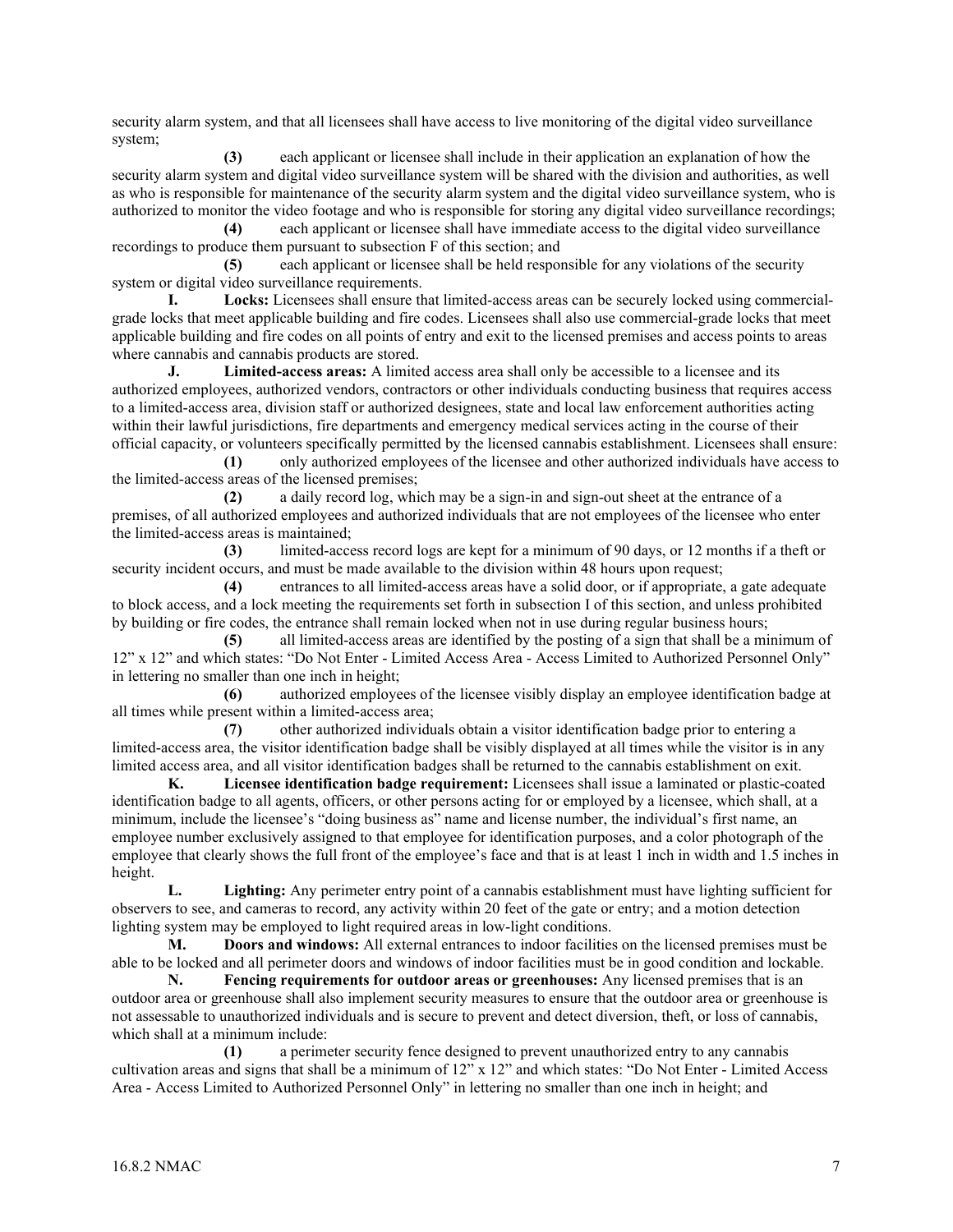security alarm system, and that all licensees shall have access to live monitoring of the digital video surveillance system;

**(3)** each applicant or licensee shall include in their application an explanation of how the security alarm system and digital video surveillance system will be shared with the division and authorities, as well as who is responsible for maintenance of the security alarm system and the digital video surveillance system, who is authorized to monitor the video footage and who is responsible for storing any digital video surveillance recordings;

**(4)** each applicant or licensee shall have immediate access to the digital video surveillance recordings to produce them pursuant to subsection F of this section; and

**(5)** each applicant or licensee shall be held responsible for any violations of the security system or digital video surveillance requirements.

**I. Locks:** Licensees shall ensure that limited-access areas can be securely locked using commercialgrade locks that meet applicable building and fire codes. Licensees shall also use commercial-grade locks that meet applicable building and fire codes on all points of entry and exit to the licensed premises and access points to areas where cannabis and cannabis products are stored.

**J. Limited-access areas:** A limited access area shall only be accessible to a licensee and its authorized employees, authorized vendors, contractors or other individuals conducting business that requires access to a limited-access area, division staff or authorized designees, state and local law enforcement authorities acting within their lawful jurisdictions, fire departments and emergency medical services acting in the course of their official capacity, or volunteers specifically permitted by the licensed cannabis establishment. Licensees shall ensure:

**(1)** only authorized employees of the licensee and other authorized individuals have access to the limited-access areas of the licensed premises;

**(2)** a daily record log, which may be a sign-in and sign-out sheet at the entrance of a premises, of all authorized employees and authorized individuals that are not employees of the licensee who enter the limited-access areas is maintained;

**(3)** limited-access record logs are kept for a minimum of 90 days, or 12 months if a theft or security incident occurs, and must be made available to the division within 48 hours upon request;

**(4)** entrances to all limited-access areas have a solid door, or if appropriate, a gate adequate to block access, and a lock meeting the requirements set forth in subsection I of this section, and unless prohibited by building or fire codes, the entrance shall remain locked when not in use during regular business hours;

**(5)** all limited-access areas are identified by the posting of a sign that shall be a minimum of 12" x 12" and which states: "Do Not Enter - Limited Access Area - Access Limited to Authorized Personnel Only" in lettering no smaller than one inch in height;

**(6)** authorized employees of the licensee visibly display an employee identification badge at all times while present within a limited-access area;

**(7)** other authorized individuals obtain a visitor identification badge prior to entering a limited-access area, the visitor identification badge shall be visibly displayed at all times while the visitor is in any limited access area, and all visitor identification badges shall be returned to the cannabis establishment on exit.

**K. Licensee identification badge requirement:** Licensees shall issue a laminated or plastic-coated identification badge to all agents, officers, or other persons acting for or employed by a licensee, which shall, at a minimum, include the licensee's "doing business as" name and license number, the individual's first name, an employee number exclusively assigned to that employee for identification purposes, and a color photograph of the employee that clearly shows the full front of the employee's face and that is at least 1 inch in width and 1.5 inches in height.

**L. Lighting:** Any perimeter entry point of a cannabis establishment must have lighting sufficient for observers to see, and cameras to record, any activity within 20 feet of the gate or entry; and a motion detection lighting system may be employed to light required areas in low-light conditions.

**M. Doors and windows:** All external entrances to indoor facilities on the licensed premises must be able to be locked and all perimeter doors and windows of indoor facilities must be in good condition and lockable.

**N. Fencing requirements for outdoor areas or greenhouses:** Any licensed premises that is an outdoor area or greenhouse shall also implement security measures to ensure that the outdoor area or greenhouse is not assessable to unauthorized individuals and is secure to prevent and detect diversion, theft, or loss of cannabis, which shall at a minimum include:

**(1)** a perimeter security fence designed to prevent unauthorized entry to any cannabis cultivation areas and signs that shall be a minimum of 12" x 12" and which states: "Do Not Enter - Limited Access Area - Access Limited to Authorized Personnel Only" in lettering no smaller than one inch in height; and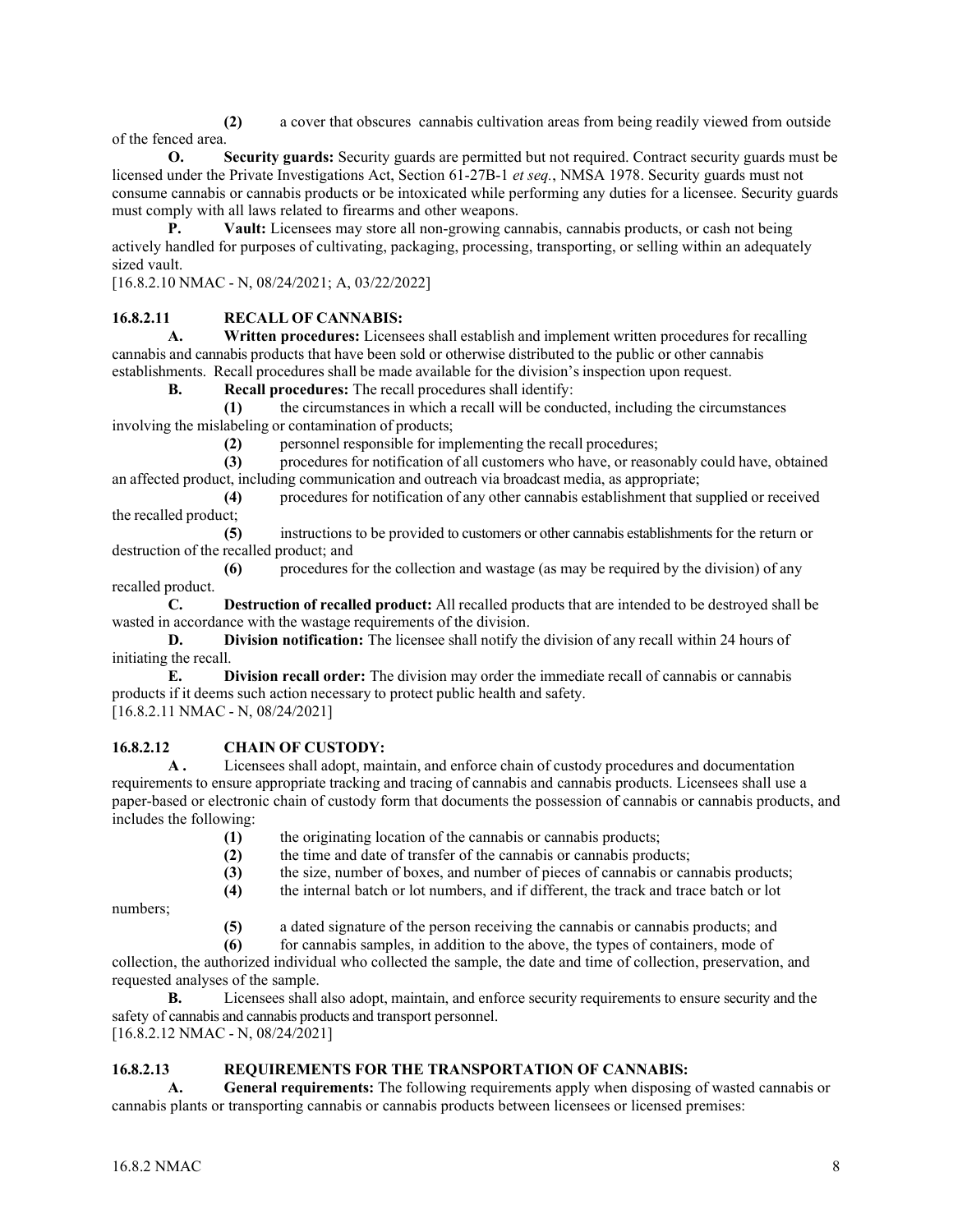**(2)** a cover that obscures cannabis cultivation areas from being readily viewed from outside of the fenced area.

**O. Security guards:** Security guards are permitted but not required. Contract security guards must be licensed under the Private Investigations Act, Section 61-27B-1 *et seq.*, NMSA 1978. Security guards must not consume cannabis or cannabis products or be intoxicated while performing any duties for a licensee. Security guards must comply with all laws related to firearms and other weapons.

**P. Vault:** Licensees may store all non-growing cannabis, cannabis products, or cash not being actively handled for purposes of cultivating, packaging, processing, transporting, or selling within an adequately sized vault.

[16.8.2.10 NMAC - N, 08/24/2021; A, 03/22/2022]

## **16.8.2.11 RECALL OF CANNABIS:**

**A. Written procedures:** Licensees shall establish and implement written procedures for recalling cannabis and cannabis products that have been sold or otherwise distributed to the public or other cannabis establishments. Recall procedures shall be made available for the division's inspection upon request.

**B. Recall procedures:** The recall procedures shall identify:

**(1)** the circumstances in which a recall will be conducted, including the circumstances involving the mislabeling or contamination of products;

**(2)** personnel responsible for implementing the recall procedures;

**(3)** procedures for notification of all customers who have, or reasonably could have, obtained an affected product, including communication and outreach via broadcast media, as appropriate;

**(4)** procedures for notification of any other cannabis establishment that supplied or received the recalled product;

**(5)** instructions to be provided to customers or other cannabis establishments for the return or destruction of the recalled product; and

**(6)** procedures for the collection and wastage (as may be required by the division) of any recalled product.

**C. Destruction of recalled product:** All recalled products that are intended to be destroyed shall be wasted in accordance with the wastage requirements of the division.

**D. Division notification:** The licensee shall notify the division of any recall within 24 hours of initiating the recall.

**E. Division recall order:** The division may order the immediate recall of cannabis or cannabis products if it deems such action necessary to protect public health and safety. [16.8.2.11 NMAC - N, 08/24/2021]

## **16.8.2.12 CHAIN OF CUSTODY:**

**A .** Licensees shall adopt, maintain, and enforce chain of custody procedures and documentation requirements to ensure appropriate tracking and tracing of cannabis and cannabis products. Licensees shall use a paper-based or electronic chain of custody form that documents the possession of cannabis or cannabis products, and includes the following:

**(1)** the originating location of the cannabis or cannabis products;

**(2)** the time and date of transfer of the cannabis or cannabis products;

**(3)** the size, number of boxes, and number of pieces of cannabis or cannabis products;

**(4)** the internal batch or lot numbers, and if different, the track and trace batch or lot

numbers;

**(5)** a dated signature of the person receiving the cannabis or cannabis products; and

**(6)** for cannabis samples, in addition to the above, the types of containers, mode of collection, the authorized individual who collected the sample, the date and time of collection, preservation, and requested analyses of the sample.

**B.** Licensees shall also adopt, maintain, and enforce security requirements to ensure security and the safety of cannabis and cannabis products and transport personnel.

[16.8.2.12 NMAC - N, 08/24/2021]

## **16.8.2.13 REQUIREMENTS FOR THE TRANSPORTATION OF CANNABIS:**

**A. General requirements:** The following requirements apply when disposing of wasted cannabis or cannabis plants or transporting cannabis or cannabis products between licensees or licensed premises: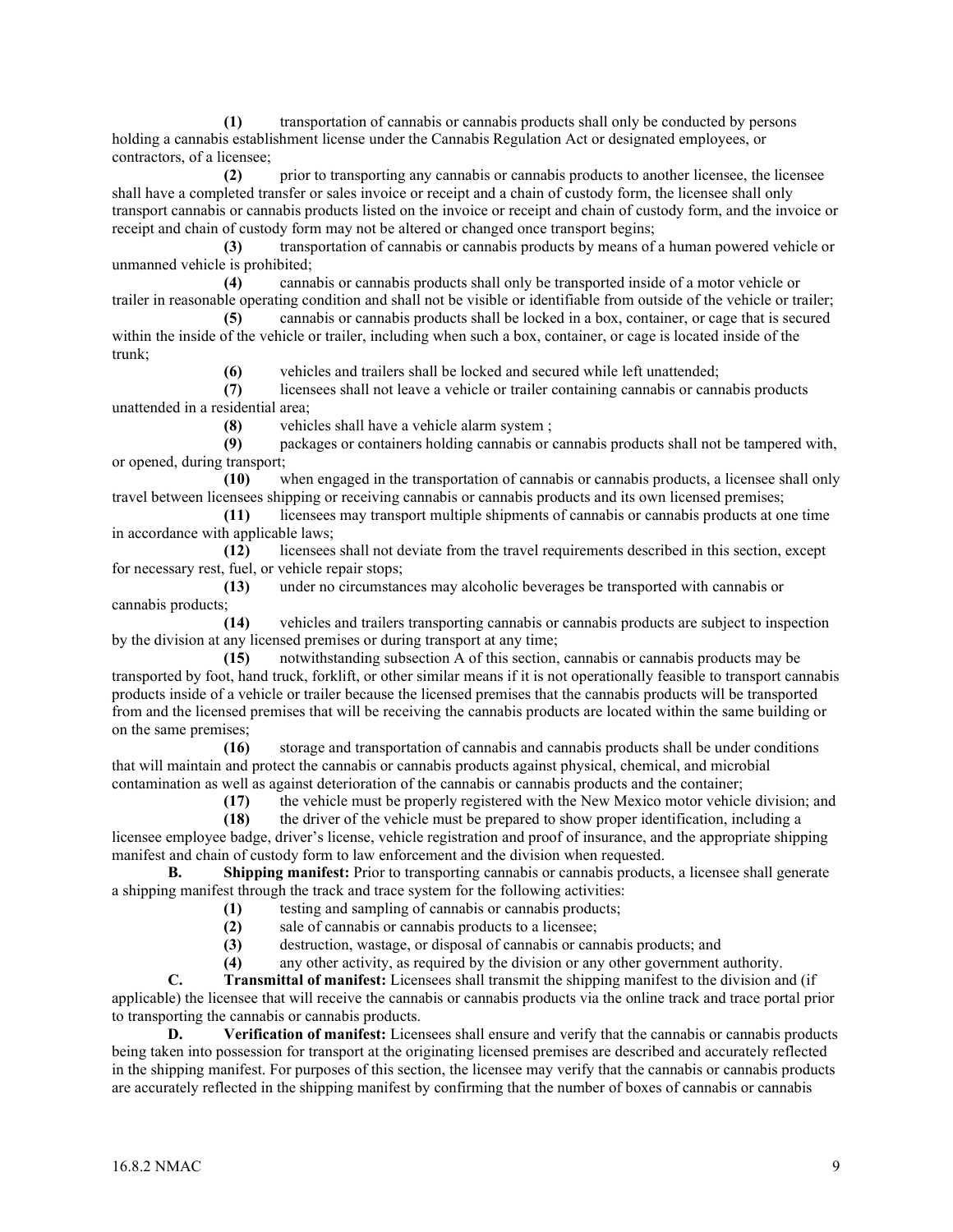**(1)** transportation of cannabis or cannabis products shall only be conducted by persons holding a cannabis establishment license under the Cannabis Regulation Act or designated employees, or contractors, of a licensee;

**(2)** prior to transporting any cannabis or cannabis products to another licensee, the licensee shall have a completed transfer or sales invoice or receipt and a chain of custody form, the licensee shall only transport cannabis or cannabis products listed on the invoice or receipt and chain of custody form, and the invoice or receipt and chain of custody form may not be altered or changed once transport begins;

**(3)** transportation of cannabis or cannabis products by means of a human powered vehicle or unmanned vehicle is prohibited;

**(4)** cannabis or cannabis products shall only be transported inside of a motor vehicle or trailer in reasonable operating condition and shall not be visible or identifiable from outside of the vehicle or trailer;

**(5)** cannabis or cannabis products shall be locked in a box, container, or cage that is secured within the inside of the vehicle or trailer, including when such a box, container, or cage is located inside of the trunk;

**(6)** vehicles and trailers shall be locked and secured while left unattended;

**(7)** licensees shall not leave a vehicle or trailer containing cannabis or cannabis products unattended in a residential area;

**(8)** vehicles shall have a vehicle alarm system ;

**(9)** packages or containers holding cannabis or cannabis products shall not be tampered with, or opened, during transport;

**(10)** when engaged in the transportation of cannabis or cannabis products, a licensee shall only travel between licensees shipping or receiving cannabis or cannabis products and its own licensed premises;

**(11)** licensees may transport multiple shipments of cannabis or cannabis products at one time in accordance with applicable laws;

**(12)** licensees shall not deviate from the travel requirements described in this section, except for necessary rest, fuel, or vehicle repair stops;

**(13)** under no circumstances may alcoholic beverages be transported with cannabis or cannabis products;

**(14)** vehicles and trailers transporting cannabis or cannabis products are subject to inspection by the division at any licensed premises or during transport at any time;

**(15)** notwithstanding subsection A of this section, cannabis or cannabis products may be transported by foot, hand truck, forklift, or other similar means if it is not operationally feasible to transport cannabis products inside of a vehicle or trailer because the licensed premises that the cannabis products will be transported from and the licensed premises that will be receiving the cannabis products are located within the same building or on the same premises;

**(16)** storage and transportation of cannabis and cannabis products shall be under conditions that will maintain and protect the cannabis or cannabis products against physical, chemical, and microbial contamination as well as against deterioration of the cannabis or cannabis products and the container;

**(17)** the vehicle must be properly registered with the New Mexico motor vehicle division; and

**(18)** the driver of the vehicle must be prepared to show proper identification, including a licensee employee badge, driver's license, vehicle registration and proof of insurance, and the appropriate shipping manifest and chain of custody form to law enforcement and the division when requested.

**B. Shipping manifest:** Prior to transporting cannabis or cannabis products, a licensee shall generate a shipping manifest through the track and trace system for the following activities:

**(1)** testing and sampling of cannabis or cannabis products;

**(2)** sale of cannabis or cannabis products to a licensee;

**(3)** destruction, wastage, or disposal of cannabis or cannabis products; and

**(4)** any other activity, as required by the division or any other government authority.

**C. Transmittal of manifest:** Licensees shall transmit the shipping manifest to the division and (if applicable) the licensee that will receive the cannabis or cannabis products via the online track and trace portal prior to transporting the cannabis or cannabis products.

**D. Verification of manifest:** Licensees shall ensure and verify that the cannabis or cannabis products being taken into possession for transport at the originating licensed premises are described and accurately reflected in the shipping manifest. For purposes of this section, the licensee may verify that the cannabis or cannabis products are accurately reflected in the shipping manifest by confirming that the number of boxes of cannabis or cannabis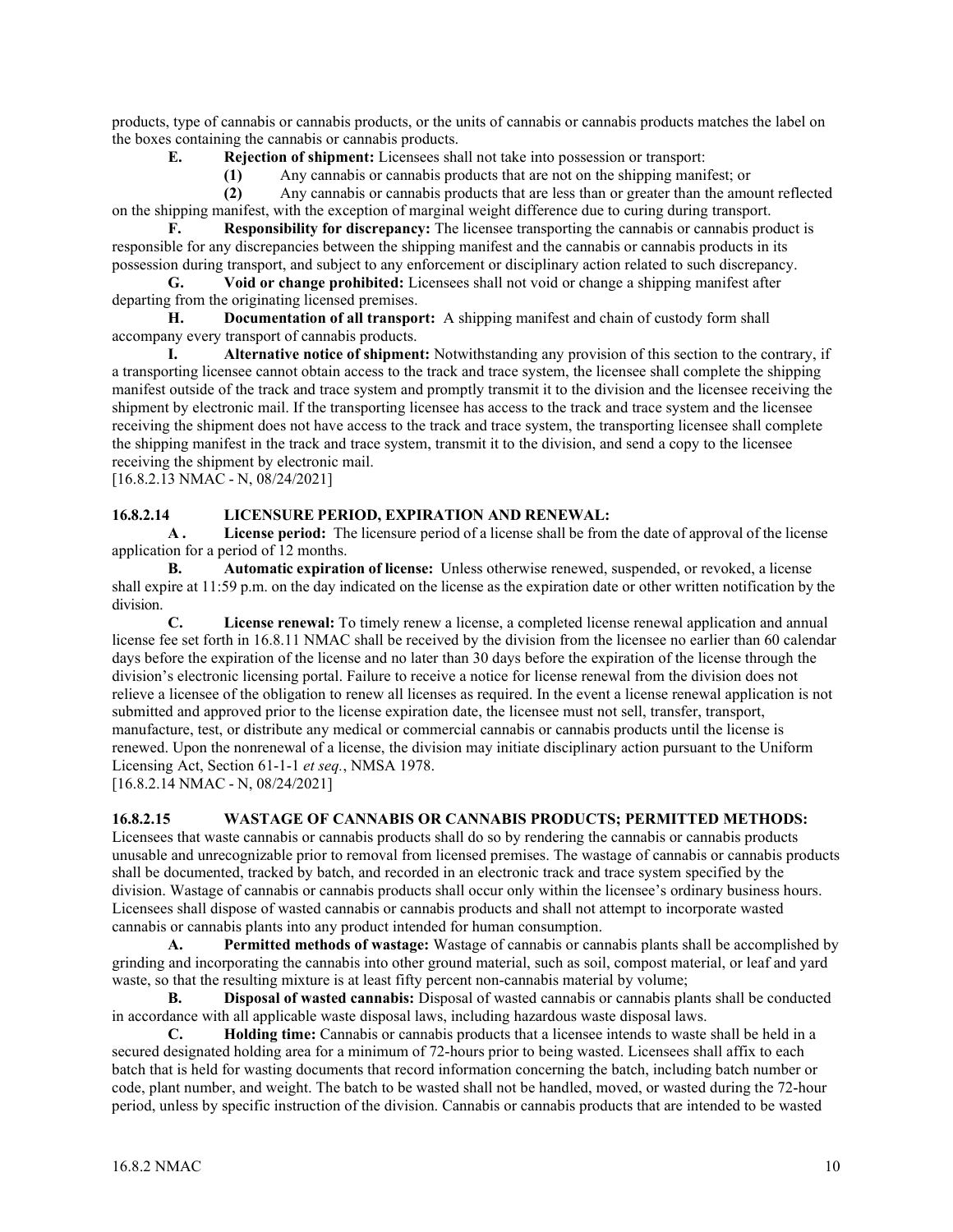products, type of cannabis or cannabis products, or the units of cannabis or cannabis products matches the label on the boxes containing the cannabis or cannabis products.

**E. Rejection of shipment:** Licensees shall not take into possession or transport:

**(1)** Any cannabis or cannabis products that are not on the shipping manifest; or

**(2)** Any cannabis or cannabis products that are less than or greater than the amount reflected on the shipping manifest, with the exception of marginal weight difference due to curing during transport.

**F. Responsibility for discrepancy:** The licensee transporting the cannabis or cannabis product is responsible for any discrepancies between the shipping manifest and the cannabis or cannabis products in its possession during transport, and subject to any enforcement or disciplinary action related to such discrepancy.

**G. Void or change prohibited:** Licensees shall not void or change a shipping manifest after departing from the originating licensed premises.

**H. Documentation of all transport:** A shipping manifest and chain of custody form shall accompany every transport of cannabis products.

**I. Alternative notice of shipment:** Notwithstanding any provision of this section to the contrary, if a transporting licensee cannot obtain access to the track and trace system, the licensee shall complete the shipping manifest outside of the track and trace system and promptly transmit it to the division and the licensee receiving the shipment by electronic mail. If the transporting licensee has access to the track and trace system and the licensee receiving the shipment does not have access to the track and trace system, the transporting licensee shall complete the shipping manifest in the track and trace system, transmit it to the division, and send a copy to the licensee receiving the shipment by electronic mail.

[16.8.2.13 NMAC - N, 08/24/2021]

#### **16.8.2.14 LICENSURE PERIOD, EXPIRATION AND RENEWAL:**

**A . License period:** The licensure period of a license shall be from the date of approval of the license application for a period of 12 months.

**B. Automatic expiration of license:** Unless otherwise renewed, suspended, or revoked, a license shall expire at 11:59 p.m. on the day indicated on the license as the expiration date or other written notification by the division.

**C. License renewal:** To timely renew a license, a completed license renewal application and annual license fee set forth in 16.8.11 NMAC shall be received by the division from the licensee no earlier than 60 calendar days before the expiration of the license and no later than 30 days before the expiration of the license through the division's electronic licensing portal. Failure to receive a notice for license renewal from the division does not relieve a licensee of the obligation to renew all licenses as required. In the event a license renewal application is not submitted and approved prior to the license expiration date, the licensee must not sell, transfer, transport, manufacture, test, or distribute any medical or commercial cannabis or cannabis products until the license is renewed. Upon the nonrenewal of a license, the division may initiate disciplinary action pursuant to the Uniform Licensing Act, Section 61-1-1 *et seq.*, NMSA 1978.

[16.8.2.14 NMAC - N, 08/24/2021]

#### **16.8.2.15 WASTAGE OF CANNABIS OR CANNABIS PRODUCTS; PERMITTED METHODS:**

Licensees that waste cannabis or cannabis products shall do so by rendering the cannabis or cannabis products unusable and unrecognizable prior to removal from licensed premises. The wastage of cannabis or cannabis products shall be documented, tracked by batch, and recorded in an electronic track and trace system specified by the division. Wastage of cannabis or cannabis products shall occur only within the licensee's ordinary business hours. Licensees shall dispose of wasted cannabis or cannabis products and shall not attempt to incorporate wasted cannabis or cannabis plants into any product intended for human consumption.

**A. Permitted methods of wastage:** Wastage of cannabis or cannabis plants shall be accomplished by grinding and incorporating the cannabis into other ground material, such as soil, compost material, or leaf and yard waste, so that the resulting mixture is at least fifty percent non-cannabis material by volume;

**B. Disposal of wasted cannabis:** Disposal of wasted cannabis or cannabis plants shall be conducted in accordance with all applicable waste disposal laws, including hazardous waste disposal laws.

**C. Holding time:** Cannabis or cannabis products that a licensee intends to waste shall be held in a secured designated holding area for a minimum of 72-hours prior to being wasted. Licensees shall affix to each batch that is held for wasting documents that record information concerning the batch, including batch number or code, plant number, and weight. The batch to be wasted shall not be handled, moved, or wasted during the 72-hour period, unless by specific instruction of the division. Cannabis or cannabis products that are intended to be wasted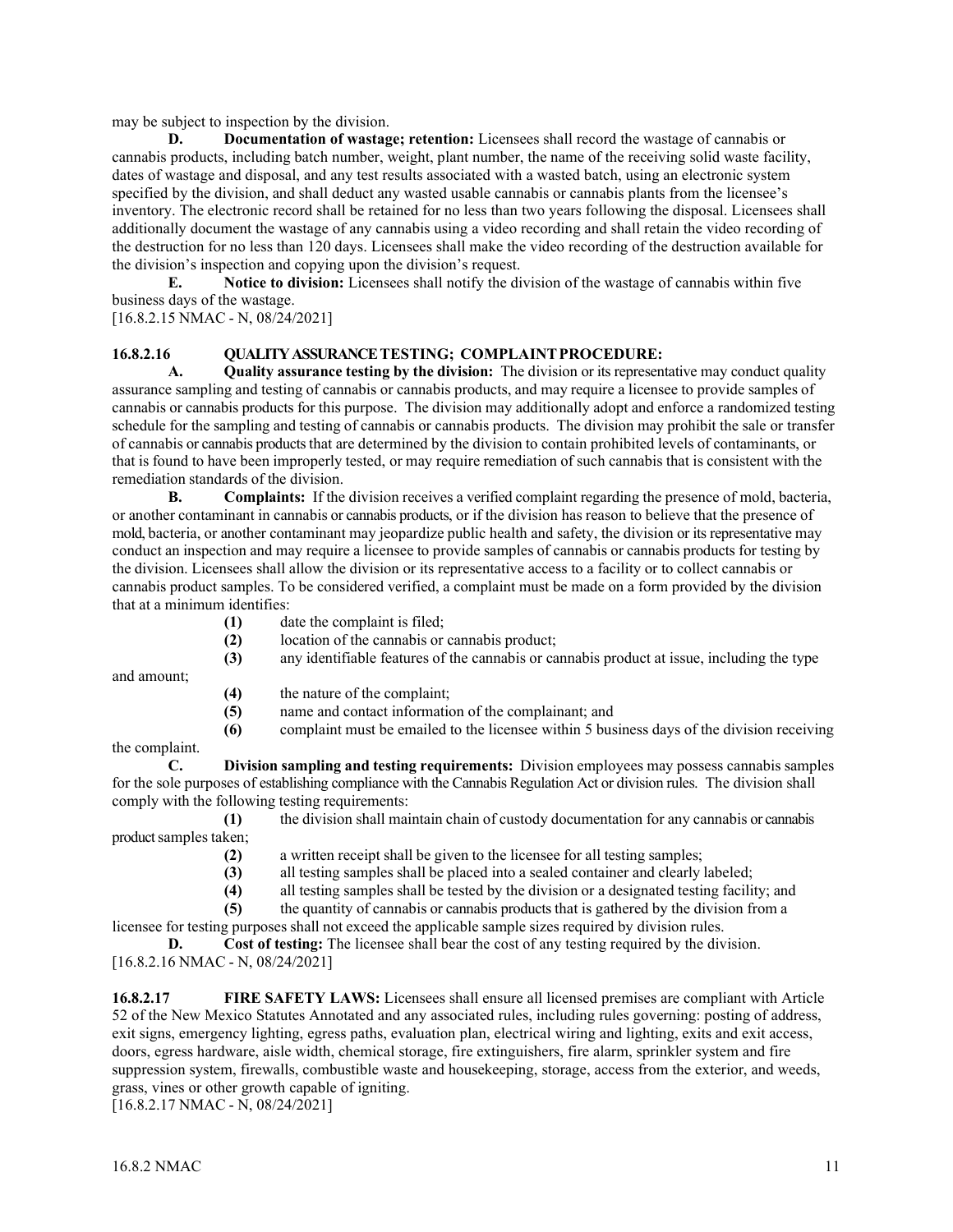may be subject to inspection by the division.

**D. Documentation of wastage; retention:** Licensees shall record the wastage of cannabis or cannabis products, including batch number, weight, plant number, the name of the receiving solid waste facility, dates of wastage and disposal, and any test results associated with a wasted batch, using an electronic system specified by the division, and shall deduct any wasted usable cannabis or cannabis plants from the licensee's inventory. The electronic record shall be retained for no less than two years following the disposal. Licensees shall additionally document the wastage of any cannabis using a video recording and shall retain the video recording of the destruction for no less than 120 days. Licensees shall make the video recording of the destruction available for the division's inspection and copying upon the division's request.

**E. Notice to division:** Licensees shall notify the division of the wastage of cannabis within five business days of the wastage.

[16.8.2.15 NMAC - N, 08/24/2021]

## **16.8.2.16 QUALITY ASSURANCE TESTING; COMPLAINTPROCEDURE:**

**A. Quality assurance testing by the division:** The division or its representative may conduct quality assurance sampling and testing of cannabis or cannabis products, and may require a licensee to provide samples of cannabis or cannabis products for this purpose. The division may additionally adopt and enforce a randomized testing schedule for the sampling and testing of cannabis or cannabis products. The division may prohibit the sale or transfer of cannabis or cannabis products that are determined by the division to contain prohibited levels of contaminants, or that is found to have been improperly tested, or may require remediation of such cannabis that is consistent with the remediation standards of the division.

**B. Complaints:** If the division receives a verified complaint regarding the presence of mold, bacteria, or another contaminant in cannabis or cannabis products, or if the division has reason to believe that the presence of mold, bacteria, or another contaminant may jeopardize public health and safety, the division or its representative may conduct an inspection and may require a licensee to provide samples of cannabis or cannabis products for testing by the division. Licensees shall allow the division or its representative access to a facility or to collect cannabis or cannabis product samples. To be considered verified, a complaint must be made on a form provided by the division that at a minimum identifies:

- **(1)** date the complaint is filed;
- **(2)** location of the cannabis or cannabis product;
- **(3)** any identifiable features of the cannabis or cannabis product at issue, including the type

and amount;

- **(4)** the nature of the complaint;
- **(5)** name and contact information of the complainant; and
- **(6)** complaint must be emailed to the licensee within 5 business days of the division receiving

the complaint.

**C. Division sampling and testing requirements:** Division employees may possess cannabis samples for the sole purposes of establishing compliance with the Cannabis Regulation Act or division rules. The division shall comply with the following testing requirements:

**(1)** the division shall maintain chain of custody documentation for any cannabis or cannabis product samples taken;

- **(2)** a written receipt shall be given to the licensee for all testing samples;<br>**(3)** all testing samples shall be placed into a sealed container and clearly
- all testing samples shall be placed into a sealed container and clearly labeled;
- **(4)** all testing samples shall be tested by the division or a designated testing facility; and

**(5)** the quantity of cannabis or cannabis products that is gathered by the division from a

licensee for testing purposes shall not exceed the applicable sample sizes required by division rules.

**D. Cost of testing:** The licensee shall bear the cost of any testing required by the division. [16.8.2.16 NMAC - N, 08/24/2021]

**16.8.2.17 FIRE SAFETY LAWS:** Licensees shall ensure all licensed premises are compliant with Article 52 of the New Mexico Statutes Annotated and any associated rules, including rules governing: posting of address, exit signs, emergency lighting, egress paths, evaluation plan, electrical wiring and lighting, exits and exit access, doors, egress hardware, aisle width, chemical storage, fire extinguishers, fire alarm, sprinkler system and fire suppression system, firewalls, combustible waste and housekeeping, storage, access from the exterior, and weeds, grass, vines or other growth capable of igniting.

[16.8.2.17 NMAC - N, 08/24/2021]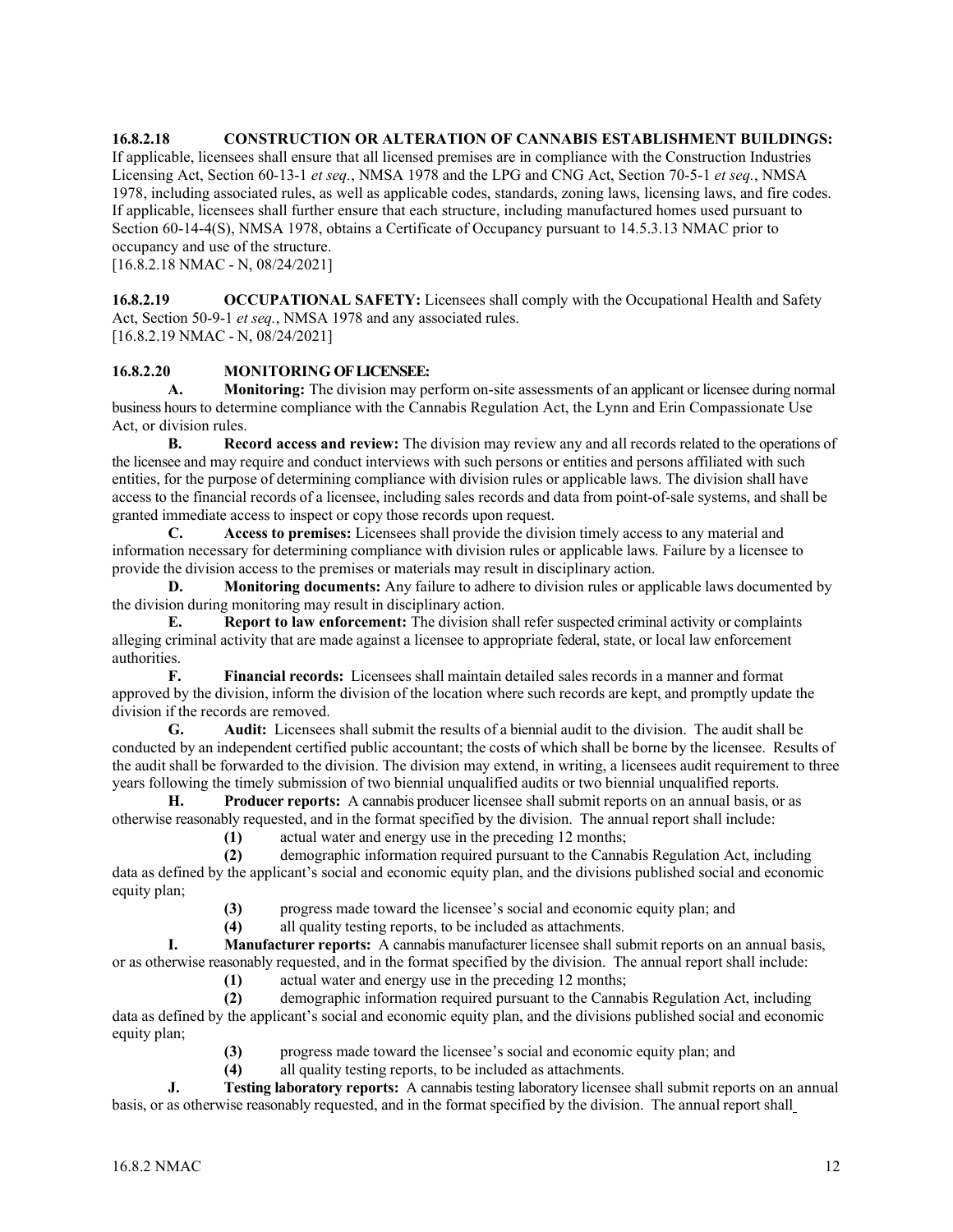**16.8.2.18 CONSTRUCTION OR ALTERATION OF CANNABIS ESTABLISHMENT BUILDINGS:**  If applicable, licensees shall ensure that all licensed premises are in compliance with the Construction Industries Licensing Act, Section 60-13-1 *et seq.*, NMSA 1978 and the LPG and CNG Act, Section 70-5-1 *et seq.*, NMSA 1978, including associated rules, as well as applicable codes, standards, zoning laws, licensing laws, and fire codes. If applicable, licensees shall further ensure that each structure, including manufactured homes used pursuant to Section 60-14-4(S), NMSA 1978, obtains a Certificate of Occupancy pursuant to 14.5.3.13 NMAC prior to occupancy and use of the structure.

[16.8.2.18 NMAC - N, 08/24/2021]

**16.8.2.19 OCCUPATIONAL SAFETY:** Licensees shall comply with the Occupational Health and Safety Act, Section 50-9-1 *et seq.*, NMSA 1978 and any associated rules. [16.8.2.19 NMAC - N, 08/24/2021]

## **16.8.2.20 MONITORING OF LICENSEE:**

**A. Monitoring:** The division may perform on-site assessments of an applicant or licensee during normal business hours to determine compliance with the Cannabis Regulation Act, the Lynn and Erin Compassionate Use Act, or division rules.

**B. Record access and review:** The division may review any and all records related to the operations of the licensee and may require and conduct interviews with such persons or entities and persons affiliated with such entities, for the purpose of determining compliance with division rules or applicable laws. The division shall have access to the financial records of a licensee, including sales records and data from point-of-sale systems, and shall be granted immediate access to inspect or copy those records upon request.

**C. Access to premises:** Licensees shall provide the division timely access to any material and information necessary for determining compliance with division rules or applicable laws. Failure by a licensee to provide the division access to the premises or materials may result in disciplinary action.

**D. Monitoring documents:** Any failure to adhere to division rules or applicable laws documented by the division during monitoring may result in disciplinary action.

**E. Report to law enforcement:** The division shall refer suspected criminal activity or complaints alleging criminal activity that are made against a licensee to appropriate federal, state, or local law enforcement authorities.

**F. Financial records:** Licensees shall maintain detailed sales records in a manner and format approved by the division, inform the division of the location where such records are kept, and promptly update the division if the records are removed.<br> **G.** Audit: Licensees

**G. Audit:** Licensees shall submit the results of a biennial audit to the division. The audit shall be conducted by an independent certified public accountant; the costs of which shall be borne by the licensee. Results of the audit shall be forwarded to the division. The division may extend, in writing, a licensees audit requirement to three years following the timely submission of two biennial unqualified audits or two biennial unqualified reports.

**H. Producer reports:** A cannabis producer licensee shall submit reports on an annual basis, or as otherwise reasonably requested, and in the format specified by the division. The annual report shall include:

 **(1)** actual water and energy use in the preceding 12 months;

 **(2)** demographic information required pursuant to the Cannabis Regulation Act, including data as defined by the applicant's social and economic equity plan, and the divisions published social and economic equity plan;

(3) progress made toward the licensee's social and economic equity plan; and all quality testing reports, to be included as attachments.

 **(4)** all quality testing reports, to be included as attachments.

**I. Manufacturer reports:** A cannabis manufacturer licensee shall submit reports on an annual basis, or as otherwise reasonably requested, and in the format specified by the division. The annual report shall include:

 **(1)** actual water and energy use in the preceding 12 months;

 **(2)** demographic information required pursuant to the Cannabis Regulation Act, including data as defined by the applicant's social and economic equity plan, and the divisions published social and economic equity plan;

- (3) progress made toward the licensee's social and economic equity plan; and all quality testing reports, to be included as attachments.
- **(4)** all quality testing reports, to be included as attachments.<br> **I.** Testing laboratory reports: A cannabis testing laboratory licensed

**J. Testing laboratory reports:** A cannabis testing laboratory licensee shall submit reports on an annual basis, or as otherwise reasonably requested, and in the format specified by the division. The annual report shall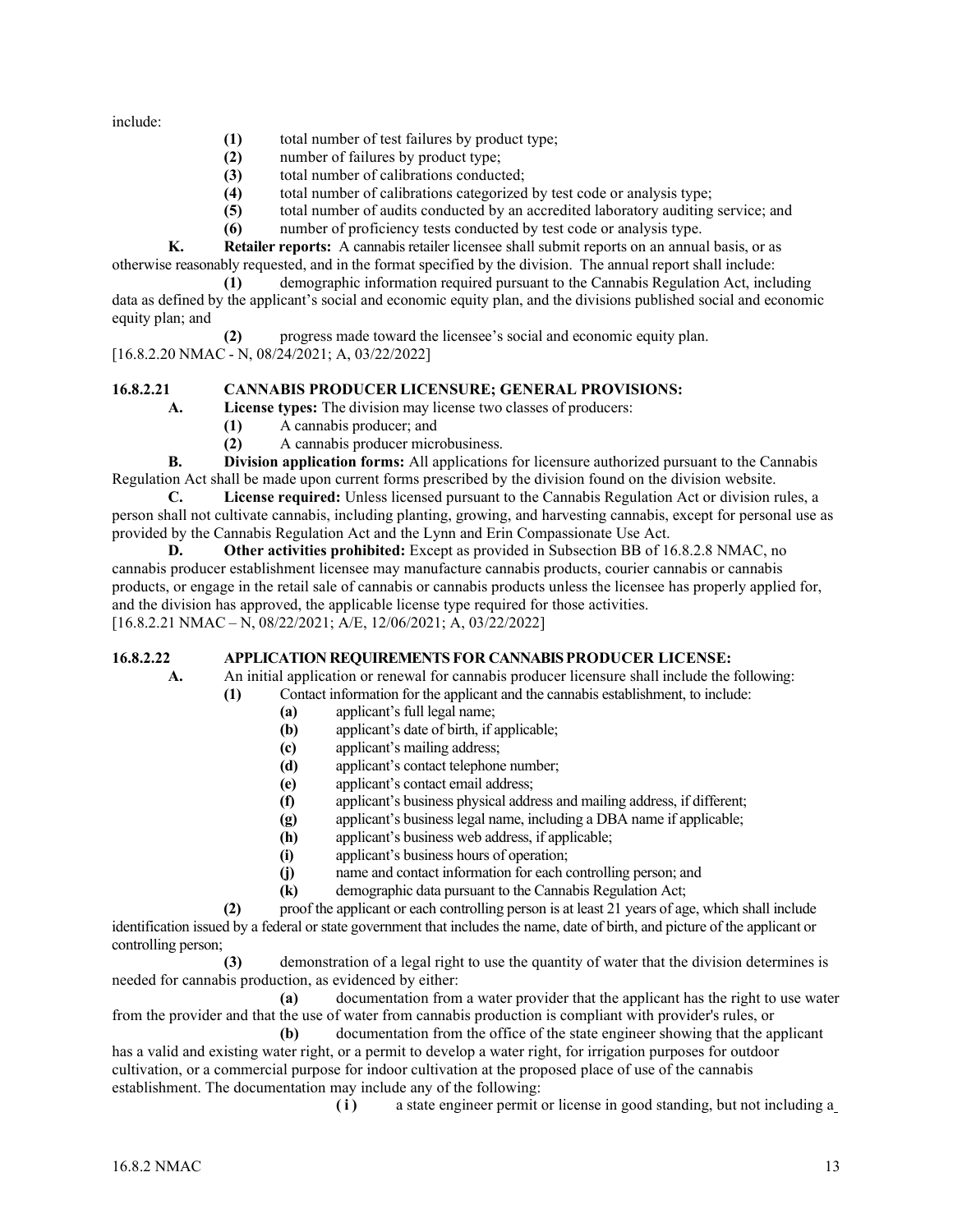include:

- **(1)** total number of test failures by product type;
- **(2)** number of failures by product type;
- **(3)** total number of calibrations conducted;
- **(4)** total number of calibrations categorized by test code or analysis type;
- **(5)** total number of audits conducted by an accredited laboratory auditing service; and
- **(6)** number of proficiency tests conducted by test code or analysis type.

**K. Retailer reports:** A cannabis retailer licensee shall submit reports on an annual basis, or as otherwise reasonably requested, and in the format specified by the division. The annual report shall include:

 **(1)** demographic information required pursuant to the Cannabis Regulation Act, including data as defined by the applicant's social and economic equity plan, and the divisions published social and economic equity plan; and

 **(2)** progress made toward the licensee's social and economic equity plan. [16.8.2.20 NMAC - N, 08/24/2021; A, 03/22/2022]

## **16.8.2.21 CANNABIS PRODUCER LICENSURE; GENERAL PROVISIONS:**

**A. License types:** The division may license two classes of producers:

- **(1)** A cannabis producer; and
- **(2)** A cannabis producer microbusiness.

**B. Division application forms:** All applications for licensure authorized pursuant to the Cannabis Regulation Act shall be made upon current forms prescribed by the division found on the division website.

**C. License required:** Unless licensed pursuant to the Cannabis Regulation Act or division rules, a person shall not cultivate cannabis, including planting, growing, and harvesting cannabis, except for personal use as provided by the Cannabis Regulation Act and the Lynn and Erin Compassionate Use Act.

**D. Other activities prohibited:** Except as provided in Subsection BB of 16.8.2.8 NMAC, no cannabis producer establishment licensee may manufacture cannabis products, courier cannabis or cannabis products, or engage in the retail sale of cannabis or cannabis products unless the licensee has properly applied for, and the division has approved, the applicable license type required for those activities. [16.8.2.21 NMAC – N, 08/22/2021; A/E, 12/06/2021; A, 03/22/2022]

## **16.8.2.22 APPLICATION REQUIREMENTS FOR CANNABIS PRODUCER LICENSE:**

**A.** An initial application or renewal for cannabis producer licensure shall include the following:  **(1)** Contact information for the applicant and the cannabis establishment, to include:

- **(a)** applicant's full legal name;
- **(b)** applicant's date of birth, if applicable;
- **(c)** applicant's mailing address;
- **(d)** applicant's contact telephone number;
- **(e)** applicant's contact email address;
- **(f)** applicant's business physical address and mailing address, if different;
- **(g)** applicant's business legal name, including a DBA name if applicable;
- **(h)** applicant's business web address, if applicable;
- **(i)** applicant's business hours of operation;
- **(j)** name and contact information for each controlling person; and
- **(k)** demographic data pursuant to the Cannabis Regulation Act;

 **(2)** proof the applicant or each controlling person is at least 21 years of age, which shall include identification issued by a federal or state government that includes the name, date of birth, and picture of the applicant or controlling person;

 **(3)** demonstration of a legal right to use the quantity of water that the division determines is needed for cannabis production, as evidenced by either:

 **(a)** documentation from a water provider that the applicant has the right to use water from the provider and that the use of water from cannabis production is compliant with provider's rules, or

 **(b)** documentation from the office of the state engineer showing that the applicant has a valid and existing water right, or a permit to develop a water right, for irrigation purposes for outdoor cultivation, or a commercial purpose for indoor cultivation at the proposed place of use of the cannabis establishment. The documentation may include any of the following:

 **(i)** a state engineer permit or license in good standing, but not including a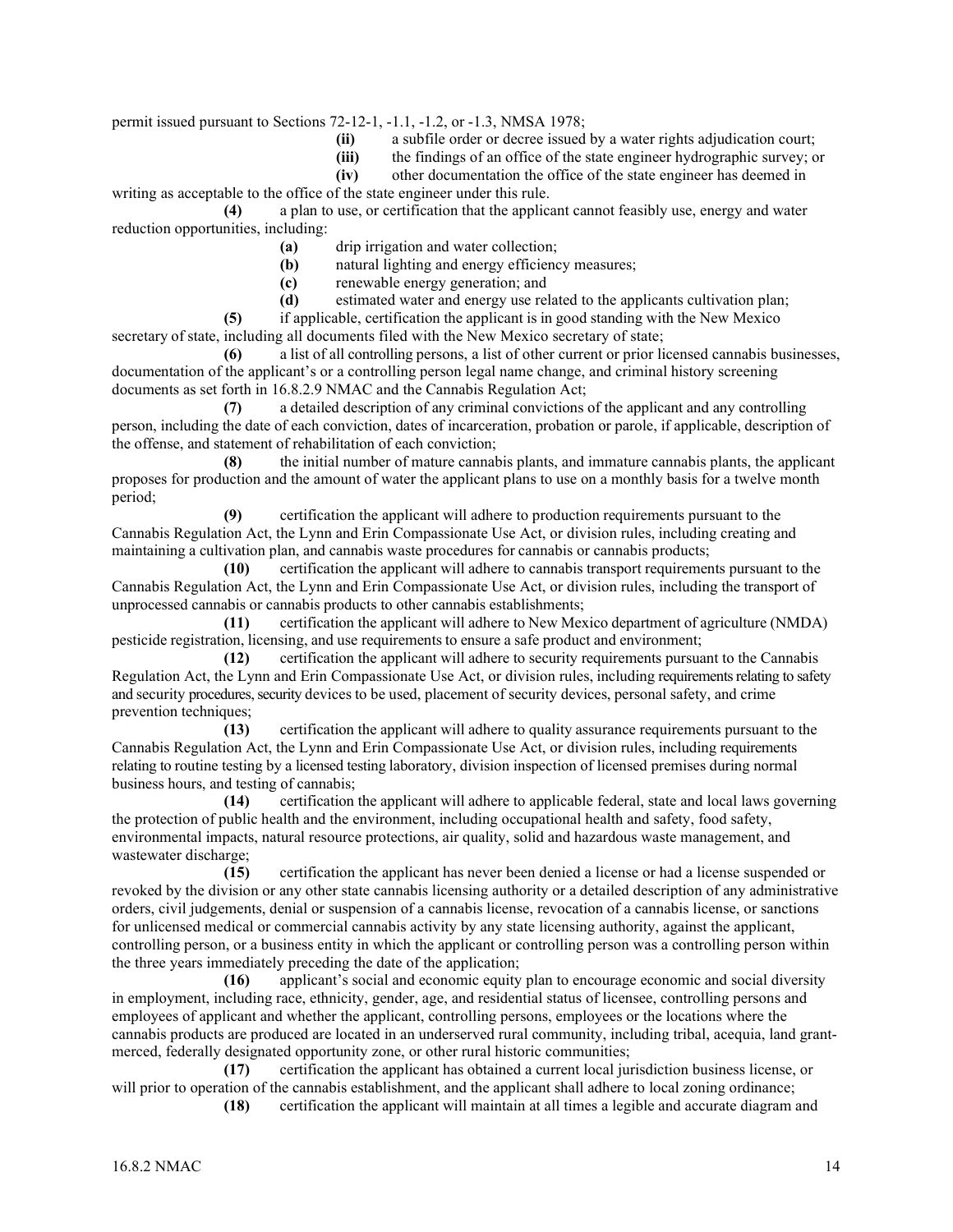permit issued pursuant to Sections 72-12-1, -1.1, -1.2, or -1.3, NMSA 1978;

- **(ii)** a subfile order or decree issued by a water rights adjudication court;
- (iii) the findings of an office of the state engineer hydrographic survey; or other documentation the office of the state engineer has deemed in

**(iv)** other documentation the office of the state engineer has deemed in

writing as acceptable to the office of the state engineer under this rule.

**(4)** a plan to use, or certification that the applicant cannot feasibly use, energy and water reduction opportunities, including:

- **(a)** drip irrigation and water collection;
- natural lighting and energy efficiency measures;
- **(c)** renewable energy generation; and
- **(d)** estimated water and energy use related to the applicants cultivation plan;

**(5)** if applicable, certification the applicant is in good standing with the New Mexico secretary of state, including all documents filed with the New Mexico secretary of state;

**(6)** a list of all controlling persons, a list of other current or prior licensed cannabis businesses, documentation of the applicant's or a controlling person legal name change, and criminal history screening documents as set forth in 16.8.2.9 NMAC and the Cannabis Regulation Act;

**(7)** a detailed description of any criminal convictions of the applicant and any controlling person, including the date of each conviction, dates of incarceration, probation or parole, if applicable, description of the offense, and statement of rehabilitation of each conviction;

**(8)** the initial number of mature cannabis plants, and immature cannabis plants, the applicant proposes for production and the amount of water the applicant plans to use on a monthly basis for a twelve month period;

**(9)** certification the applicant will adhere to production requirements pursuant to the Cannabis Regulation Act, the Lynn and Erin Compassionate Use Act, or division rules, including creating and maintaining a cultivation plan, and cannabis waste procedures for cannabis or cannabis products;

**(10)** certification the applicant will adhere to cannabis transport requirements pursuant to the Cannabis Regulation Act, the Lynn and Erin Compassionate Use Act, or division rules, including the transport of unprocessed cannabis or cannabis products to other cannabis establishments;

**(11)** certification the applicant will adhere to New Mexico department of agriculture (NMDA) pesticide registration, licensing, and use requirements to ensure a safe product and environment;

**(12)** certification the applicant will adhere to security requirements pursuant to the Cannabis Regulation Act, the Lynn and Erin Compassionate Use Act, or division rules, including requirements relating to safety and security procedures, security devices to be used, placement of security devices, personal safety, and crime prevention techniques;

**(13)** certification the applicant will adhere to quality assurance requirements pursuant to the Cannabis Regulation Act, the Lynn and Erin Compassionate Use Act, or division rules, including requirements relating to routine testing by a licensed testing laboratory, division inspection of licensed premises during normal business hours, and testing of cannabis;

**(14)** certification the applicant will adhere to applicable federal, state and local laws governing the protection of public health and the environment, including occupational health and safety, food safety, environmental impacts, natural resource protections, air quality, solid and hazardous waste management, and wastewater discharge;

**(15)** certification the applicant has never been denied a license or had a license suspended or revoked by the division or any other state cannabis licensing authority or a detailed description of any administrative orders, civil judgements, denial or suspension of a cannabis license, revocation of a cannabis license, or sanctions for unlicensed medical or commercial cannabis activity by any state licensing authority, against the applicant, controlling person, or a business entity in which the applicant or controlling person was a controlling person within the three years immediately preceding the date of the application;

**(16)** applicant's social and economic equity plan to encourage economic and social diversity in employment, including race, ethnicity, gender, age, and residential status of licensee, controlling persons and employees of applicant and whether the applicant, controlling persons, employees or the locations where the cannabis products are produced are located in an underserved rural community, including tribal, acequia, land grantmerced, federally designated opportunity zone, or other rural historic communities;

**(17)** certification the applicant has obtained a current local jurisdiction business license, or will prior to operation of the cannabis establishment, and the applicant shall adhere to local zoning ordinance;

**(18)** certification the applicant will maintain at all times a legible and accurate diagram and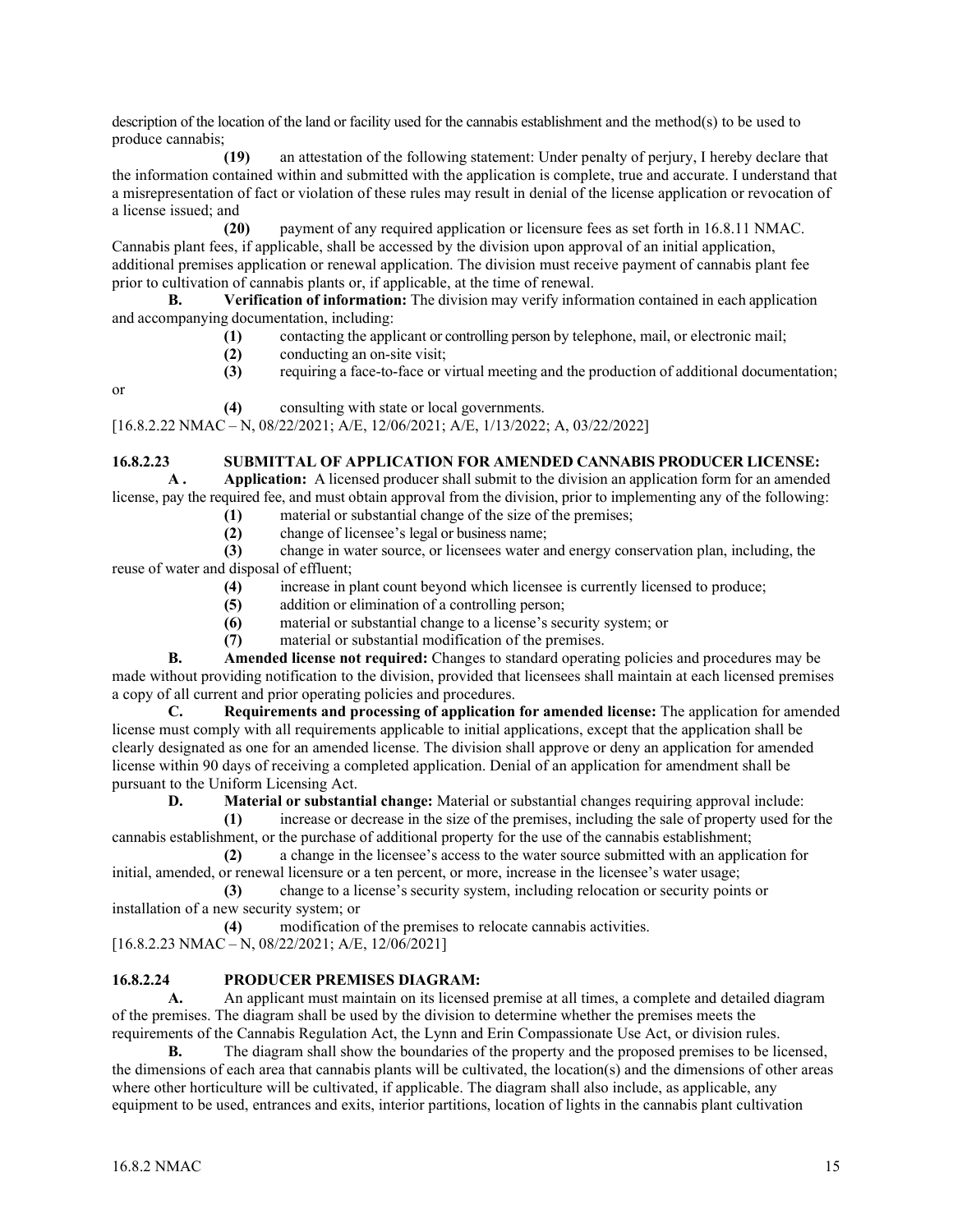description of the location of the land or facility used for the cannabis establishment and the method(s) to be used to produce cannabis;

**(19)** an attestation of the following statement: Under penalty of perjury, I hereby declare that the information contained within and submitted with the application is complete, true and accurate. I understand that a misrepresentation of fact or violation of these rules may result in denial of the license application or revocation of a license issued; and

**(20)** payment of any required application or licensure fees as set forth in 16.8.11 NMAC. Cannabis plant fees, if applicable, shall be accessed by the division upon approval of an initial application, additional premises application or renewal application. The division must receive payment of cannabis plant fee prior to cultivation of cannabis plants or, if applicable, at the time of renewal.

**B. Verification of information:** The division may verify information contained in each application and accompanying documentation, including:

- **(1)** contacting the applicant or controlling person by telephone, mail, or electronic mail;
- (2) conducting an on-site visit;<br>(3) requiring a face-to-face or v
- **(3)** requiring a face-to-face or virtual meeting and the production of additional documentation;

or

**(4)** consulting with state or local governments.

[16.8.2.22 NMAC – N, 08/22/2021; A/E, 12/06/2021; A/E, 1/13/2022; A, 03/22/2022]

## **16.8.2.23 SUBMITTAL OF APPLICATION FOR AMENDED CANNABIS PRODUCER LICENSE:**

**A . Application:** A licensed producer shall submit to the division an application form for an amended license, pay the required fee, and must obtain approval from the division, prior to implementing any of the following:

- (1) material or substantial change of the size of the premises;<br>(2) change of licensee's legal or business name;
	- **(2)** change of licensee's legal or business name;

**(3)** change in water source, or licensees water and energy conservation plan, including, the reuse of water and disposal of effluent;

**(4)** increase in plant count beyond which licensee is currently licensed to produce;

- **(5)** addition or elimination of a controlling person;
- **(6)** material or substantial change to a license's security system; or

**(7)** material or substantial modification of the premises.

**B. Amended license not required:** Changes to standard operating policies and procedures may be made without providing notification to the division, provided that licensees shall maintain at each licensed premises a copy of all current and prior operating policies and procedures.

**C. Requirements and processing of application for amended license:** The application for amended license must comply with all requirements applicable to initial applications, except that the application shall be clearly designated as one for an amended license. The division shall approve or deny an application for amended license within 90 days of receiving a completed application. Denial of an application for amendment shall be pursuant to the Uniform Licensing Act.

**D. Material or substantial change:** Material or substantial changes requiring approval include:

**(1)** increase or decrease in the size of the premises, including the sale of property used for the cannabis establishment, or the purchase of additional property for the use of the cannabis establishment;

**(2)** a change in the licensee's access to the water source submitted with an application for initial, amended, or renewal licensure or a ten percent, or more, increase in the licensee's water usage;

**(3)** change to a license's security system, including relocation or security points or installation of a new security system; or

**(4)** modification of the premises to relocate cannabis activities.

[16.8.2.23 NMAC – N, 08/22/2021; A/E, 12/06/2021]

## **16.8.2.24 PRODUCER PREMISES DIAGRAM:**

**A.** An applicant must maintain on its licensed premise at all times, a complete and detailed diagram of the premises. The diagram shall be used by the division to determine whether the premises meets the requirements of the Cannabis Regulation Act, the Lynn and Erin Compassionate Use Act, or division rules.

**B.** The diagram shall show the boundaries of the property and the proposed premises to be licensed, the dimensions of each area that cannabis plants will be cultivated, the location(s) and the dimensions of other areas where other horticulture will be cultivated, if applicable. The diagram shall also include, as applicable, any equipment to be used, entrances and exits, interior partitions, location of lights in the cannabis plant cultivation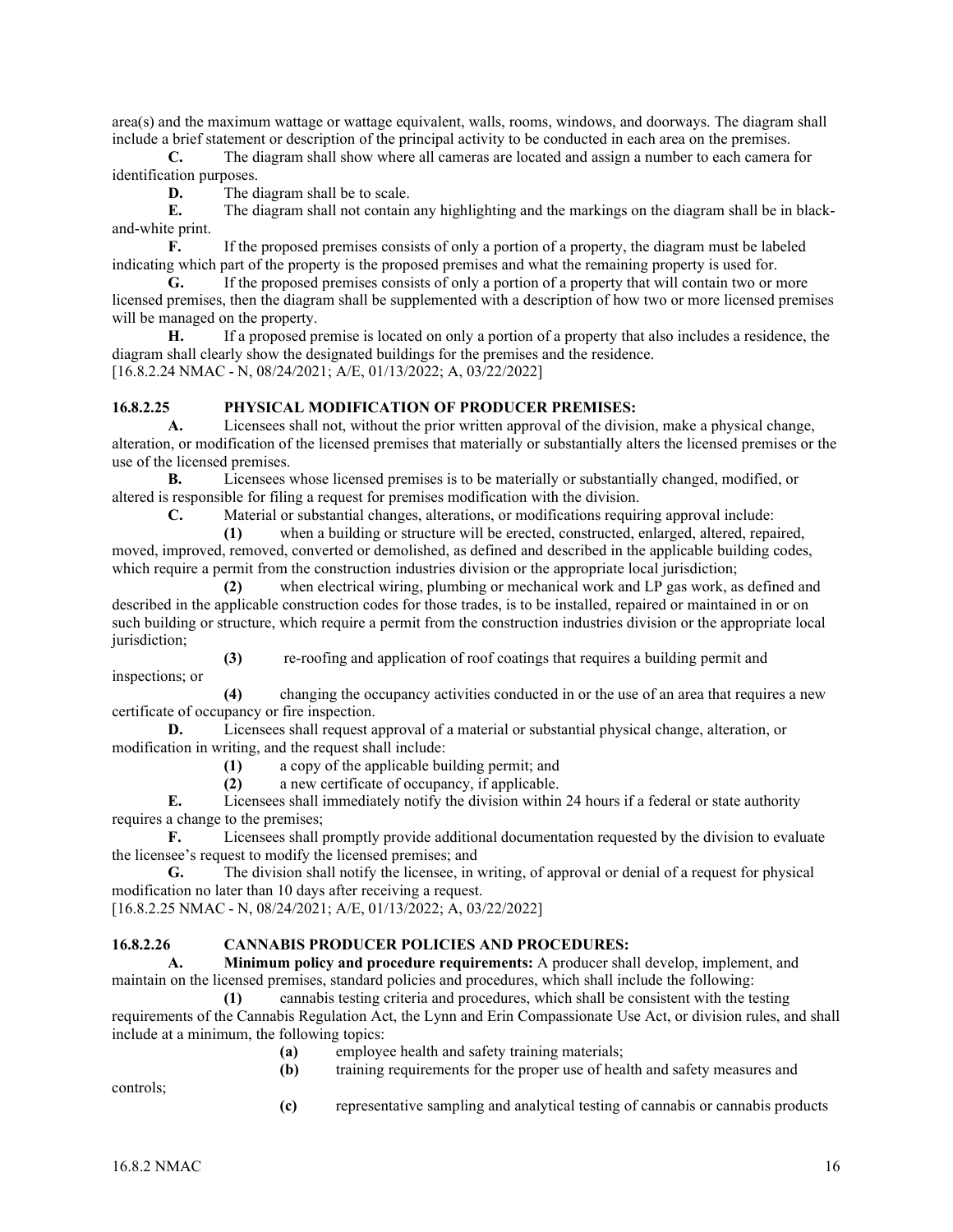area(s) and the maximum wattage or wattage equivalent, walls, rooms, windows, and doorways. The diagram shall include a brief statement or description of the principal activity to be conducted in each area on the premises.

**C.** The diagram shall show where all cameras are located and assign a number to each camera for identification purposes.

**D.** The diagram shall be to scale.

**E.** The diagram shall not contain any highlighting and the markings on the diagram shall be in blackand-white print.

**F.** If the proposed premises consists of only a portion of a property, the diagram must be labeled indicating which part of the property is the proposed premises and what the remaining property is used for.

**G.** If the proposed premises consists of only a portion of a property that will contain two or more licensed premises, then the diagram shall be supplemented with a description of how two or more licensed premises will be managed on the property.

**H.** If a proposed premise is located on only a portion of a property that also includes a residence, the diagram shall clearly show the designated buildings for the premises and the residence. [16.8.2.24 NMAC - N, 08/24/2021; A/E, 01/13/2022; A, 03/22/2022]

#### **16.8.2.25 PHYSICAL MODIFICATION OF PRODUCER PREMISES:**

**A.** Licensees shall not, without the prior written approval of the division, make a physical change, alteration, or modification of the licensed premises that materially or substantially alters the licensed premises or the use of the licensed premises.

**B.** Licensees whose licensed premises is to be materially or substantially changed, modified, or altered is responsible for filing a request for premises modification with the division.<br> **C.** Material or substantial changes, alterations, or modifications requiri

**C.** Material or substantial changes, alterations, or modifications requiring approval include:

**(1)** when a building or structure will be erected, constructed, enlarged, altered, repaired, moved, improved, removed, converted or demolished, as defined and described in the applicable building codes, which require a permit from the construction industries division or the appropriate local jurisdiction;

**(2)** when electrical wiring, plumbing or mechanical work and LP gas work, as defined and described in the applicable construction codes for those trades, is to be installed, repaired or maintained in or on such building or structure, which require a permit from the construction industries division or the appropriate local jurisdiction;

**(3)** re-roofing and application of roof coatings that requires a building permit and inspections; or

**(4)** changing the occupancy activities conducted in or the use of an area that requires a new certificate of occupancy or fire inspection.

**D.** Licensees shall request approval of a material or substantial physical change, alteration, or modification in writing, and the request shall include:

**(1)** a copy of the applicable building permit; and

**(2)** a new certificate of occupancy, if applicable.

**E.** Licensees shall immediately notify the division within 24 hours if a federal or state authority requires a change to the premises;

**F.** Licensees shall promptly provide additional documentation requested by the division to evaluate the licensee's request to modify the licensed premises; and

**G.** The division shall notify the licensee, in writing, of approval or denial of a request for physical modification no later than 10 days after receiving a request.

[16.8.2.25 NMAC - N, 08/24/2021; A/E, 01/13/2022; A, 03/22/2022]

#### **16.8.2.26 CANNABIS PRODUCER POLICIES AND PROCEDURES:**

**A. Minimum policy and procedure requirements:** A producer shall develop, implement, and maintain on the licensed premises, standard policies and procedures, which shall include the following:

**(1)** cannabis testing criteria and procedures, which shall be consistent with the testing requirements of the Cannabis Regulation Act, the Lynn and Erin Compassionate Use Act, or division rules, and shall include at a minimum, the following topics:

- **(a)** employee health and safety training materials;<br>**(b)** training requirements for the proper use of hea
- **(b)** training requirements for the proper use of health and safety measures and

controls;

**(c)** representative sampling and analytical testing of cannabis or cannabis products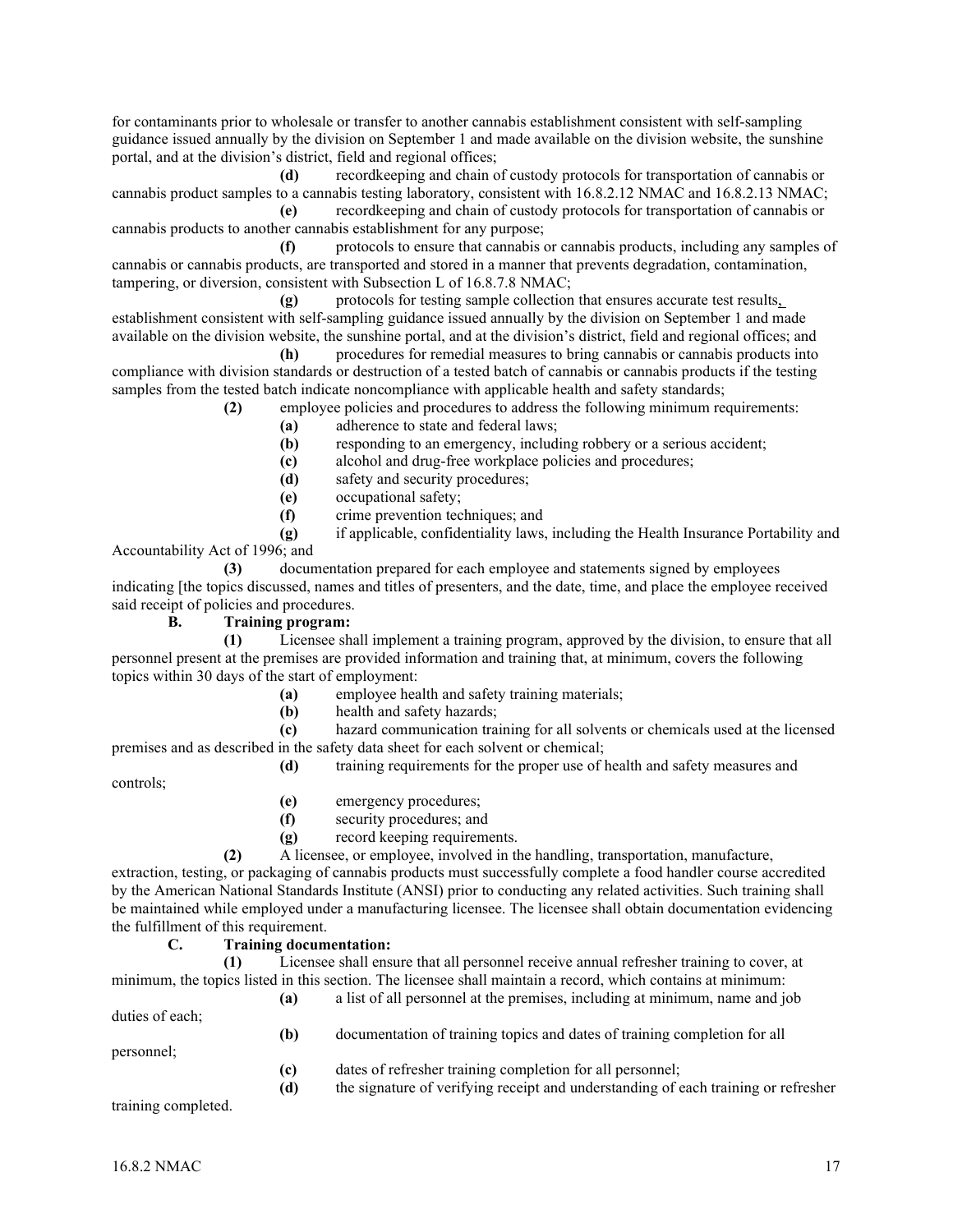for contaminants prior to wholesale or transfer to another cannabis establishment consistent with self-sampling guidance issued annually by the division on September 1 and made available on the division website, the sunshine portal, and at the division's district, field and regional offices;

 **(d)** recordkeeping and chain of custody protocols for transportation of cannabis or cannabis product samples to a cannabis testing laboratory, consistent with 16.8.2.12 NMAC and 16.8.2.13 NMAC;

 **(e)** recordkeeping and chain of custody protocols for transportation of cannabis or cannabis products to another cannabis establishment for any purpose;

 **(f)** protocols to ensure that cannabis or cannabis products, including any samples of cannabis or cannabis products, are transported and stored in a manner that prevents degradation, contamination, tampering, or diversion, consistent with Subsection L of 16.8.7.8 NMAC;

 **(g)** protocols for testing sample collection that ensures accurate test results, establishment consistent with self-sampling guidance issued annually by the division on September 1 and made available on the division website, the sunshine portal, and at the division's district, field and regional offices; and

 **(h)** procedures for remedial measures to bring cannabis or cannabis products into compliance with division standards or destruction of a tested batch of cannabis or cannabis products if the testing samples from the tested batch indicate noncompliance with applicable health and safety standards;

- **(2)** employee policies and procedures to address the following minimum requirements:
	- **(a)** adherence to state and federal laws;
	- **(b)** responding to an emergency, including robbery or a serious accident;
	- **(c)** alcohol and drug-free workplace policies and procedures;
	- **(d)** safety and security procedures;
	- **(e)** occupational safety;
	- **(f)** crime prevention techniques; and

 **(g)** if applicable, confidentiality laws, including the Health Insurance Portability and Accountability Act of 1996; and

 **(3)** documentation prepared for each employee and statements signed by employees indicating [the topics discussed, names and titles of presenters, and the date, time, and place the employee received said receipt of policies and procedures.

## **B. Training program:**

 **(1)** Licensee shall implement a training program, approved by the division, to ensure that all personnel present at the premises are provided information and training that, at minimum, covers the following topics within 30 days of the start of employment:

- **(a)** employee health and safety training materials;
- **(b)** health and safety hazards;

 **(c)** hazard communication training for all solvents or chemicals used at the licensed premises and as described in the safety data sheet for each solvent or chemical;

 **(d)** training requirements for the proper use of health and safety measures and

controls;

- **(e)** emergency procedures;
- **(f)** security procedures; and
- **(g)** record keeping requirements.

 **(2)** A licensee, or employee, involved in the handling, transportation, manufacture,

extraction, testing, or packaging of cannabis products must successfully complete a food handler course accredited by the American National Standards Institute (ANSI) prior to conducting any related activities. Such training shall be maintained while employed under a manufacturing licensee. The licensee shall obtain documentation evidencing the fulfillment of this requirement.

**C. Training documentation: (1)** Licensee shall ensure that all personnel receive annual refresher training to cover, at minimum, the topics listed in this section. The licensee shall maintain a record, which contains at minimum:

 **(a)** a list of all personnel at the premises, including at minimum, name and job duties of each;  **(b)** documentation of training topics and dates of training completion for all

## personnel;

- **(c)** dates of refresher training completion for all personnel;
- **(d)** the signature of verifying receipt and understanding of each training or refresher

training completed.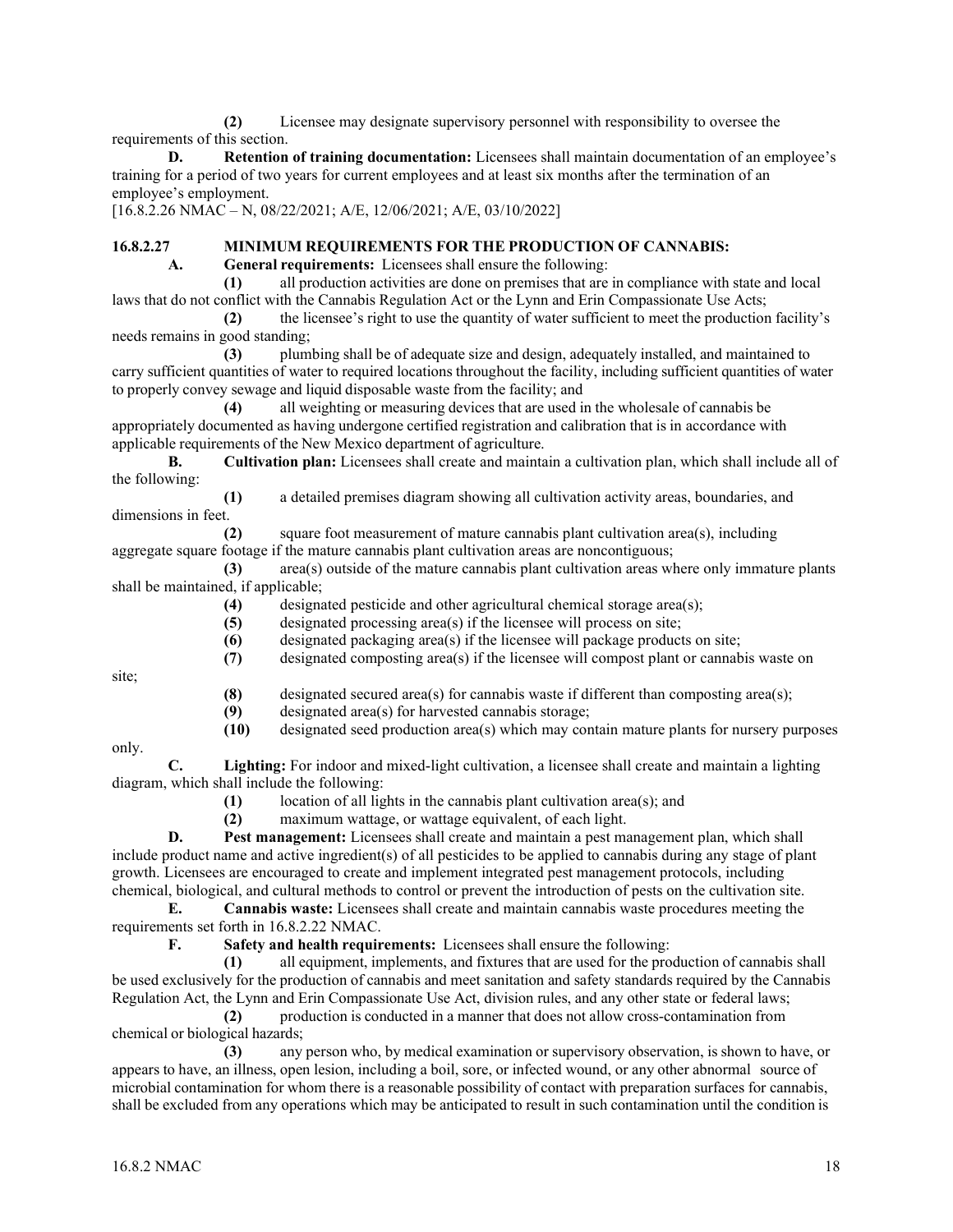**(2)** Licensee may designate supervisory personnel with responsibility to oversee the requirements of this section.

**D. Retention of training documentation:** Licensees shall maintain documentation of an employee's training for a period of two years for current employees and at least six months after the termination of an employee's employment.

[16.8.2.26 NMAC – N, 08/22/2021; A/E, 12/06/2021; A/E, 03/10/2022]

# **16.8.2.27 MINIMUM REQUIREMENTS FOR THE PRODUCTION OF CANNABIS:**

**A. General requirements:** Licensees shall ensure the following:

**(1)** all production activities are done on premises that are in compliance with state and local laws that do not conflict with the Cannabis Regulation Act or the Lynn and Erin Compassionate Use Acts;

**(2)** the licensee's right to use the quantity of water sufficient to meet the production facility's needs remains in good standing;

**(3)** plumbing shall be of adequate size and design, adequately installed, and maintained to carry sufficient quantities of water to required locations throughout the facility, including sufficient quantities of water to properly convey sewage and liquid disposable waste from the facility; and

**(4)** all weighting or measuring devices that are used in the wholesale of cannabis be appropriately documented as having undergone certified registration and calibration that is in accordance with applicable requirements of the New Mexico department of agriculture.

**B. Cultivation plan:** Licensees shall create and maintain a cultivation plan, which shall include all of the following:

**(1)** a detailed premises diagram showing all cultivation activity areas, boundaries, and dimensions in feet.

**(2)** square foot measurement of mature cannabis plant cultivation area(s), including aggregate square footage if the mature cannabis plant cultivation areas are noncontiguous;

**(3)** area(s) outside of the mature cannabis plant cultivation areas where only immature plants shall be maintained, if applicable;

**(4)** designated pesticide and other agricultural chemical storage area(s);

**(5)** designated processing area(s) if the licensee will process on site;

**(6)** designated packaging area(s) if the licensee will package products on site;

**(7)** designated composting area(s) if the licensee will compost plant or cannabis waste on

site;

- (8) designated secured area(s) for cannabis waste if different than composting area(s);<br>(9) designated area(s) for harvested cannabis storage:
- designated area(s) for harvested cannabis storage;

**(10)** designated seed production area(s) which may contain mature plants for nursery purposes

only.

**C. Lighting:** For indoor and mixed-light cultivation, a licensee shall create and maintain a lighting diagram, which shall include the following:

**(1)** location of all lights in the cannabis plant cultivation area(s); and

**(2)** maximum wattage, or wattage equivalent, of each light.

**D. Pest management:** Licensees shall create and maintain a pest management plan, which shall include product name and active ingredient(s) of all pesticides to be applied to cannabis during any stage of plant growth. Licensees are encouraged to create and implement integrated pest management protocols, including chemical, biological, and cultural methods to control or prevent the introduction of pests on the cultivation site.

**E. Cannabis waste:** Licensees shall create and maintain cannabis waste procedures meeting the requirements set forth in 16.8.2.22 NMAC.

**F. Safety and health requirements:** Licensees shall ensure the following:

**(1)** all equipment, implements, and fixtures that are used for the production of cannabis shall be used exclusively for the production of cannabis and meet sanitation and safety standards required by the Cannabis Regulation Act, the Lynn and Erin Compassionate Use Act, division rules, and any other state or federal laws;

**(2)** production is conducted in a manner that does not allow cross-contamination from chemical or biological hazards;

**(3)** any person who, by medical examination or supervisory observation, is shown to have, or appears to have, an illness, open lesion, including a boil, sore, or infected wound, or any other abnormal source of microbial contamination for whom there is a reasonable possibility of contact with preparation surfaces for cannabis, shall be excluded from any operations which may be anticipated to result in such contamination until the condition is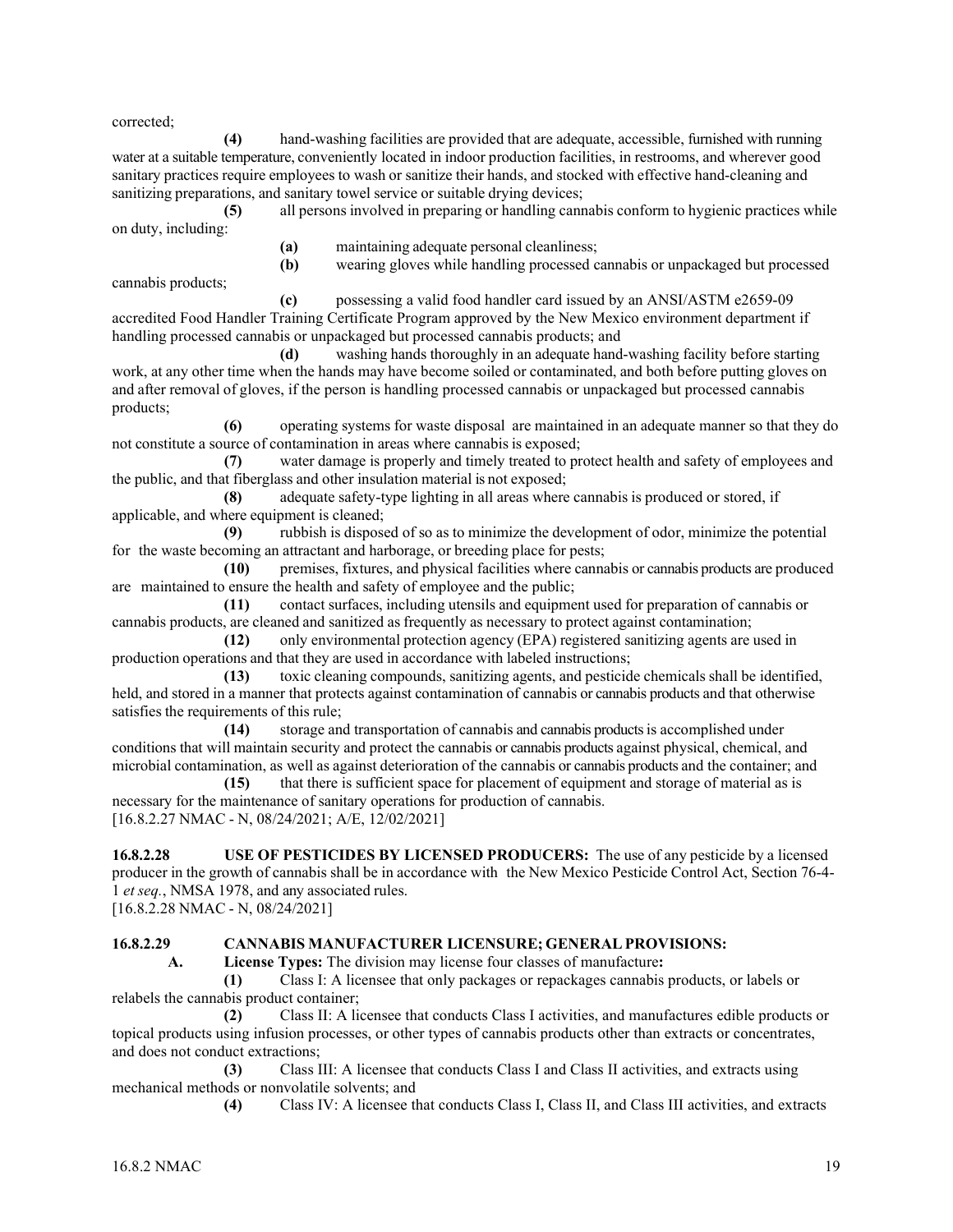corrected;

**(4)** hand-washing facilities are provided that are adequate, accessible, furnished with running water at a suitable temperature, conveniently located in indoor production facilities, in restrooms, and wherever good sanitary practices require employees to wash or sanitize their hands, and stocked with effective hand-cleaning and sanitizing preparations, and sanitary towel service or suitable drying devices;

**(5)** all persons involved in preparing or handling cannabis conform to hygienic practices while on duty, including:

**(b)** wearing gloves while handling processed cannabis or unpackaged but processed

**(a)** maintaining adequate personal cleanliness;

cannabis products;

**(c)** possessing a valid food handler card issued by an ANSI/ASTM e2659-09 accredited Food Handler Training Certificate Program approved by the New Mexico environment department if handling processed cannabis or unpackaged but processed cannabis products; and

**(d)** washing hands thoroughly in an adequate hand-washing facility before starting work, at any other time when the hands may have become soiled or contaminated, and both before putting gloves on and after removal of gloves, if the person is handling processed cannabis or unpackaged but processed cannabis products;

**(6)** operating systems for waste disposal are maintained in an adequate manner so that they do not constitute a source of contamination in areas where cannabis is exposed;

**(7)** water damage is properly and timely treated to protect health and safety of employees and the public, and that fiberglass and other insulation material is not exposed;

**(8)** adequate safety-type lighting in all areas where cannabis is produced or stored, if applicable, and where equipment is cleaned;

**(9)** rubbish is disposed of so as to minimize the development of odor, minimize the potential for the waste becoming an attractant and harborage, or breeding place for pests;

**(10)** premises, fixtures, and physical facilities where cannabis or cannabis products are produced are maintained to ensure the health and safety of employee and the public;

**(11)** contact surfaces, including utensils and equipment used for preparation of cannabis or cannabis products, are cleaned and sanitized as frequently as necessary to protect against contamination;

**(12)** only environmental protection agency (EPA) registered sanitizing agents are used in production operations and that they are used in accordance with labeled instructions;

**(13)** toxic cleaning compounds, sanitizing agents, and pesticide chemicals shall be identified, held, and stored in a manner that protects against contamination of cannabis or cannabis products and that otherwise satisfies the requirements of this rule;

**(14)** storage and transportation of cannabis and cannabis products is accomplished under conditions that will maintain security and protect the cannabis or cannabis products against physical, chemical, and microbial contamination, as well as against deterioration of the cannabis or cannabis products and the container; and

**(15)** that there is sufficient space for placement of equipment and storage of material as is necessary for the maintenance of sanitary operations for production of cannabis. [16.8.2.27 NMAC - N, 08/24/2021; A/E, 12/02/2021]

**16.8.2.28 USE OF PESTICIDES BY LICENSED PRODUCERS:** The use of any pesticide by a licensed producer in the growth of cannabis shall be in accordance with the New Mexico Pesticide Control Act, Section 76-4- 1 *et seq.*, NMSA 1978, and any associated rules.

[16.8.2.28 NMAC - N, 08/24/2021]

## **16.8.2.29 CANNABIS MANUFACTURER LICENSURE; GENERALPROVISIONS:**

**A. License Types:** The division may license four classes of manufacture**:**

**(1)** Class I: A licensee that only packages or repackages cannabis products, or labels or relabels the cannabis product container;

**(2)** Class II: A licensee that conducts Class I activities, and manufactures edible products or topical products using infusion processes, or other types of cannabis products other than extracts or concentrates, and does not conduct extractions;

**(3)** Class III: A licensee that conducts Class I and Class II activities, and extracts using mechanical methods or nonvolatile solvents; and

**(4)** Class IV: A licensee that conducts Class I, Class II, and Class III activities, and extracts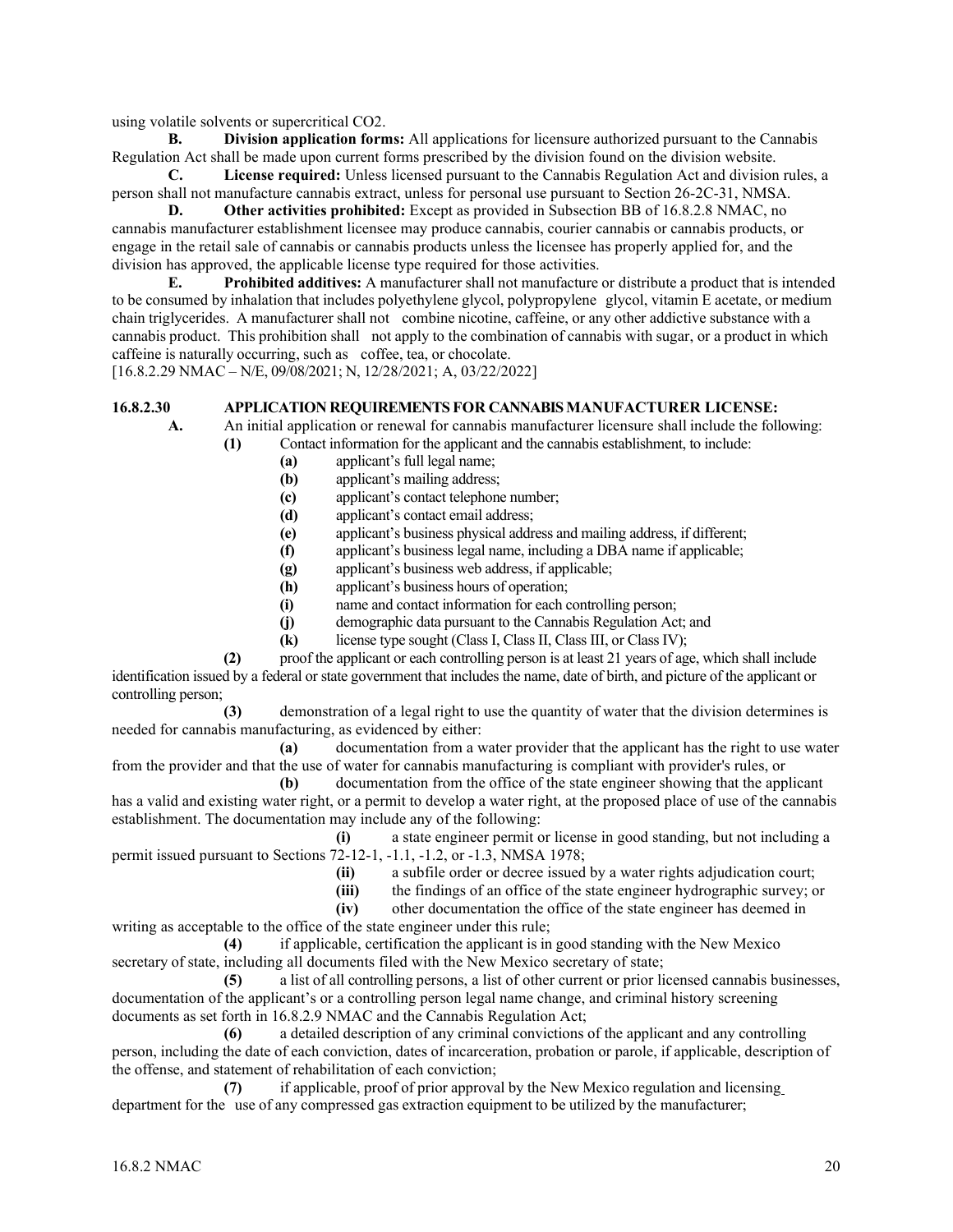using volatile solvents or supercritical CO2.

**B. Division application forms:** All applications for licensure authorized pursuant to the Cannabis Regulation Act shall be made upon current forms prescribed by the division found on the division website.

**C. License required:** Unless licensed pursuant to the Cannabis Regulation Act and division rules, a person shall not manufacture cannabis extract, unless for personal use pursuant to Section 26-2C-31, NMSA.

**D. Other activities prohibited:** Except as provided in Subsection BB of 16.8.2.8 NMAC, no cannabis manufacturer establishment licensee may produce cannabis, courier cannabis or cannabis products, or engage in the retail sale of cannabis or cannabis products unless the licensee has properly applied for, and the division has approved, the applicable license type required for those activities.

**E. Prohibited additives:** A manufacturer shall not manufacture or distribute a product that is intended to be consumed by inhalation that includes polyethylene glycol, polypropylene glycol, vitamin E acetate, or medium chain triglycerides. A manufacturer shall not combine nicotine, caffeine, or any other addictive substance with a cannabis product. This prohibition shall not apply to the combination of cannabis with sugar, or a product in which caffeine is naturally occurring, such as coffee, tea, or chocolate.

[16.8.2.29 NMAC – N/E, 09/08/2021; N, 12/28/2021; A, 03/22/2022]

#### **16.8.2.30 APPLICATION REQUIREMENTS FOR CANNABIS MANUFACTURER LICENSE:**

**A.** An initial application or renewal for cannabis manufacturer licensure shall include the following:

- **(1)** Contact information for the applicant and the cannabis establishment, to include:
	- **(a)** applicant's full legal name;
	- **(b)** applicant's mailing address;
	- **(c)** applicant's contact telephone number;
	- **(d)** applicant's contact email address;
	- **(e)** applicant's business physical address and mailing address, if different;
	- **(f)** applicant's business legal name, including a DBA name if applicable;
	- **(g)** applicant's business web address, if applicable;
	- **(h)** applicant's business hours of operation;
	- **(i)** name and contact information for each controlling person;
	- **(j)** demographic data pursuant to the Cannabis Regulation Act; and
	- **(k)** license type sought (Class I, Class II, Class III, or Class IV);

 **(2)** proof the applicant or each controlling person is at least 21 years of age, which shall include identification issued by a federal or state government that includes the name, date of birth, and picture of the applicant or controlling person;

 **(3)** demonstration of a legal right to use the quantity of water that the division determines is needed for cannabis manufacturing, as evidenced by either:

 **(a)** documentation from a water provider that the applicant has the right to use water from the provider and that the use of water for cannabis manufacturing is compliant with provider's rules, or

 **(b)** documentation from the office of the state engineer showing that the applicant has a valid and existing water right, or a permit to develop a water right, at the proposed place of use of the cannabis establishment. The documentation may include any of the following:

 **(i)** a state engineer permit or license in good standing, but not including a permit issued pursuant to Sections 72-12-1, -1.1, -1.2, or -1.3, NMSA 1978;

- **(ii)** a subfile order or decree issued by a water rights adjudication court;
- **(iii)** the findings of an office of the state engineer hydrographic survey; or
- **(iv)** other documentation the office of the state engineer has deemed in

writing as acceptable to the office of the state engineer under this rule;

 **(4)** if applicable, certification the applicant is in good standing with the New Mexico secretary of state, including all documents filed with the New Mexico secretary of state;

 **(5)** a list of all controlling persons, a list of other current or prior licensed cannabis businesses, documentation of the applicant's or a controlling person legal name change, and criminal history screening documents as set forth in 16.8.2.9 NMAC and the Cannabis Regulation Act;

 **(6)** a detailed description of any criminal convictions of the applicant and any controlling person, including the date of each conviction, dates of incarceration, probation or parole, if applicable, description of the offense, and statement of rehabilitation of each conviction;

 **(7)** if applicable, proof of prior approval by the New Mexico regulation and licensing department for the use of any compressed gas extraction equipment to be utilized by the manufacturer;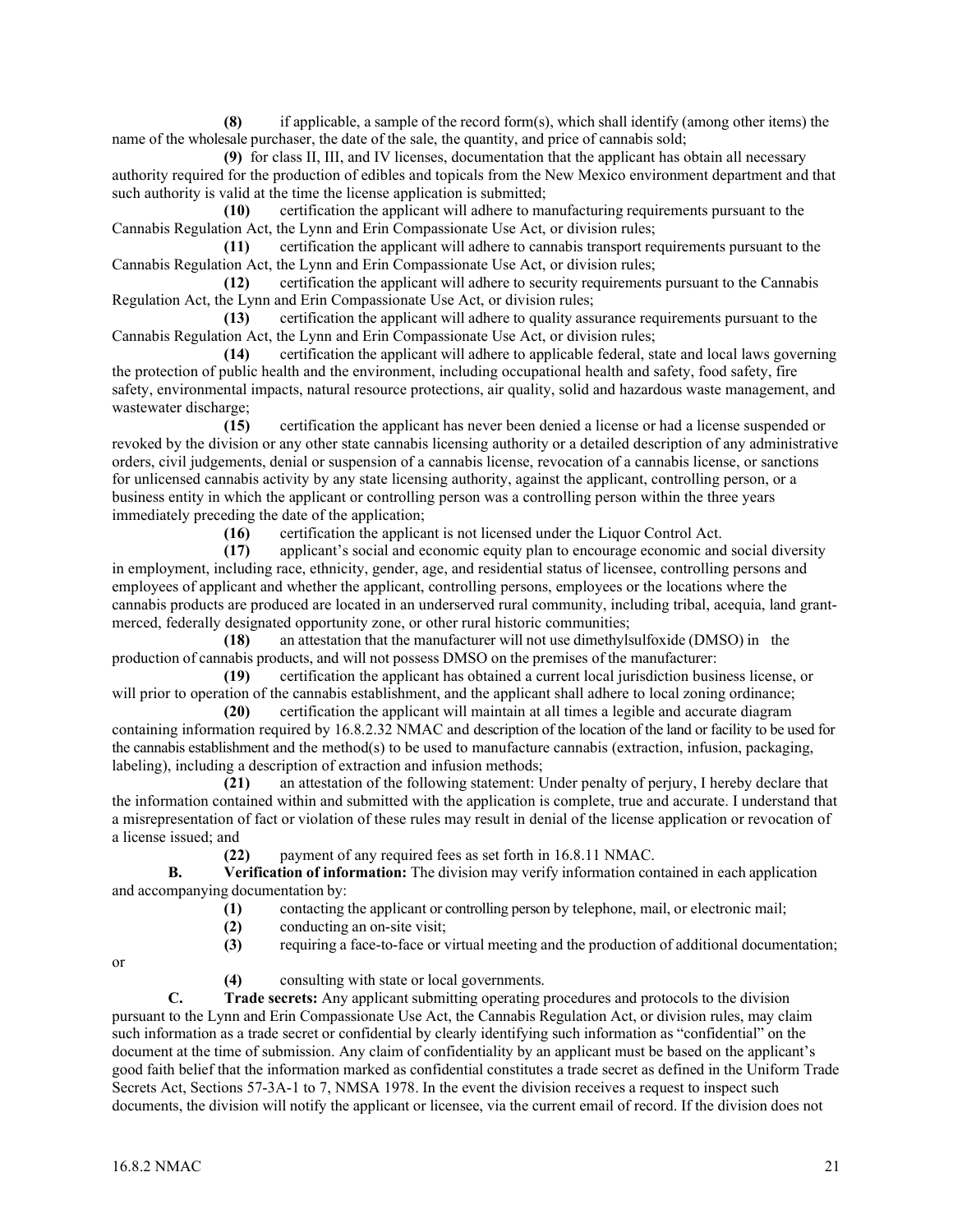**(8)** if applicable, a sample of the record form(s), which shall identify (among other items) the name of the wholesale purchaser, the date of the sale, the quantity, and price of cannabis sold;

**(9)** for class II, III, and IV licenses, documentation that the applicant has obtain all necessary authority required for the production of edibles and topicals from the New Mexico environment department and that such authority is valid at the time the license application is submitted;

**(10)** certification the applicant will adhere to manufacturing requirements pursuant to the Cannabis Regulation Act, the Lynn and Erin Compassionate Use Act, or division rules;

**(11)** certification the applicant will adhere to cannabis transport requirements pursuant to the Cannabis Regulation Act, the Lynn and Erin Compassionate Use Act, or division rules;

**(12)** certification the applicant will adhere to security requirements pursuant to the Cannabis Regulation Act, the Lynn and Erin Compassionate Use Act, or division rules;

**(13)** certification the applicant will adhere to quality assurance requirements pursuant to the Cannabis Regulation Act, the Lynn and Erin Compassionate Use Act, or division rules;

**(14)** certification the applicant will adhere to applicable federal, state and local laws governing the protection of public health and the environment, including occupational health and safety, food safety, fire safety, environmental impacts, natural resource protections, air quality, solid and hazardous waste management, and wastewater discharge;

**(15)** certification the applicant has never been denied a license or had a license suspended or revoked by the division or any other state cannabis licensing authority or a detailed description of any administrative orders, civil judgements, denial or suspension of a cannabis license, revocation of a cannabis license, or sanctions for unlicensed cannabis activity by any state licensing authority, against the applicant, controlling person, or a business entity in which the applicant or controlling person was a controlling person within the three years immediately preceding the date of the application;

**(16)** certification the applicant is not licensed under the Liquor Control Act.

**(17)** applicant's social and economic equity plan to encourage economic and social diversity in employment, including race, ethnicity, gender, age, and residential status of licensee, controlling persons and employees of applicant and whether the applicant, controlling persons, employees or the locations where the cannabis products are produced are located in an underserved rural community, including tribal, acequia, land grantmerced, federally designated opportunity zone, or other rural historic communities;

**(18)** an attestation that the manufacturer will not use dimethylsulfoxide (DMSO) in the production of cannabis products, and will not possess DMSO on the premises of the manufacturer:

**(19)** certification the applicant has obtained a current local jurisdiction business license, or will prior to operation of the cannabis establishment, and the applicant shall adhere to local zoning ordinance;

**(20)** certification the applicant will maintain at all times a legible and accurate diagram containing information required by 16.8.2.32 NMAC and description of the location of the land or facility to be used for the cannabis establishment and the method(s) to be used to manufacture cannabis (extraction, infusion, packaging, labeling), including a description of extraction and infusion methods;

**(21)** an attestation of the following statement: Under penalty of perjury, I hereby declare that the information contained within and submitted with the application is complete, true and accurate. I understand that a misrepresentation of fact or violation of these rules may result in denial of the license application or revocation of a license issued; and

**(22)** payment of any required fees as set forth in 16.8.11 NMAC.

**B. Verification of information:** The division may verify information contained in each application and accompanying documentation by:

- (1) contacting the applicant or controlling person by telephone, mail, or electronic mail;<br>(2) conducting an on-site visit;
	- **(2)** conducting an on-site visit;
- **(3)** requiring a face-to-face or virtual meeting and the production of additional documentation;

or

**(4)** consulting with state or local governments.

**C. Trade secrets:** Any applicant submitting operating procedures and protocols to the division pursuant to the Lynn and Erin Compassionate Use Act, the Cannabis Regulation Act, or division rules, may claim such information as a trade secret or confidential by clearly identifying such information as "confidential" on the document at the time of submission. Any claim of confidentiality by an applicant must be based on the applicant's good faith belief that the information marked as confidential constitutes a trade secret as defined in the Uniform Trade Secrets Act, Sections 57-3A-1 to 7, NMSA 1978. In the event the division receives a request to inspect such documents, the division will notify the applicant or licensee, via the current email of record. If the division does not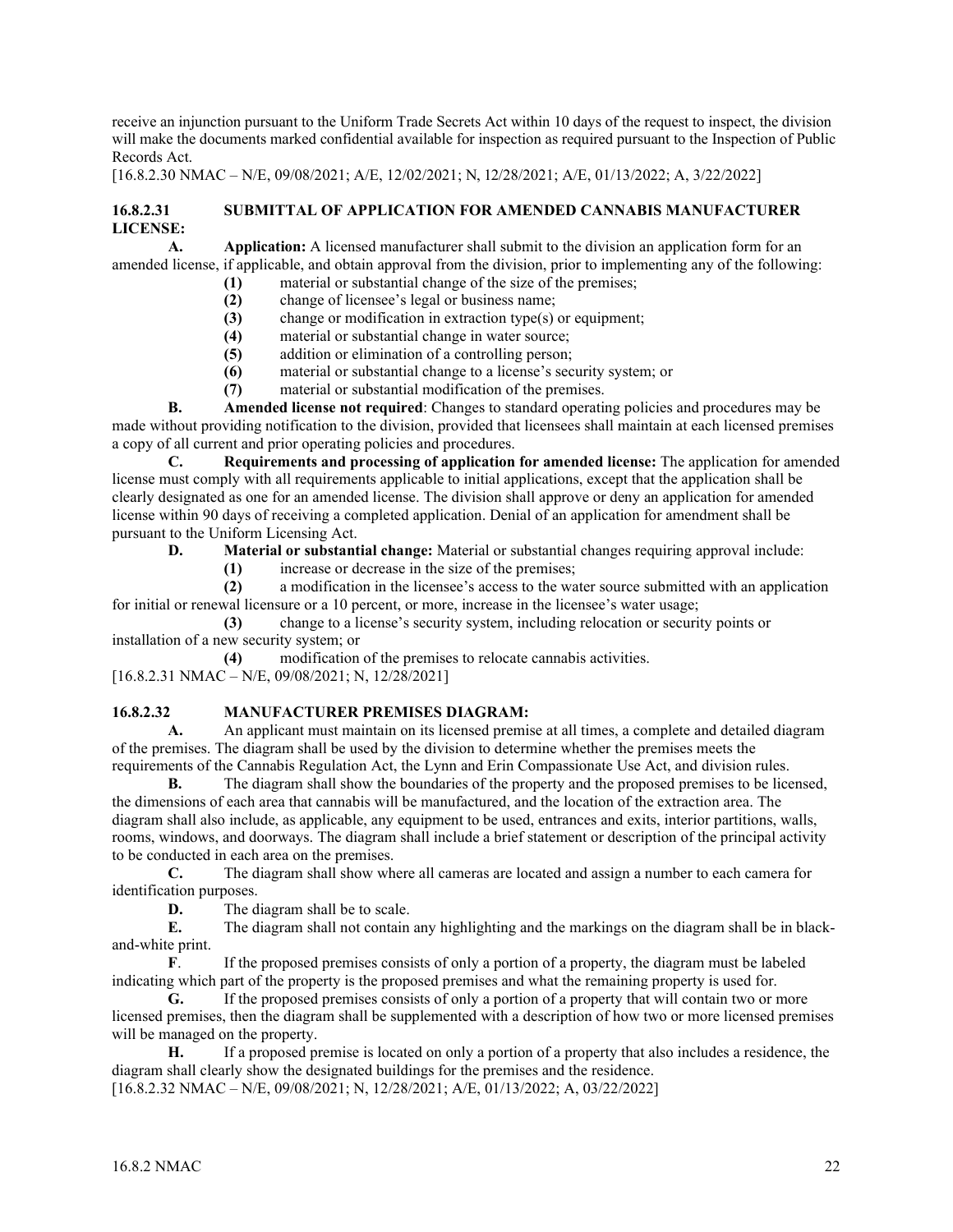receive an injunction pursuant to the Uniform Trade Secrets Act within 10 days of the request to inspect, the division will make the documents marked confidential available for inspection as required pursuant to the Inspection of Public Records Act.

[16.8.2.30 NMAC – N/E, 09/08/2021; A/E, 12/02/2021; N, 12/28/2021; A/E, 01/13/2022; A, 3/22/2022]

## **16.8.2.31 SUBMITTAL OF APPLICATION FOR AMENDED CANNABIS MANUFACTURER LICENSE:**

**A. Application:** A licensed manufacturer shall submit to the division an application form for an amended license, if applicable, and obtain approval from the division, prior to implementing any of the following:

- **(1)** material or substantial change of the size of the premises;
	- **(2)** change of licensee's legal or business name;
	- **(3)** change or modification in extraction type(s) or equipment;
	- **(4)** material or substantial change in water source;
	- **(5)** addition or elimination of a controlling person;
	- **(6)** material or substantial change to a license's security system; or
	- **(7)** material or substantial modification of the premises.

**B. Amended license not required**: Changes to standard operating policies and procedures may be made without providing notification to the division, provided that licensees shall maintain at each licensed premises a copy of all current and prior operating policies and procedures.

**C. Requirements and processing of application for amended license:** The application for amended license must comply with all requirements applicable to initial applications, except that the application shall be clearly designated as one for an amended license. The division shall approve or deny an application for amended license within 90 days of receiving a completed application. Denial of an application for amendment shall be pursuant to the Uniform Licensing Act.

**D. Material or substantial change:** Material or substantial changes requiring approval include:

**(1)** increase or decrease in the size of the premises;

**(2)** a modification in the licensee's access to the water source submitted with an application for initial or renewal licensure or a 10 percent, or more, increase in the licensee's water usage;

**(3)** change to a license's security system, including relocation or security points or installation of a new security system; or

**(4)** modification of the premises to relocate cannabis activities. [16.8.2.31 NMAC – N/E, 09/08/2021; N, 12/28/2021]

## **16.8.2.32 MANUFACTURER PREMISES DIAGRAM:**

**A.** An applicant must maintain on its licensed premise at all times, a complete and detailed diagram of the premises. The diagram shall be used by the division to determine whether the premises meets the requirements of the Cannabis Regulation Act, the Lynn and Erin Compassionate Use Act, and division rules.

**B.** The diagram shall show the boundaries of the property and the proposed premises to be licensed, the dimensions of each area that cannabis will be manufactured, and the location of the extraction area. The diagram shall also include, as applicable, any equipment to be used, entrances and exits, interior partitions, walls, rooms, windows, and doorways. The diagram shall include a brief statement or description of the principal activity to be conducted in each area on the premises.

**C.** The diagram shall show where all cameras are located and assign a number to each camera for identification purposes.

**D.** The diagram shall be to scale.

**E.** The diagram shall not contain any highlighting and the markings on the diagram shall be in blackand-white print.

**F**. If the proposed premises consists of only a portion of a property, the diagram must be labeled indicating which part of the property is the proposed premises and what the remaining property is used for.

**G.** If the proposed premises consists of only a portion of a property that will contain two or more licensed premises, then the diagram shall be supplemented with a description of how two or more licensed premises will be managed on the property.<br> **H.** If a proposed proposed proposed proposed proposed proposed proposed proposed proposed proposed by  $\frac{1}{2}$ 

**H.** If a proposed premise is located on only a portion of a property that also includes a residence, the diagram shall clearly show the designated buildings for the premises and the residence. [16.8.2.32 NMAC – N/E, 09/08/2021; N, 12/28/2021; A/E, 01/13/2022; A, 03/22/2022]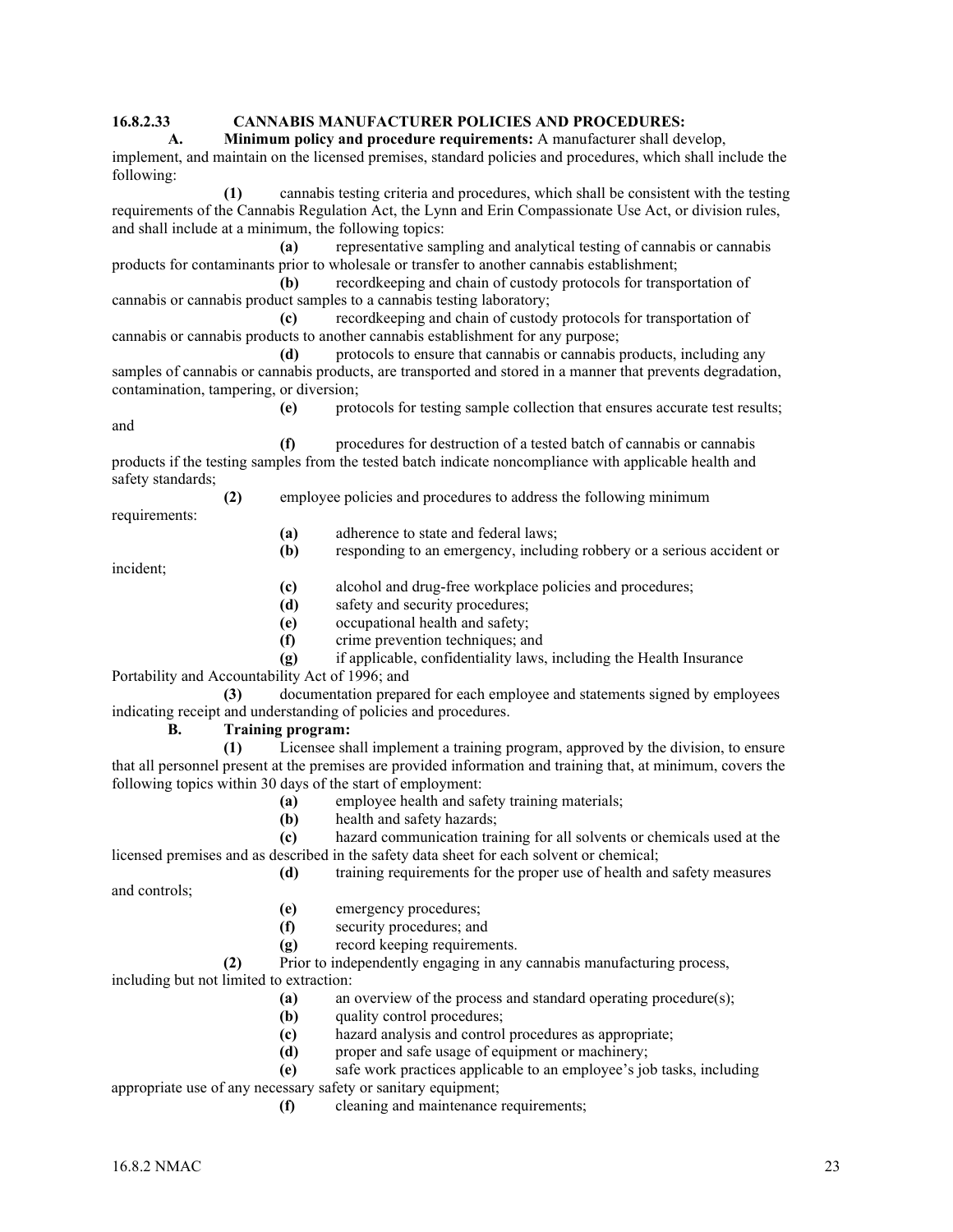## **16.8.2.33 CANNABIS MANUFACTURER POLICIES AND PROCEDURES:**

**A. Minimum policy and procedure requirements:** A manufacturer shall develop, implement, and maintain on the licensed premises, standard policies and procedures, which shall include the following:

**(1)** cannabis testing criteria and procedures, which shall be consistent with the testing requirements of the Cannabis Regulation Act, the Lynn and Erin Compassionate Use Act, or division rules, and shall include at a minimum, the following topics:

**(a)** representative sampling and analytical testing of cannabis or cannabis products for contaminants prior to wholesale or transfer to another cannabis establishment;

**(b)** recordkeeping and chain of custody protocols for transportation of cannabis or cannabis product samples to a cannabis testing laboratory;

**(c)** recordkeeping and chain of custody protocols for transportation of cannabis or cannabis products to another cannabis establishment for any purpose;

**(d)** protocols to ensure that cannabis or cannabis products, including any samples of cannabis or cannabis products, are transported and stored in a manner that prevents degradation, contamination, tampering, or diversion;

and

**(e)** protocols for testing sample collection that ensures accurate test results;

**(f)** procedures for destruction of a tested batch of cannabis or cannabis products if the testing samples from the tested batch indicate noncompliance with applicable health and safety standards;

**(2)** employee policies and procedures to address the following minimum

requirements:

- **(a)** adherence to state and federal laws;
- **(b)** responding to an emergency, including robbery or a serious accident or

incident;

**(c)** alcohol and drug-free workplace policies and procedures;

- **(d)** safety and security procedures;
- **(e)** occupational health and safety;
- **(f)** crime prevention techniques; and
- **(g)** if applicable, confidentiality laws, including the Health Insurance

Portability and Accountability Act of 1996; and **(3)** documentation prepared for each employee and statements signed by employees

indicating receipt and understanding of policies and procedures.

**B. Training program:** 

**(1)** Licensee shall implement a training program, approved by the division, to ensure that all personnel present at the premises are provided information and training that, at minimum, covers the following topics within 30 days of the start of employment:

- **(a)** employee health and safety training materials;
- **(b)** health and safety hazards;

**(c)** hazard communication training for all solvents or chemicals used at the licensed premises and as described in the safety data sheet for each solvent or chemical;

**(d)** training requirements for the proper use of health and safety measures

and controls;

- **(e)** emergency procedures;
- **(f)** security procedures; and
- **(g)** record keeping requirements.

**(2)** Prior to independently engaging in any cannabis manufacturing process, including but not limited to extraction:

- **(a)** an overview of the process and standard operating procedure(s);
- **(b)** quality control procedures;
- **(c)** hazard analysis and control procedures as appropriate;
- **(d)** proper and safe usage of equipment or machinery;

**(e)** safe work practices applicable to an employee's job tasks, including

appropriate use of any necessary safety or sanitary equipment;

**(f)** cleaning and maintenance requirements;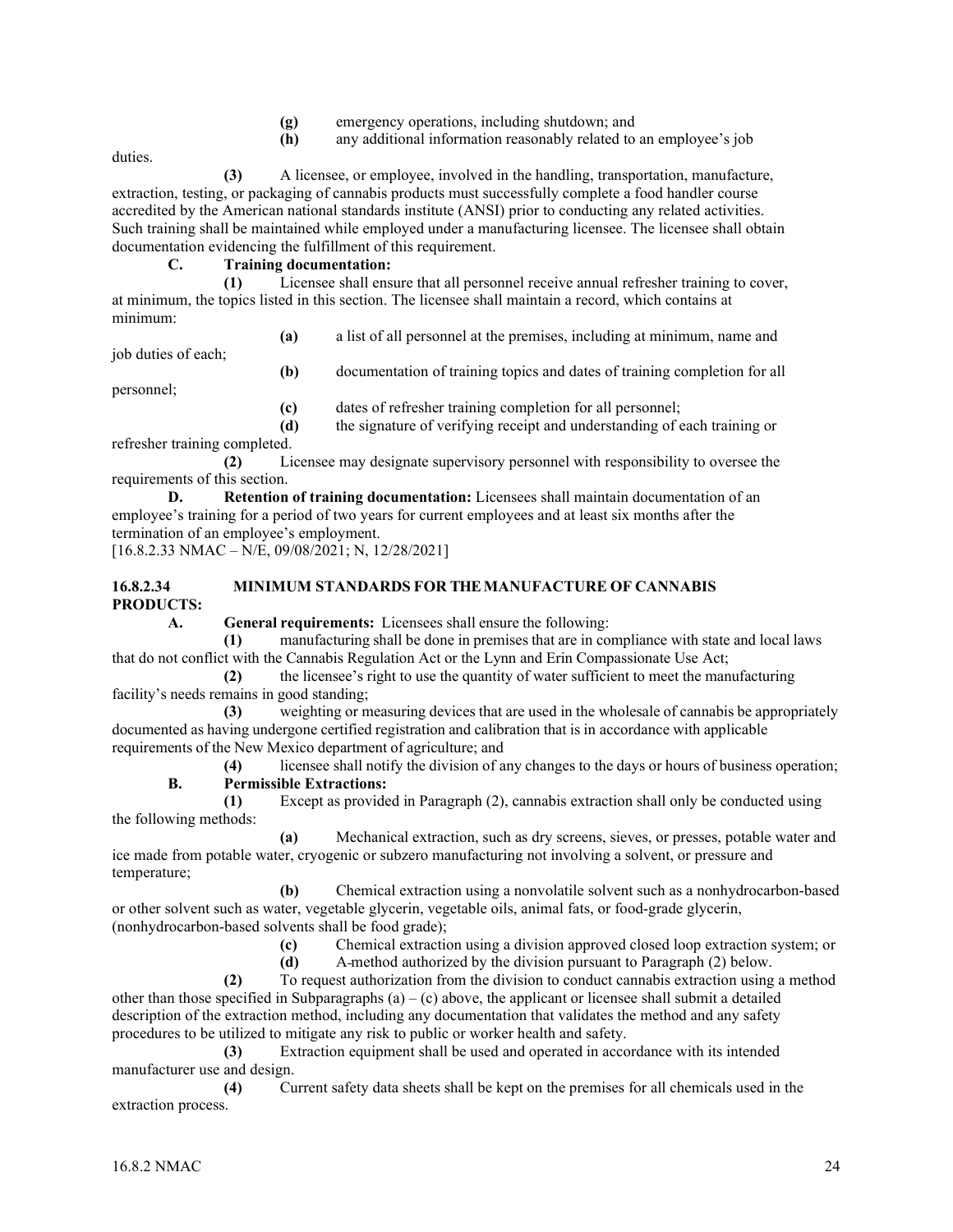- **(g)** emergency operations, including shutdown; and
- **(h)** any additional information reasonably related to an employee's job

duties.

 **(3)** A licensee, or employee, involved in the handling, transportation, manufacture, extraction, testing, or packaging of cannabis products must successfully complete a food handler course accredited by the American national standards institute (ANSI) prior to conducting any related activities. Such training shall be maintained while employed under a manufacturing licensee. The licensee shall obtain documentation evidencing the fulfillment of this requirement.

## **C. Training documentation:**

 **(1)** Licensee shall ensure that all personnel receive annual refresher training to cover, at minimum, the topics listed in this section. The licensee shall maintain a record, which contains at minimum:

**(a)** a list of all personnel at the premises, including at minimum, name and

job duties of each;

personnel;

**(b)** documentation of training topics and dates of training completion for all

**(c)** dates of refresher training completion for all personnel;

 **(d)** the signature of verifying receipt and understanding of each training or refresher training completed.

 **(2)** Licensee may designate supervisory personnel with responsibility to oversee the requirements of this section.

**D. Retention of training documentation:** Licensees shall maintain documentation of an employee's training for a period of two years for current employees and at least six months after the termination of an employee's employment.

[16.8.2.33 NMAC – N/E, 09/08/2021; N, 12/28/2021]

## **16.8.2.34 MINIMUM STANDARDS FOR THE MANUFACTURE OF CANNABIS PRODUCTS:**

**A. General requirements:** Licensees shall ensure the following:

 **(1)** manufacturing shall be done in premises that are in compliance with state and local laws that do not conflict with the Cannabis Regulation Act or the Lynn and Erin Compassionate Use Act;

 **(2)** the licensee's right to use the quantity of water sufficient to meet the manufacturing facility's needs remains in good standing;

 **(3)** weighting or measuring devices that are used in the wholesale of cannabis be appropriately documented as having undergone certified registration and calibration that is in accordance with applicable requirements of the New Mexico department of agriculture; and

 **(4)** licensee shall notify the division of any changes to the days or hours of business operation; **B. Permissible Extractions:**

 **(1)** Except as provided in Paragraph (2), cannabis extraction shall only be conducted using the following methods:

 **(a)** Mechanical extraction, such as dry screens, sieves, or presses, potable water and ice made from potable water, cryogenic or subzero manufacturing not involving a solvent, or pressure and temperature;

 **(b)** Chemical extraction using a nonvolatile solvent such as a nonhydrocarbon-based or other solvent such as water, vegetable glycerin, vegetable oils, animal fats, or food-grade glycerin, (nonhydrocarbon-based solvents shall be food grade);

**(c)** Chemical extraction using a division approved closed loop extraction system; or

**(d)** A method authorized by the division pursuant to Paragraph (2) below.

 **(2)** To request authorization from the division to conduct cannabis extraction using a method other than those specified in Subparagraphs  $(a) - (c)$  above, the applicant or licensee shall submit a detailed description of the extraction method, including any documentation that validates the method and any safety procedures to be utilized to mitigate any risk to public or worker health and safety.

 **(3)** Extraction equipment shall be used and operated in accordance with its intended manufacturer use and design.

 **(4)** Current safety data sheets shall be kept on the premises for all chemicals used in the extraction process.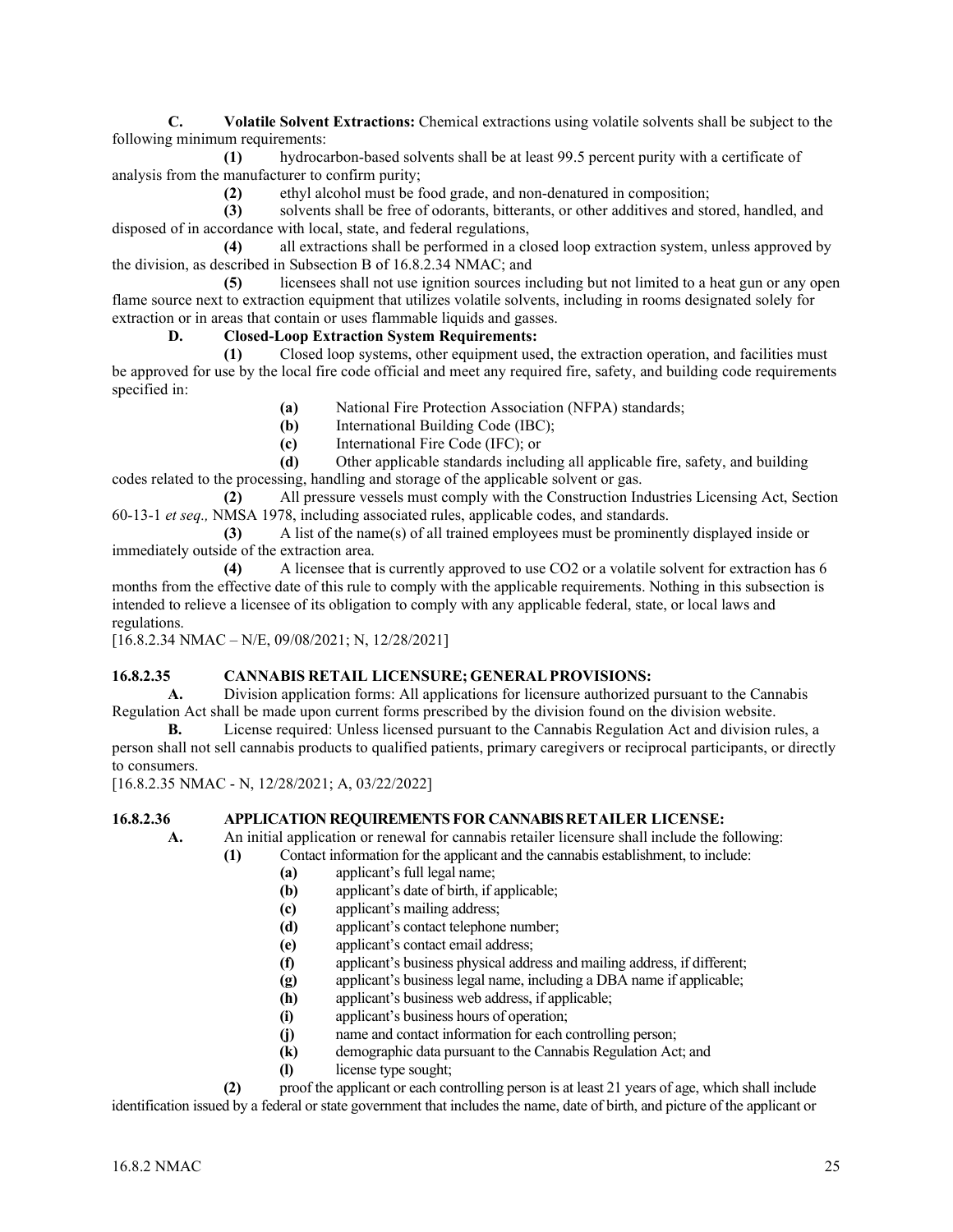**C. Volatile Solvent Extractions:** Chemical extractions using volatile solvents shall be subject to the following minimum requirements:

**(1)** hydrocarbon-based solvents shall be at least 99.5 percent purity with a certificate of analysis from the manufacturer to confirm purity;

**(2)** ethyl alcohol must be food grade, and non-denatured in composition;

**(3)** solvents shall be free of odorants, bitterants, or other additives and stored, handled, and disposed of in accordance with local, state, and federal regulations,

**(4)** all extractions shall be performed in a closed loop extraction system, unless approved by the division, as described in Subsection B of 16.8.2.34 NMAC; and

**(5)** licensees shall not use ignition sources including but not limited to a heat gun or any open flame source next to extraction equipment that utilizes volatile solvents, including in rooms designated solely for extraction or in areas that contain or uses flammable liquids and gasses.

## **D. Closed-Loop Extraction System Requirements:**

**(1)** Closed loop systems, other equipment used, the extraction operation, and facilities must be approved for use by the local fire code official and meet any required fire, safety, and building code requirements specified in:

- **(a)** National Fire Protection Association (NFPA) standards;
- **(b)** International Building Code (IBC);
- **(c)** International Fire Code (IFC); or

**(d)** Other applicable standards including all applicable fire, safety, and building codes related to the processing, handling and storage of the applicable solvent or gas.

**(2)** All pressure vessels must comply with the Construction Industries Licensing Act, Section 60-13-1 *et seq.,* NMSA 1978, including associated rules, applicable codes, and standards.

**(3)** A list of the name(s) of all trained employees must be prominently displayed inside or immediately outside of the extraction area.

**(4)** A licensee that is currently approved to use CO2 or a volatile solvent for extraction has 6 months from the effective date of this rule to comply with the applicable requirements. Nothing in this subsection is intended to relieve a licensee of its obligation to comply with any applicable federal, state, or local laws and regulations.

[16.8.2.34 NMAC – N/E, 09/08/2021; N, 12/28/2021]

## **16.8.2.35 CANNABIS RETAIL LICENSURE; GENERALPROVISIONS:**

**A.** Division application forms: All applications for licensure authorized pursuant to the Cannabis Regulation Act shall be made upon current forms prescribed by the division found on the division website.

**B.** License required: Unless licensed pursuant to the Cannabis Regulation Act and division rules, a person shall not sell cannabis products to qualified patients, primary caregivers or reciprocal participants, or directly to consumers.

[16.8.2.35 NMAC - N, 12/28/2021; A, 03/22/2022]

## **16.8.2.36 APPLICATION REQUIREMENTS FOR CANNABIS RETAILER LICENSE:**

**A.** An initial application or renewal for cannabis retailer licensure shall include the following:

- **(1)** Contact information for the applicant and the cannabis establishment, to include:
	- **(a)** applicant's full legal name;
	- **(b)** applicant's date of birth, if applicable;
	- **(c)** applicant's mailing address;
	- **(d)** applicant's contact telephone number;
	- **(e)** applicant's contact email address;
	- **(f)** applicant's business physical address and mailing address, if different;
	- **(g)** applicant's business legal name, including a DBA name if applicable;
	- **(h)** applicant's business web address, if applicable;
	- **(i)** applicant's business hours of operation;
	- **(j)** name and contact information for each controlling person;
	- **(k)** demographic data pursuant to the Cannabis Regulation Act; and
	- license type sought;

**(2)** proof the applicant or each controlling person is at least 21 years of age, which shall include identification issued by a federal or state government that includes the name, date of birth, and picture of the applicant or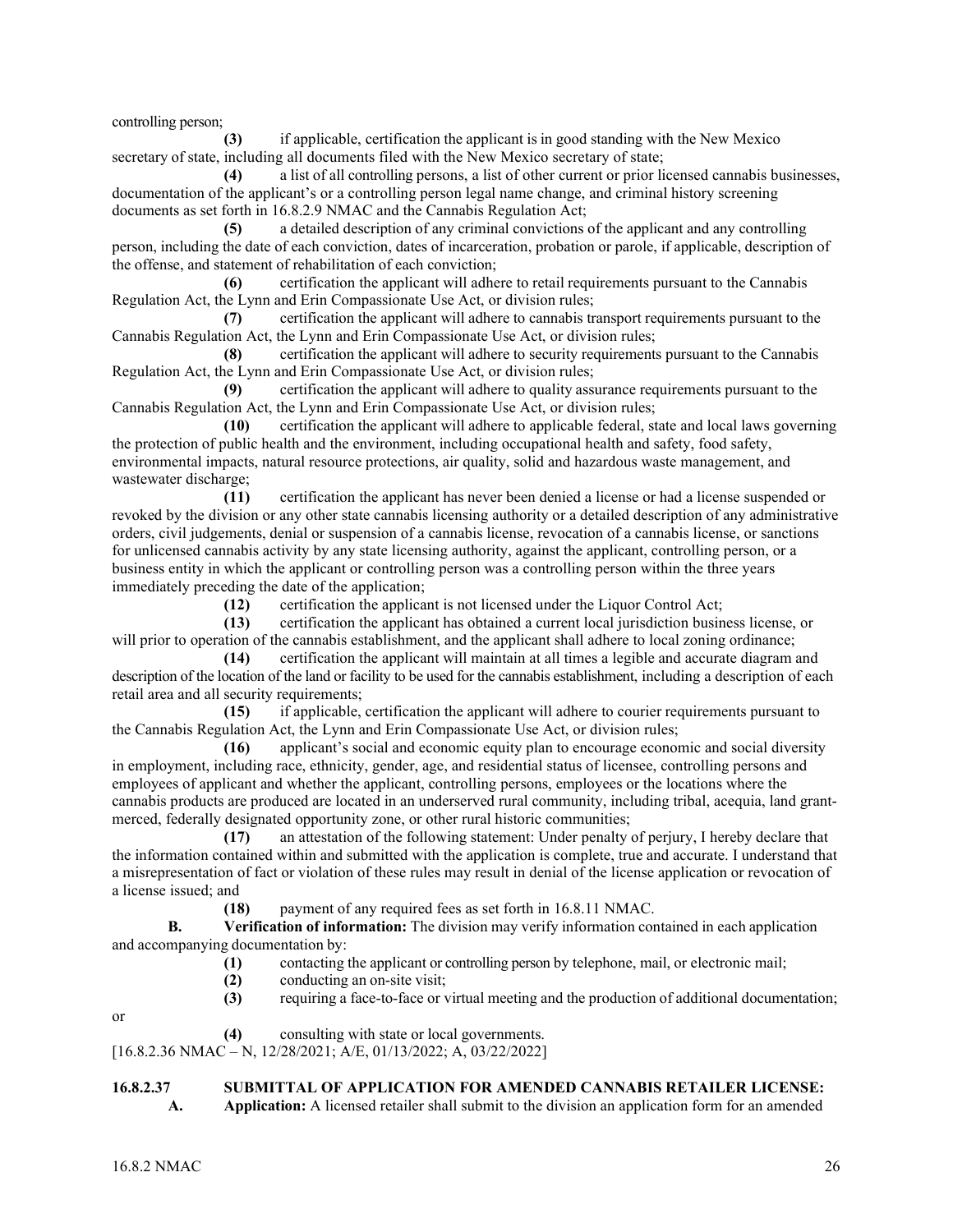controlling person;

**(3)** if applicable, certification the applicant is in good standing with the New Mexico secretary of state, including all documents filed with the New Mexico secretary of state;

**(4)** a list of all controlling persons, a list of other current or prior licensed cannabis businesses, documentation of the applicant's or a controlling person legal name change, and criminal history screening documents as set forth in 16.8.2.9 NMAC and the Cannabis Regulation Act;

**(5)** a detailed description of any criminal convictions of the applicant and any controlling person, including the date of each conviction, dates of incarceration, probation or parole, if applicable, description of the offense, and statement of rehabilitation of each conviction;

**(6)** certification the applicant will adhere to retail requirements pursuant to the Cannabis Regulation Act, the Lynn and Erin Compassionate Use Act, or division rules;

**(7)** certification the applicant will adhere to cannabis transport requirements pursuant to the Cannabis Regulation Act, the Lynn and Erin Compassionate Use Act, or division rules;

**(8)** certification the applicant will adhere to security requirements pursuant to the Cannabis Regulation Act, the Lynn and Erin Compassionate Use Act, or division rules;

**(9)** certification the applicant will adhere to quality assurance requirements pursuant to the Cannabis Regulation Act, the Lynn and Erin Compassionate Use Act, or division rules;

**(10)** certification the applicant will adhere to applicable federal, state and local laws governing the protection of public health and the environment, including occupational health and safety, food safety, environmental impacts, natural resource protections, air quality, solid and hazardous waste management, and wastewater discharge;

**(11)** certification the applicant has never been denied a license or had a license suspended or revoked by the division or any other state cannabis licensing authority or a detailed description of any administrative orders, civil judgements, denial or suspension of a cannabis license, revocation of a cannabis license, or sanctions for unlicensed cannabis activity by any state licensing authority, against the applicant, controlling person, or a business entity in which the applicant or controlling person was a controlling person within the three years immediately preceding the date of the application;

**(12)** certification the applicant is not licensed under the Liquor Control Act;

**(13)** certification the applicant has obtained a current local jurisdiction business license, or will prior to operation of the cannabis establishment, and the applicant shall adhere to local zoning ordinance;

**(14)** certification the applicant will maintain at all times a legible and accurate diagram and description of the location of the land or facility to be used for the cannabis establishment, including a description of each retail area and all security requirements;

**(15)** if applicable, certification the applicant will adhere to courier requirements pursuant to the Cannabis Regulation Act, the Lynn and Erin Compassionate Use Act, or division rules;

**(16)** applicant's social and economic equity plan to encourage economic and social diversity in employment, including race, ethnicity, gender, age, and residential status of licensee, controlling persons and employees of applicant and whether the applicant, controlling persons, employees or the locations where the cannabis products are produced are located in an underserved rural community, including tribal, acequia, land grantmerced, federally designated opportunity zone, or other rural historic communities;

**(17)** an attestation of the following statement: Under penalty of perjury, I hereby declare that the information contained within and submitted with the application is complete, true and accurate. I understand that a misrepresentation of fact or violation of these rules may result in denial of the license application or revocation of a license issued; and

**(18)** payment of any required fees as set forth in 16.8.11 NMAC.

**B. Verification of information:** The division may verify information contained in each application and accompanying documentation by:

- **(1)** contacting the applicant or controlling person by telephone, mail, or electronic mail;
- **(2)** conducting an on-site visit;
- **(3)** requiring a face-to-face or virtual meeting and the production of additional documentation;

or

**(4)** consulting with state or local governments.

[16.8.2.36 NMAC – N, 12/28/2021; A/E, 01/13/2022; A, 03/22/2022]

## **16.8.2.37 SUBMITTAL OF APPLICATION FOR AMENDED CANNABIS RETAILER LICENSE:**

**A. Application:** A licensed retailer shall submit to the division an application form for an amended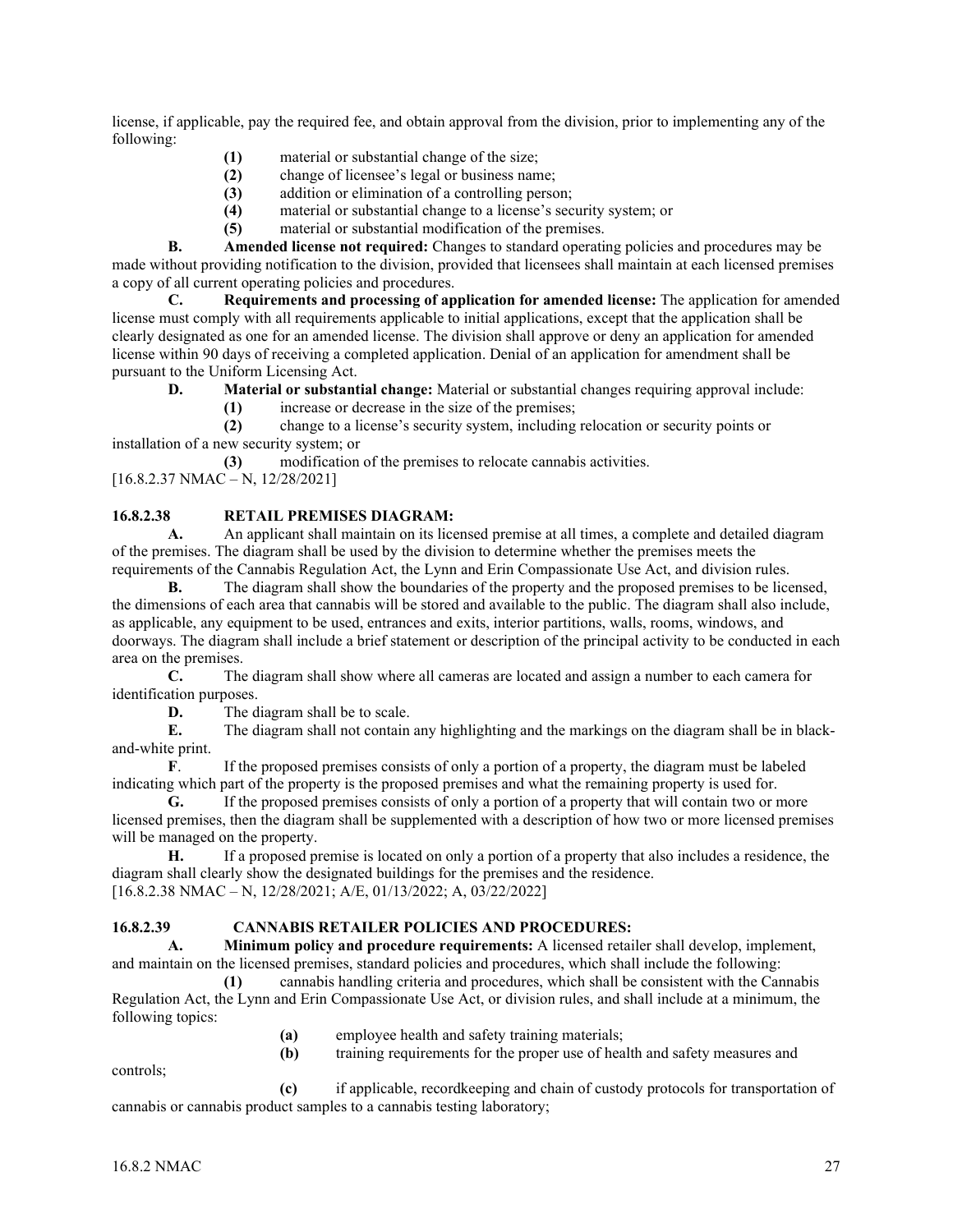license, if applicable, pay the required fee, and obtain approval from the division, prior to implementing any of the following:

- (1) material or substantial change of the size;<br>(2) change of licensee's legal or business nam
- **(2)** change of licensee's legal or business name;
- **(3)** addition or elimination of a controlling person;
- **(4)** material or substantial change to a license's security system; or
- **(5)** material or substantial modification of the premises.

**B. Amended license not required:** Changes to standard operating policies and procedures may be made without providing notification to the division, provided that licensees shall maintain at each licensed premises a copy of all current operating policies and procedures.

**C. Requirements and processing of application for amended license:** The application for amended license must comply with all requirements applicable to initial applications, except that the application shall be clearly designated as one for an amended license. The division shall approve or deny an application for amended license within 90 days of receiving a completed application. Denial of an application for amendment shall be pursuant to the Uniform Licensing Act.

**D. Material or substantial change:** Material or substantial changes requiring approval include:

**(1)** increase or decrease in the size of the premises;

**(2)** change to a license's security system, including relocation or security points or installation of a new security system; or

**(3)** modification of the premises to relocate cannabis activities.

[16.8.2.37 NMAC – N, 12/28/2021]

## **16.8.2.38 RETAIL PREMISES DIAGRAM:**

**A.** An applicant shall maintain on its licensed premise at all times, a complete and detailed diagram of the premises. The diagram shall be used by the division to determine whether the premises meets the requirements of the Cannabis Regulation Act, the Lynn and Erin Compassionate Use Act, and division rules.

**B.** The diagram shall show the boundaries of the property and the proposed premises to be licensed, the dimensions of each area that cannabis will be stored and available to the public. The diagram shall also include, as applicable, any equipment to be used, entrances and exits, interior partitions, walls, rooms, windows, and doorways. The diagram shall include a brief statement or description of the principal activity to be conducted in each area on the premises.

**C.** The diagram shall show where all cameras are located and assign a number to each camera for identification purposes.

**D.** The diagram shall be to scale.<br>**E.** The diagram shall not contain

**E.** The diagram shall not contain any highlighting and the markings on the diagram shall be in blackand-white print.

**F**. If the proposed premises consists of only a portion of a property, the diagram must be labeled indicating which part of the property is the proposed premises and what the remaining property is used for.

**G.** If the proposed premises consists of only a portion of a property that will contain two or more licensed premises, then the diagram shall be supplemented with a description of how two or more licensed premises will be managed on the property.

**H.** If a proposed premise is located on only a portion of a property that also includes a residence, the diagram shall clearly show the designated buildings for the premises and the residence. [16.8.2.38 NMAC – N, 12/28/2021; A/E, 01/13/2022; A, 03/22/2022]

## **16.8.2.39 CANNABIS RETAILER POLICIES AND PROCEDURES:**

**A. Minimum policy and procedure requirements:** A licensed retailer shall develop, implement, and maintain on the licensed premises, standard policies and procedures, which shall include the following:

**(1)** cannabis handling criteria and procedures, which shall be consistent with the Cannabis Regulation Act, the Lynn and Erin Compassionate Use Act, or division rules, and shall include at a minimum, the following topics:

**(a)** employee health and safety training materials;

controls;

**(b)** training requirements for the proper use of health and safety measures and

**(c)** if applicable, recordkeeping and chain of custody protocols for transportation of cannabis or cannabis product samples to a cannabis testing laboratory;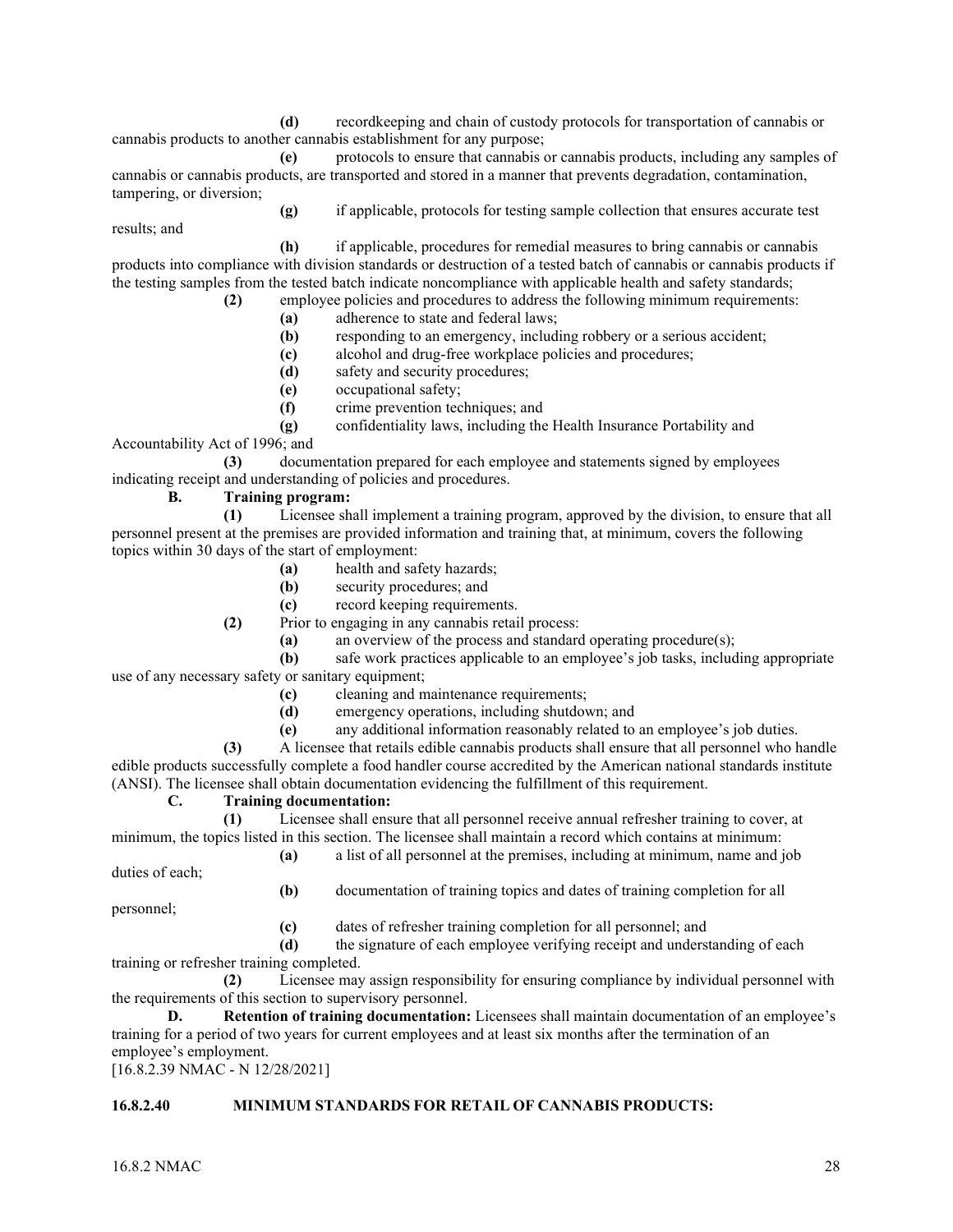**(d)** recordkeeping and chain of custody protocols for transportation of cannabis or cannabis products to another cannabis establishment for any purpose;

**(e)** protocols to ensure that cannabis or cannabis products, including any samples of cannabis or cannabis products, are transported and stored in a manner that prevents degradation, contamination, tampering, or diversion;

**(g)** if applicable, protocols for testing sample collection that ensures accurate test

**(h)** if applicable, procedures for remedial measures to bring cannabis or cannabis products into compliance with division standards or destruction of a tested batch of cannabis or cannabis products if the testing samples from the tested batch indicate noncompliance with applicable health and safety standards;

- **(2)** employee policies and procedures to address the following minimum requirements:
	- **(a)** adherence to state and federal laws;
	- **(b)** responding to an emergency, including robbery or a serious accident;
	- **(c)** alcohol and drug-free workplace policies and procedures;
	- **(d)** safety and security procedures;
	- **(e)** occupational safety;
	- **(f)** crime prevention techniques; and
	- **(g)** confidentiality laws, including the Health Insurance Portability and

Accountability Act of 1996; and

results; and

**(3)** documentation prepared for each employee and statements signed by employees indicating receipt and understanding of policies and procedures.

## **B. Training program:**

**(1)** Licensee shall implement a training program, approved by the division, to ensure that all personnel present at the premises are provided information and training that, at minimum, covers the following topics within 30 days of the start of employment:

- **(a)** health and safety hazards;
- **(b)** security procedures; and
- **(c)** record keeping requirements.

**(2)** Prior to engaging in any cannabis retail process:

**(a)** an overview of the process and standard operating procedure(s);

## **(b)** safe work practices applicable to an employee's job tasks, including appropriate use of any necessary safety or sanitary equipment;

- **(c)** cleaning and maintenance requirements;
- **(d)** emergency operations, including shutdown; and
- **(e)** any additional information reasonably related to an employee's job duties.

**(3)** A licensee that retails edible cannabis products shall ensure that all personnel who handle edible products successfully complete a food handler course accredited by the American national standards institute (ANSI). The licensee shall obtain documentation evidencing the fulfillment of this requirement.

## **C. Training documentation:**

**(1)** Licensee shall ensure that all personnel receive annual refresher training to cover, at minimum, the topics listed in this section. The licensee shall maintain a record which contains at minimum:

**(a)** a list of all personnel at the premises, including at minimum, name and job

duties of each;

**(b)** documentation of training topics and dates of training completion for all

personnel;

**(c)** dates of refresher training completion for all personnel; and

**(d)** the signature of each employee verifying receipt and understanding of each training or refresher training completed.

**(2)** Licensee may assign responsibility for ensuring compliance by individual personnel with the requirements of this section to supervisory personnel.

**D. Retention of training documentation:** Licensees shall maintain documentation of an employee's training for a period of two years for current employees and at least six months after the termination of an employee's employment.

[16.8.2.39 NMAC - N 12/28/2021]

## **16.8.2.40 MINIMUM STANDARDS FOR RETAIL OF CANNABIS PRODUCTS:**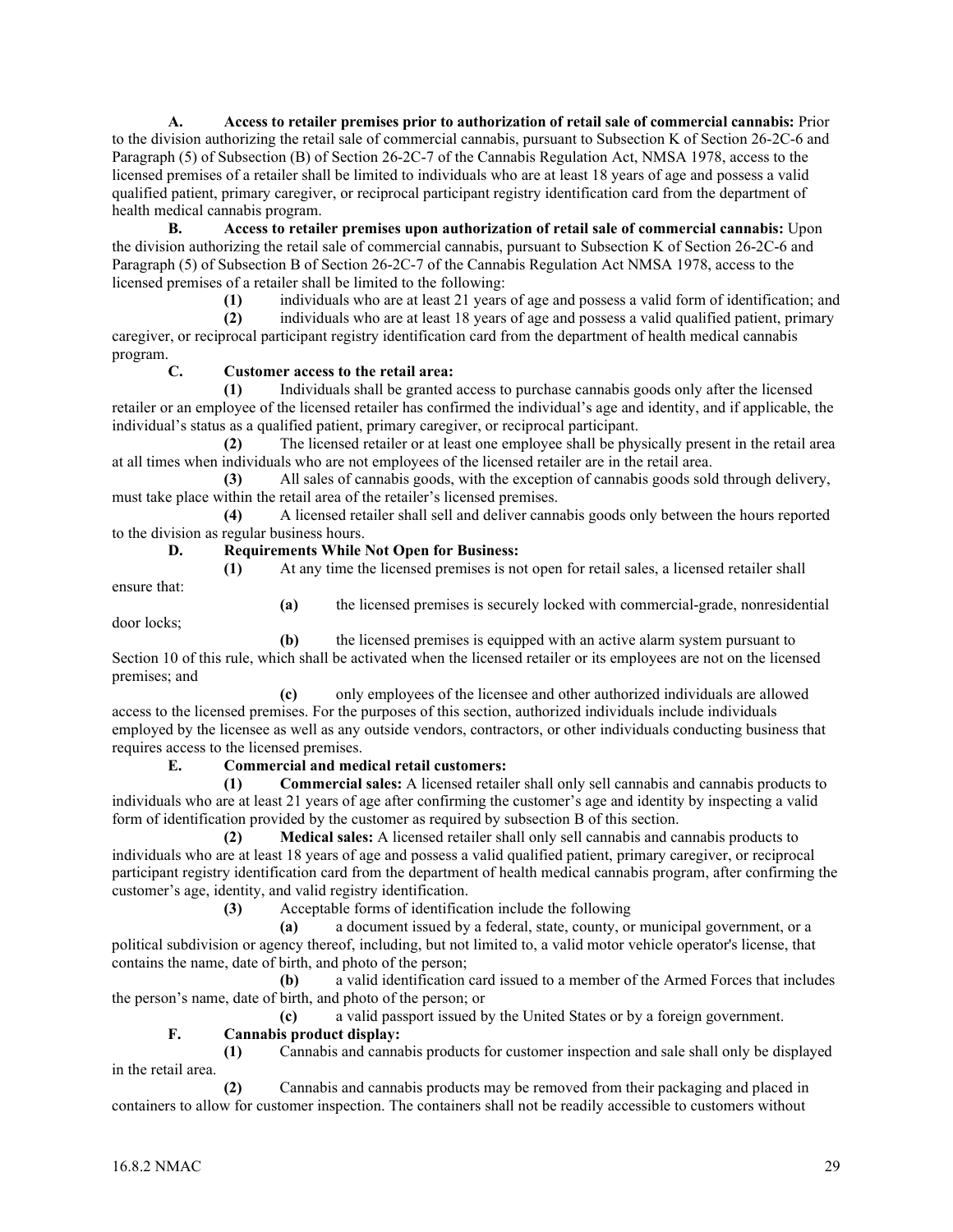**A. Access to retailer premises prior to authorization of retail sale of commercial cannabis:** Prior to the division authorizing the retail sale of commercial cannabis, pursuant to Subsection K of Section 26-2C-6 and Paragraph (5) of Subsection (B) of Section 26-2C-7 of the Cannabis Regulation Act, NMSA 1978, access to the licensed premises of a retailer shall be limited to individuals who are at least 18 years of age and possess a valid qualified patient, primary caregiver, or reciprocal participant registry identification card from the department of health medical cannabis program.

**B. Access to retailer premises upon authorization of retail sale of commercial cannabis:** Upon the division authorizing the retail sale of commercial cannabis, pursuant to Subsection K of Section 26-2C-6 and Paragraph (5) of Subsection B of Section 26-2C-7 of the Cannabis Regulation Act NMSA 1978, access to the licensed premises of a retailer shall be limited to the following:

**(1)** individuals who are at least 21 years of age and possess a valid form of identification; and

**(2)** individuals who are at least 18 years of age and possess a valid qualified patient, primary caregiver, or reciprocal participant registry identification card from the department of health medical cannabis program.

## **C. Customer access to the retail area:**

**(1)** Individuals shall be granted access to purchase cannabis goods only after the licensed retailer or an employee of the licensed retailer has confirmed the individual's age and identity, and if applicable, the individual's status as a qualified patient, primary caregiver, or reciprocal participant.

**(2)** The licensed retailer or at least one employee shall be physically present in the retail area at all times when individuals who are not employees of the licensed retailer are in the retail area.

**(3)** All sales of cannabis goods, with the exception of cannabis goods sold through delivery, must take place within the retail area of the retailer's licensed premises.

**(4)** A licensed retailer shall sell and deliver cannabis goods only between the hours reported to the division as regular business hours.

## **D. Requirements While Not Open for Business:**

**(1)** At any time the licensed premises is not open for retail sales, a licensed retailer shall

ensure that:

door locks;

**(a)** the licensed premises is securely locked with commercial-grade, nonresidential

**(b)** the licensed premises is equipped with an active alarm system pursuant to Section 10 of this rule, which shall be activated when the licensed retailer or its employees are not on the licensed premises; and

**(c)** only employees of the licensee and other authorized individuals are allowed access to the licensed premises. For the purposes of this section, authorized individuals include individuals employed by the licensee as well as any outside vendors, contractors, or other individuals conducting business that requires access to the licensed premises.

## **E. Commercial and medical retail customers:**

**(1) Commercial sales:** A licensed retailer shall only sell cannabis and cannabis products to individuals who are at least 21 years of age after confirming the customer's age and identity by inspecting a valid form of identification provided by the customer as required by subsection B of this section.

**(2) Medical sales:** A licensed retailer shall only sell cannabis and cannabis products to individuals who are at least 18 years of age and possess a valid qualified patient, primary caregiver, or reciprocal participant registry identification card from the department of health medical cannabis program, after confirming the customer's age, identity, and valid registry identification.

**(3)** Acceptable forms of identification include the following

**(a)** a document issued by a federal, state, county, or municipal government, or a political subdivision or agency thereof, including, but not limited to, a valid motor vehicle operator's license, that contains the name, date of birth, and photo of the person;

**(b)** a valid identification card issued to a member of the Armed Forces that includes the person's name, date of birth, and photo of the person; or

**(c)** a valid passport issued by the United States or by a foreign government.

## **F. Cannabis product display:**

**(1)** Cannabis and cannabis products for customer inspection and sale shall only be displayed in the retail area.

**(2)** Cannabis and cannabis products may be removed from their packaging and placed in containers to allow for customer inspection. The containers shall not be readily accessible to customers without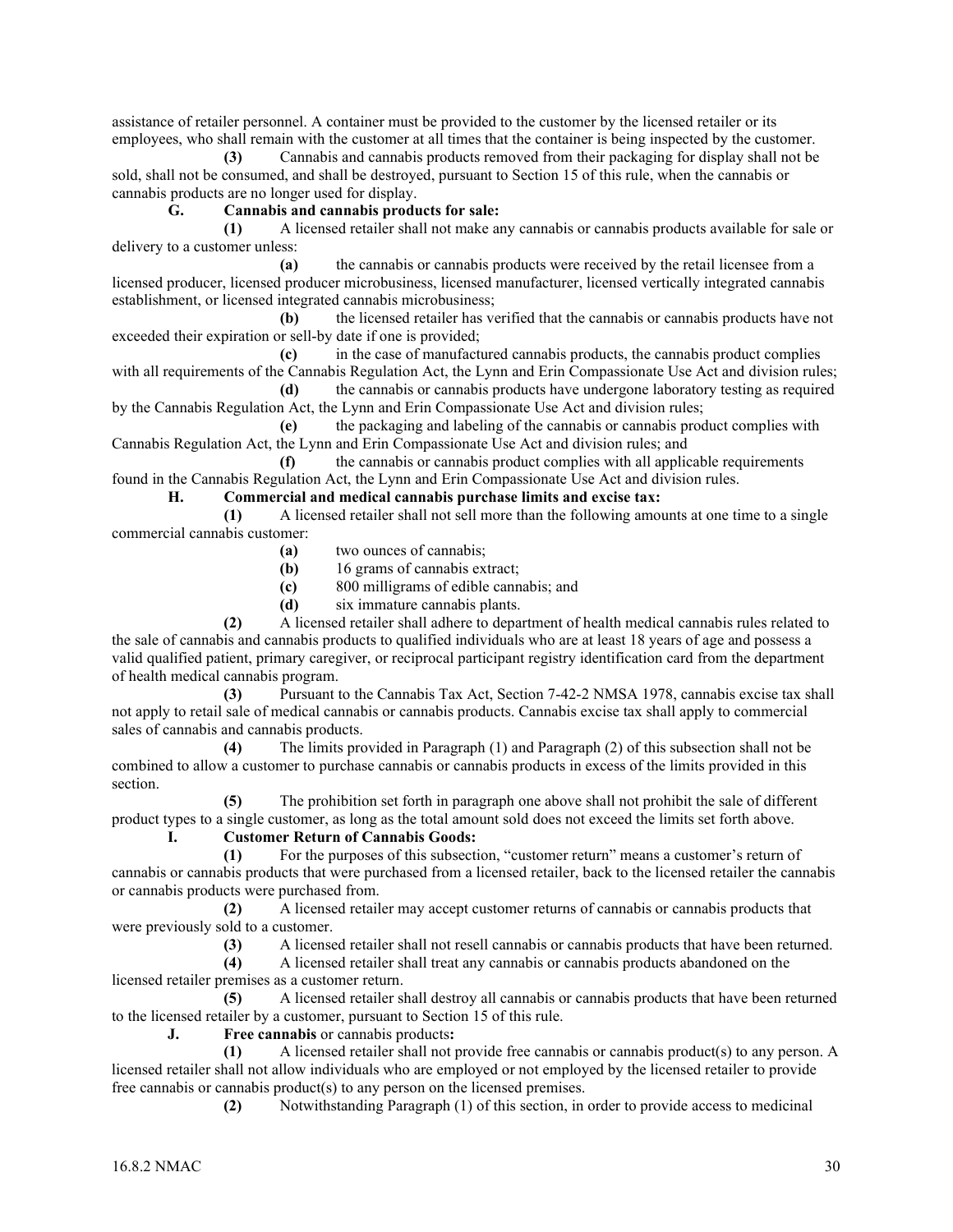assistance of retailer personnel. A container must be provided to the customer by the licensed retailer or its employees, who shall remain with the customer at all times that the container is being inspected by the customer.

**(3)** Cannabis and cannabis products removed from their packaging for display shall not be sold, shall not be consumed, and shall be destroyed, pursuant to Section 15 of this rule, when the cannabis or cannabis products are no longer used for display.

## **G. Cannabis and cannabis products for sale:**

**(1)** A licensed retailer shall not make any cannabis or cannabis products available for sale or delivery to a customer unless:

**(a)** the cannabis or cannabis products were received by the retail licensee from a licensed producer, licensed producer microbusiness, licensed manufacturer, licensed vertically integrated cannabis establishment, or licensed integrated cannabis microbusiness;

**(b)** the licensed retailer has verified that the cannabis or cannabis products have not exceeded their expiration or sell-by date if one is provided;

**(c)** in the case of manufactured cannabis products, the cannabis product complies with all requirements of the Cannabis Regulation Act, the Lynn and Erin Compassionate Use Act and division rules;

**(d)** the cannabis or cannabis products have undergone laboratory testing as required by the Cannabis Regulation Act, the Lynn and Erin Compassionate Use Act and division rules;

**(e)** the packaging and labeling of the cannabis or cannabis product complies with Cannabis Regulation Act, the Lynn and Erin Compassionate Use Act and division rules; and

**(f)** the cannabis or cannabis product complies with all applicable requirements found in the Cannabis Regulation Act, the Lynn and Erin Compassionate Use Act and division rules.

## **H. Commercial and medical cannabis purchase limits and excise tax:**

**(1)** A licensed retailer shall not sell more than the following amounts at one time to a single commercial cannabis customer:

- **(a)** two ounces of cannabis;
- **(b)** 16 grams of cannabis extract;
- **(c)** 800 milligrams of edible cannabis; and
- **(d)** six immature cannabis plants.

**(2)** A licensed retailer shall adhere to department of health medical cannabis rules related to the sale of cannabis and cannabis products to qualified individuals who are at least 18 years of age and possess a valid qualified patient, primary caregiver, or reciprocal participant registry identification card from the department of health medical cannabis program.

**(3)** Pursuant to the Cannabis Tax Act, Section 7-42-2 NMSA 1978, cannabis excise tax shall not apply to retail sale of medical cannabis or cannabis products. Cannabis excise tax shall apply to commercial sales of cannabis and cannabis products.

**(4)** The limits provided in Paragraph (1) and Paragraph (2) of this subsection shall not be combined to allow a customer to purchase cannabis or cannabis products in excess of the limits provided in this section.

**(5)** The prohibition set forth in paragraph one above shall not prohibit the sale of different product types to a single customer, as long as the total amount sold does not exceed the limits set forth above. **I. Customer Return of Cannabis Goods:**

**(1)** For the purposes of this subsection, "customer return" means a customer's return of cannabis or cannabis products that were purchased from a licensed retailer, back to the licensed retailer the cannabis or cannabis products were purchased from.

**(2)** A licensed retailer may accept customer returns of cannabis or cannabis products that were previously sold to a customer.

**(3)** A licensed retailer shall not resell cannabis or cannabis products that have been returned.

**(4)** A licensed retailer shall treat any cannabis or cannabis products abandoned on the licensed retailer premises as a customer return.

**(5)** A licensed retailer shall destroy all cannabis or cannabis products that have been returned to the licensed retailer by a customer, pursuant to Section 15 of this rule.

**J. Free cannabis** or cannabis products**:**

**(1)** A licensed retailer shall not provide free cannabis or cannabis product(s) to any person. A licensed retailer shall not allow individuals who are employed or not employed by the licensed retailer to provide free cannabis or cannabis product(s) to any person on the licensed premises.

**(2)** Notwithstanding Paragraph (1) of this section, in order to provide access to medicinal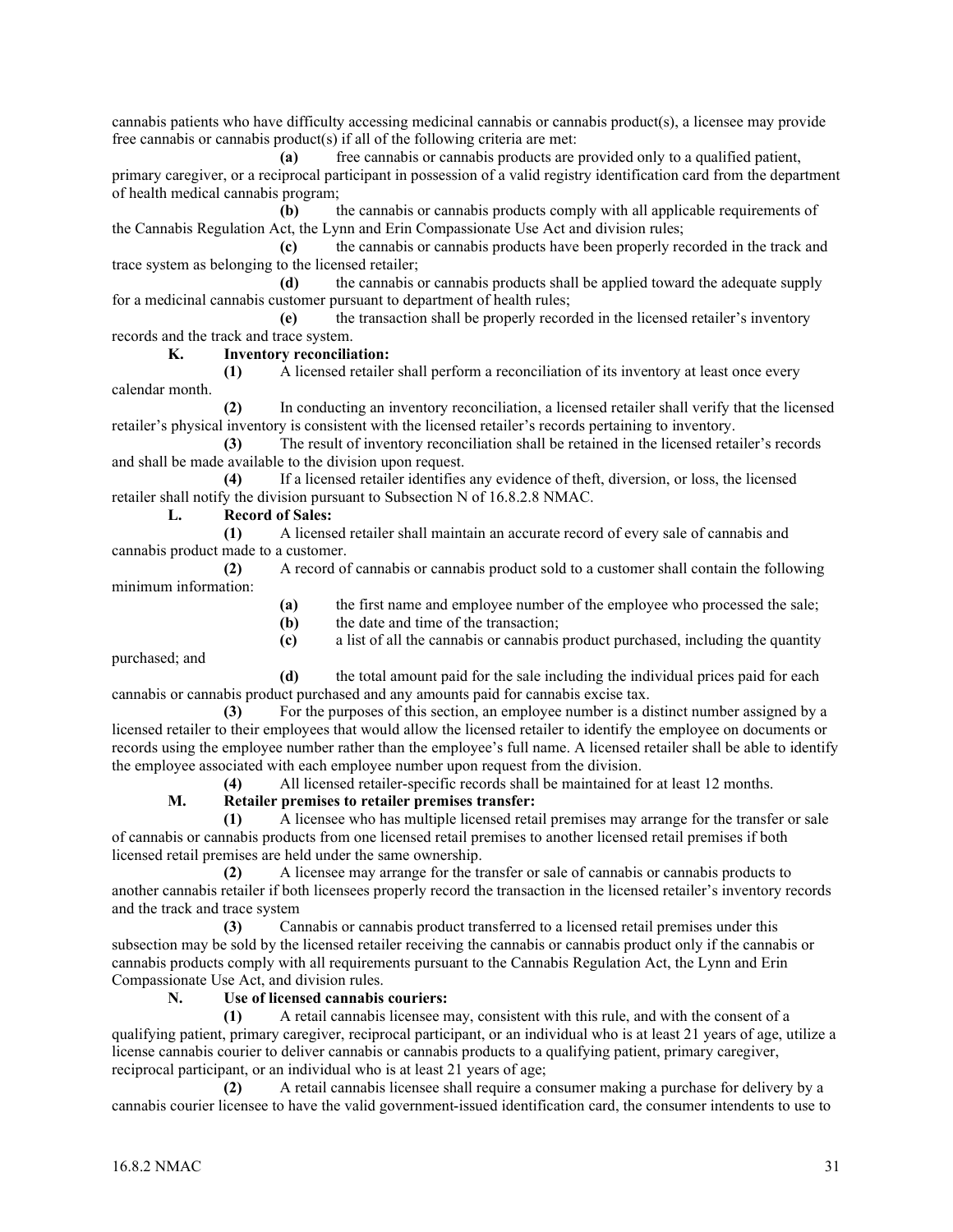cannabis patients who have difficulty accessing medicinal cannabis or cannabis product(s), a licensee may provide free cannabis or cannabis product(s) if all of the following criteria are met:

**(a)** free cannabis or cannabis products are provided only to a qualified patient, primary caregiver, or a reciprocal participant in possession of a valid registry identification card from the department of health medical cannabis program;

**(b)** the cannabis or cannabis products comply with all applicable requirements of the Cannabis Regulation Act, the Lynn and Erin Compassionate Use Act and division rules;

**(c)** the cannabis or cannabis products have been properly recorded in the track and trace system as belonging to the licensed retailer;

**(d)** the cannabis or cannabis products shall be applied toward the adequate supply for a medicinal cannabis customer pursuant to department of health rules;

**(e)** the transaction shall be properly recorded in the licensed retailer's inventory records and the track and trace system.

**K. Inventory reconciliation:**

**(1)** A licensed retailer shall perform a reconciliation of its inventory at least once every calendar month.

**(2)** In conducting an inventory reconciliation, a licensed retailer shall verify that the licensed retailer's physical inventory is consistent with the licensed retailer's records pertaining to inventory.

**(3)** The result of inventory reconciliation shall be retained in the licensed retailer's records and shall be made available to the division upon request.

**(4)** If a licensed retailer identifies any evidence of theft, diversion, or loss, the licensed retailer shall notify the division pursuant to Subsection N of 16.8.2.8 NMAC.

**L. Record of Sales:**

**(1)** A licensed retailer shall maintain an accurate record of every sale of cannabis and cannabis product made to a customer.

**(2)** A record of cannabis or cannabis product sold to a customer shall contain the following minimum information:

**(a)** the first name and employee number of the employee who processed the sale;

**(b)** the date and time of the transaction;

**(c)** a list of all the cannabis or cannabis product purchased, including the quantity

purchased; and

**(d)** the total amount paid for the sale including the individual prices paid for each cannabis or cannabis product purchased and any amounts paid for cannabis excise tax.

**(3)** For the purposes of this section, an employee number is a distinct number assigned by a licensed retailer to their employees that would allow the licensed retailer to identify the employee on documents or records using the employee number rather than the employee's full name. A licensed retailer shall be able to identify the employee associated with each employee number upon request from the division.

**(4)** All licensed retailer-specific records shall be maintained for at least 12 months.

## **M. Retailer premises to retailer premises transfer:**

**(1)** A licensee who has multiple licensed retail premises may arrange for the transfer or sale of cannabis or cannabis products from one licensed retail premises to another licensed retail premises if both licensed retail premises are held under the same ownership.

**(2)** A licensee may arrange for the transfer or sale of cannabis or cannabis products to another cannabis retailer if both licensees properly record the transaction in the licensed retailer's inventory records and the track and trace system

**(3)** Cannabis or cannabis product transferred to a licensed retail premises under this subsection may be sold by the licensed retailer receiving the cannabis or cannabis product only if the cannabis or cannabis products comply with all requirements pursuant to the Cannabis Regulation Act, the Lynn and Erin Compassionate Use Act, and division rules.

## **N. Use of licensed cannabis couriers:**

**(1)** A retail cannabis licensee may, consistent with this rule, and with the consent of a qualifying patient, primary caregiver, reciprocal participant, or an individual who is at least 21 years of age, utilize a license cannabis courier to deliver cannabis or cannabis products to a qualifying patient, primary caregiver, reciprocal participant, or an individual who is at least 21 years of age;

**(2)** A retail cannabis licensee shall require a consumer making a purchase for delivery by a cannabis courier licensee to have the valid government-issued identification card, the consumer intendents to use to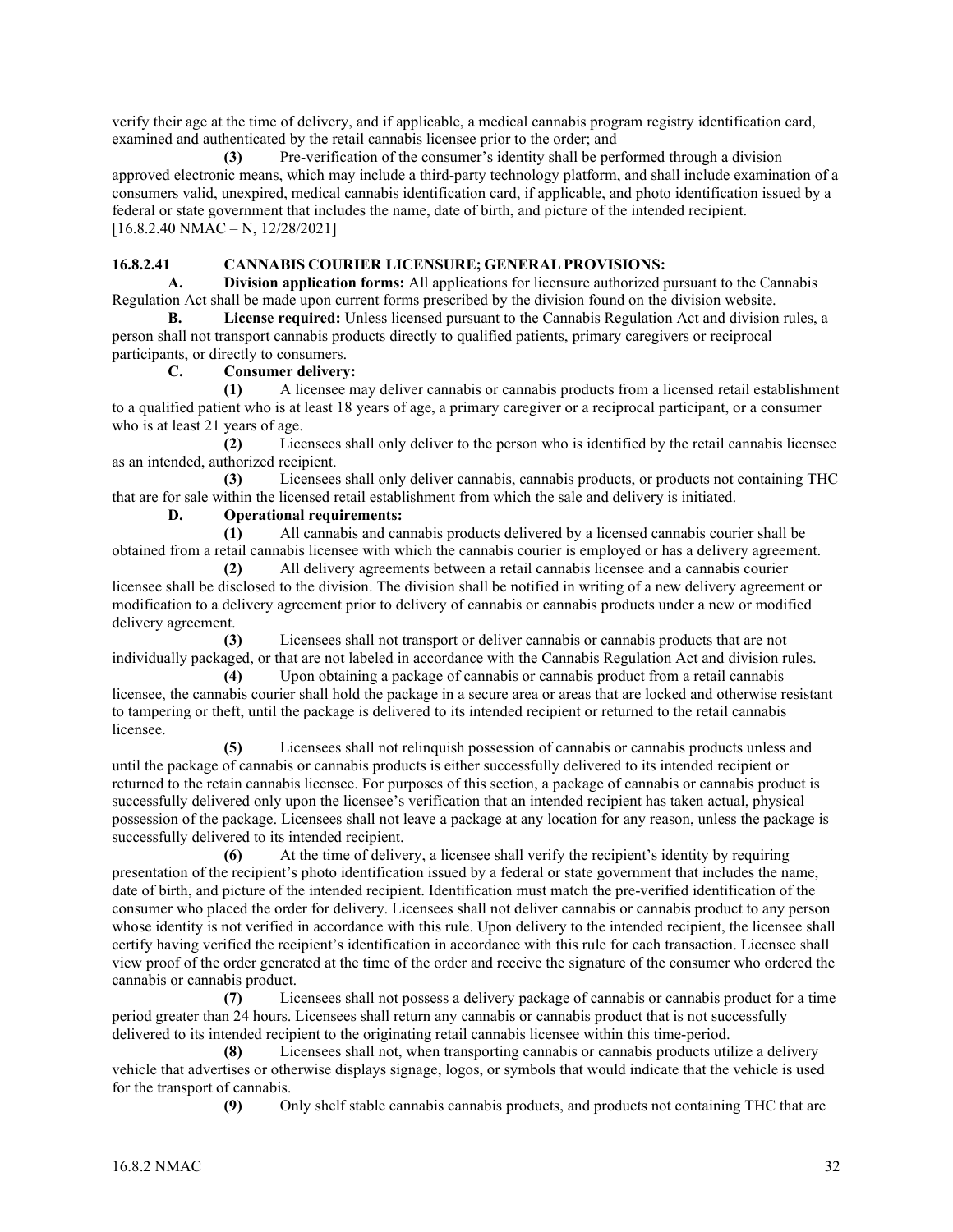verify their age at the time of delivery, and if applicable, a medical cannabis program registry identification card, examined and authenticated by the retail cannabis licensee prior to the order; and

**(3)** Pre-verification of the consumer's identity shall be performed through a division approved electronic means, which may include a third-party technology platform, and shall include examination of a consumers valid, unexpired, medical cannabis identification card, if applicable, and photo identification issued by a federal or state government that includes the name, date of birth, and picture of the intended recipient.  $[16.8.2.40 NMAC - N, 12/28/2021]$ 

## **16.8.2.41 CANNABIS COURIER LICENSURE; GENERALPROVISIONS:**

**A. Division application forms:** All applications for licensure authorized pursuant to the Cannabis Regulation Act shall be made upon current forms prescribed by the division found on the division website.

**B. License required:** Unless licensed pursuant to the Cannabis Regulation Act and division rules, a person shall not transport cannabis products directly to qualified patients, primary caregivers or reciprocal participants, or directly to consumers.

## **C. Consumer delivery:**

**(1)** A licensee may deliver cannabis or cannabis products from a licensed retail establishment to a qualified patient who is at least 18 years of age, a primary caregiver or a reciprocal participant, or a consumer who is at least 21 years of age.

**(2)** Licensees shall only deliver to the person who is identified by the retail cannabis licensee as an intended, authorized recipient.

**(3)** Licensees shall only deliver cannabis, cannabis products, or products not containing THC that are for sale within the licensed retail establishment from which the sale and delivery is initiated.

## **D. Operational requirements:**

**(1)** All cannabis and cannabis products delivered by a licensed cannabis courier shall be obtained from a retail cannabis licensee with which the cannabis courier is employed or has a delivery agreement.

**(2)** All delivery agreements between a retail cannabis licensee and a cannabis courier licensee shall be disclosed to the division. The division shall be notified in writing of a new delivery agreement or modification to a delivery agreement prior to delivery of cannabis or cannabis products under a new or modified delivery agreement.

**(3)** Licensees shall not transport or deliver cannabis or cannabis products that are not individually packaged, or that are not labeled in accordance with the Cannabis Regulation Act and division rules.

**(4)** Upon obtaining a package of cannabis or cannabis product from a retail cannabis licensee, the cannabis courier shall hold the package in a secure area or areas that are locked and otherwise resistant to tampering or theft, until the package is delivered to its intended recipient or returned to the retail cannabis licensee.

**(5)** Licensees shall not relinquish possession of cannabis or cannabis products unless and until the package of cannabis or cannabis products is either successfully delivered to its intended recipient or returned to the retain cannabis licensee. For purposes of this section, a package of cannabis or cannabis product is successfully delivered only upon the licensee's verification that an intended recipient has taken actual, physical possession of the package. Licensees shall not leave a package at any location for any reason, unless the package is successfully delivered to its intended recipient.

**(6)** At the time of delivery, a licensee shall verify the recipient's identity by requiring presentation of the recipient's photo identification issued by a federal or state government that includes the name, date of birth, and picture of the intended recipient. Identification must match the pre-verified identification of the consumer who placed the order for delivery. Licensees shall not deliver cannabis or cannabis product to any person whose identity is not verified in accordance with this rule. Upon delivery to the intended recipient, the licensee shall certify having verified the recipient's identification in accordance with this rule for each transaction. Licensee shall view proof of the order generated at the time of the order and receive the signature of the consumer who ordered the cannabis or cannabis product.

**(7)** Licensees shall not possess a delivery package of cannabis or cannabis product for a time period greater than 24 hours. Licensees shall return any cannabis or cannabis product that is not successfully delivered to its intended recipient to the originating retail cannabis licensee within this time-period.

**(8)** Licensees shall not, when transporting cannabis or cannabis products utilize a delivery vehicle that advertises or otherwise displays signage, logos, or symbols that would indicate that the vehicle is used for the transport of cannabis.

**(9)** Only shelf stable cannabis cannabis products, and products not containing THC that are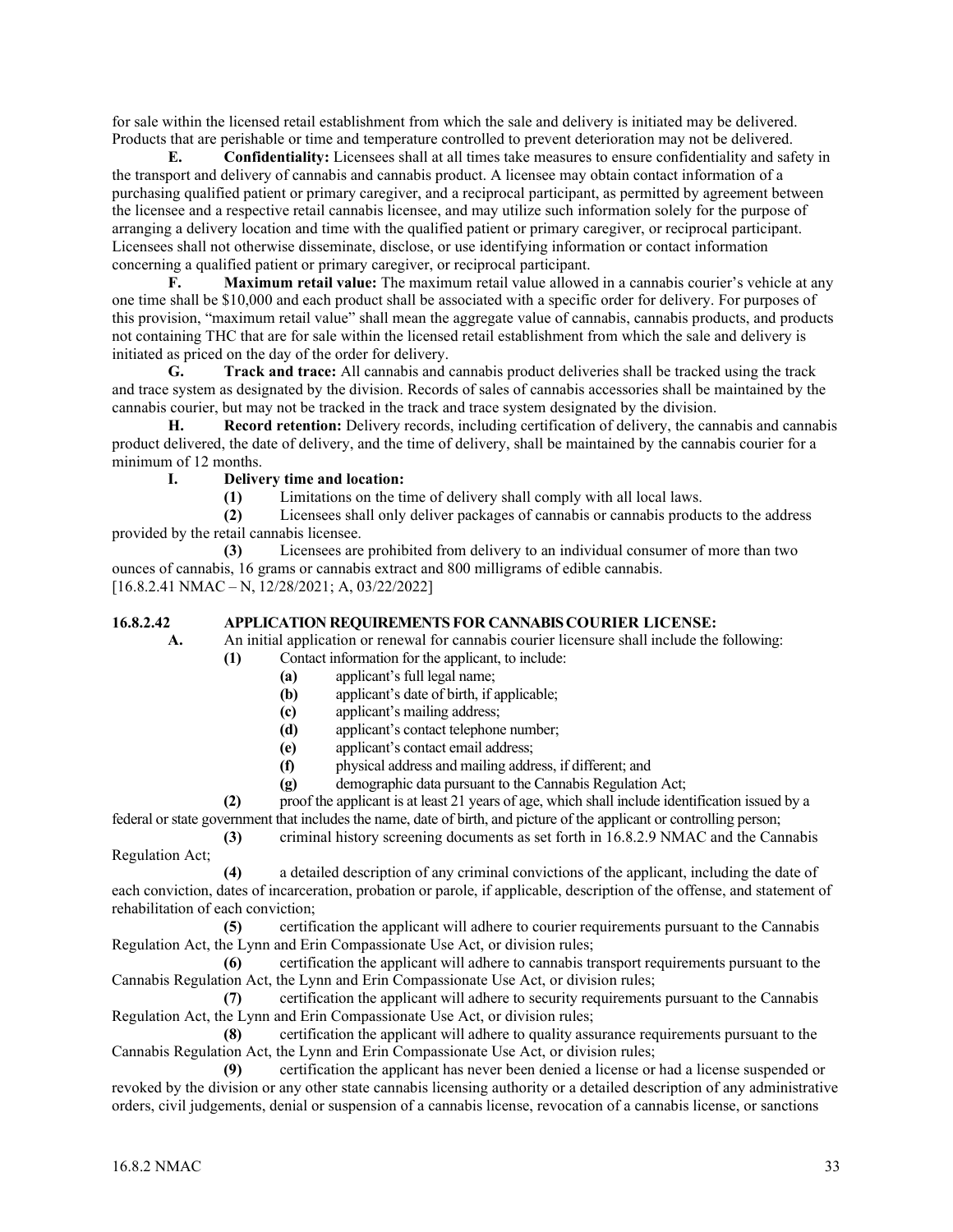for sale within the licensed retail establishment from which the sale and delivery is initiated may be delivered. Products that are perishable or time and temperature controlled to prevent deterioration may not be delivered.

**E. Confidentiality:** Licensees shall at all times take measures to ensure confidentiality and safety in the transport and delivery of cannabis and cannabis product. A licensee may obtain contact information of a purchasing qualified patient or primary caregiver, and a reciprocal participant, as permitted by agreement between the licensee and a respective retail cannabis licensee, and may utilize such information solely for the purpose of arranging a delivery location and time with the qualified patient or primary caregiver, or reciprocal participant. Licensees shall not otherwise disseminate, disclose, or use identifying information or contact information concerning a qualified patient or primary caregiver, or reciprocal participant.

**F. Maximum retail value:** The maximum retail value allowed in a cannabis courier's vehicle at any one time shall be \$10,000 and each product shall be associated with a specific order for delivery. For purposes of this provision, "maximum retail value" shall mean the aggregate value of cannabis, cannabis products, and products not containing THC that are for sale within the licensed retail establishment from which the sale and delivery is initiated as priced on the day of the order for delivery.

**G. Track and trace:** All cannabis and cannabis product deliveries shall be tracked using the track and trace system as designated by the division. Records of sales of cannabis accessories shall be maintained by the cannabis courier, but may not be tracked in the track and trace system designated by the division.

**H. Record retention:** Delivery records, including certification of delivery, the cannabis and cannabis product delivered, the date of delivery, and the time of delivery, shall be maintained by the cannabis courier for a minimum of 12 months.

#### **I. Delivery time and location:**

**(1)** Limitations on the time of delivery shall comply with all local laws.

**(2)** Licensees shall only deliver packages of cannabis or cannabis products to the address provided by the retail cannabis licensee.

**(3)** Licensees are prohibited from delivery to an individual consumer of more than two ounces of cannabis, 16 grams or cannabis extract and 800 milligrams of edible cannabis. [16.8.2.41 NMAC – N, 12/28/2021; A, 03/22/2022]

#### **16.8.2.42 APPLICATION REQUIREMENTS FOR CANNABIS COURIER LICENSE:**

**A.** An initial application or renewal for cannabis courier licensure shall include the following:

- **(1)** Contact information for the applicant, to include:
	- **(a)** applicant's full legal name;
	- **(b)** applicant's date of birth, if applicable;
	- **(c)** applicant's mailing address;
	- **(d)** applicant's contact telephone number;
	- **(e)** applicant's contact email address;
	- **(f)** physical address and mailing address, if different; and
	- **(g)** demographic data pursuant to the Cannabis Regulation Act;

**(2)** proof the applicant is at least 21 years of age, which shall include identification issued by a

federal or state government that includes the name, date of birth, and picture of the applicant or controlling person;

**(3)** criminal history screening documents as set forth in 16.8.2.9 NMAC and the Cannabis Regulation Act;

**(4)** a detailed description of any criminal convictions of the applicant, including the date of each conviction, dates of incarceration, probation or parole, if applicable, description of the offense, and statement of rehabilitation of each conviction;

**(5)** certification the applicant will adhere to courier requirements pursuant to the Cannabis Regulation Act, the Lynn and Erin Compassionate Use Act, or division rules;

**(6)** certification the applicant will adhere to cannabis transport requirements pursuant to the Cannabis Regulation Act, the Lynn and Erin Compassionate Use Act, or division rules;

**(7)** certification the applicant will adhere to security requirements pursuant to the Cannabis Regulation Act, the Lynn and Erin Compassionate Use Act, or division rules;

**(8)** certification the applicant will adhere to quality assurance requirements pursuant to the Cannabis Regulation Act, the Lynn and Erin Compassionate Use Act, or division rules;

**(9)** certification the applicant has never been denied a license or had a license suspended or revoked by the division or any other state cannabis licensing authority or a detailed description of any administrative orders, civil judgements, denial or suspension of a cannabis license, revocation of a cannabis license, or sanctions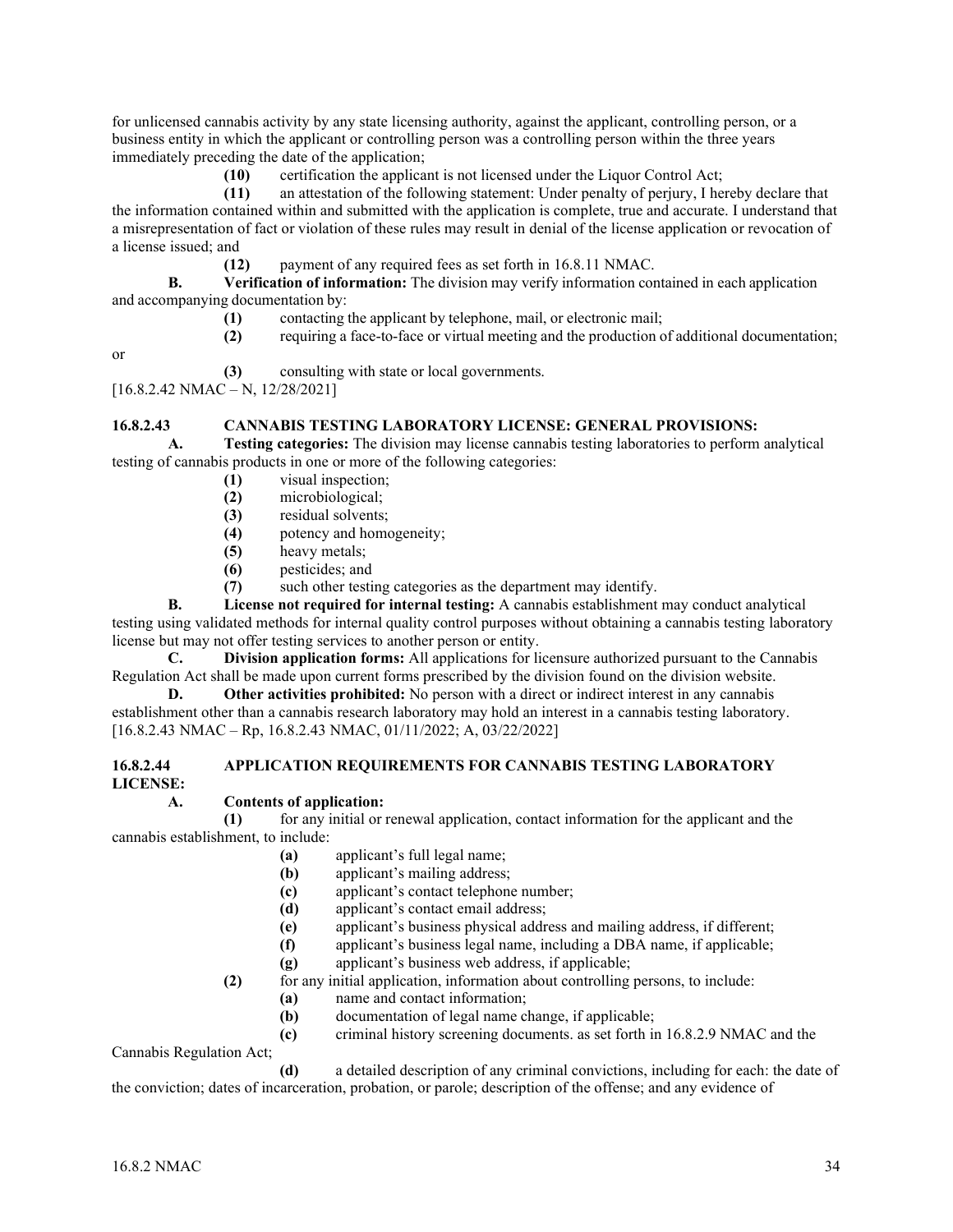for unlicensed cannabis activity by any state licensing authority, against the applicant, controlling person, or a business entity in which the applicant or controlling person was a controlling person within the three years immediately preceding the date of the application;

**(10)** certification the applicant is not licensed under the Liquor Control Act;

**(11)** an attestation of the following statement: Under penalty of perjury, I hereby declare that the information contained within and submitted with the application is complete, true and accurate. I understand that a misrepresentation of fact or violation of these rules may result in denial of the license application or revocation of a license issued; and

**(12)** payment of any required fees as set forth in 16.8.11 NMAC.

**B. Verification of information:** The division may verify information contained in each application and accompanying documentation by:

**(1)** contacting the applicant by telephone, mail, or electronic mail;

**(2)** requiring a face-to-face or virtual meeting and the production of additional documentation;

or

**(3)** consulting with state or local governments.

[16.8.2.42 NMAC – N, 12/28/2021]

## **16.8.2.43 CANNABIS TESTING LABORATORY LICENSE: GENERAL PROVISIONS:**

**A. Testing categories:** The division may license cannabis testing laboratories to perform analytical testing of cannabis products in one or more of the following categories:

- **(1)** visual inspection;
- **(2)** microbiological;
- (3) residual solvents;<br>(4) potency and home
- potency and homogeneity;
- **(5)** heavy metals;
- **(6)** pesticides; and
- **(7)** such other testing categories as the department may identify.

**B. License not required for internal testing:** A cannabis establishment may conduct analytical testing using validated methods for internal quality control purposes without obtaining a cannabis testing laboratory license but may not offer testing services to another person or entity.

**C. Division application forms:** All applications for licensure authorized pursuant to the Cannabis Regulation Act shall be made upon current forms prescribed by the division found on the division website.

**D. Other activities prohibited:** No person with a direct or indirect interest in any cannabis establishment other than a cannabis research laboratory may hold an interest in a cannabis testing laboratory. [16.8.2.43 NMAC – Rp, 16.8.2.43 NMAC, 01/11/2022; A, 03/22/2022]

#### **16.8.2.44 APPLICATION REQUIREMENTS FOR CANNABIS TESTING LABORATORY LICENSE:**

## **A. Contents of application:**

**(1)** for any initial or renewal application, contact information for the applicant and the cannabis establishment, to include:

- **(a)** applicant's full legal name;
- **(b)** applicant's mailing address;
- **(c)** applicant's contact telephone number;
- **(d)** applicant's contact email address;
- **(e)** applicant's business physical address and mailing address, if different;
- **(f)** applicant's business legal name, including a DBA name, if applicable;
- **(g)** applicant's business web address, if applicable;

**(2)** for any initial application, information about controlling persons, to include:

- **(a)** name and contact information;
- **(b)** documentation of legal name change, if applicable;
- **(c)** criminal history screening documents. as set forth in 16.8.2.9 NMAC and the

Cannabis Regulation Act;

**(d)** a detailed description of any criminal convictions, including for each: the date of the conviction; dates of incarceration, probation, or parole; description of the offense; and any evidence of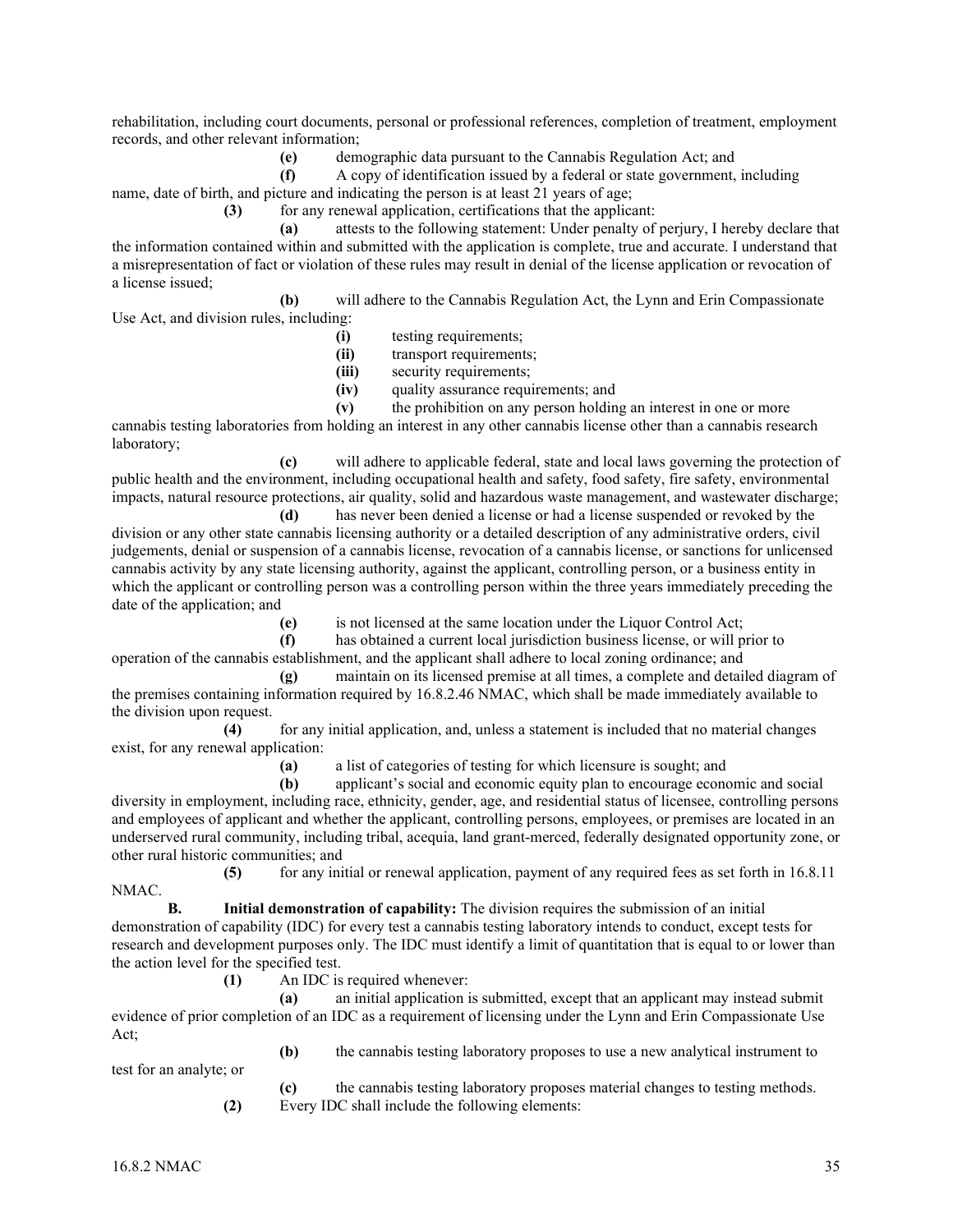rehabilitation, including court documents, personal or professional references, completion of treatment, employment records, and other relevant information;

(e) demographic data pursuant to the Cannabis Regulation Act; and <br> **(f)** A copy of identification issued by a federal or state government.

**(f)** A copy of identification issued by a federal or state government, including

name, date of birth, and picture and indicating the person is at least 21 years of age;

**(3)** for any renewal application, certifications that the applicant:

**(a)** attests to the following statement: Under penalty of perjury, I hereby declare that the information contained within and submitted with the application is complete, true and accurate. I understand that a misrepresentation of fact or violation of these rules may result in denial of the license application or revocation of a license issued;

**(b)** will adhere to the Cannabis Regulation Act, the Lynn and Erin Compassionate Use Act, and division rules, including:

- **(i)** testing requirements;
- **(ii)** transport requirements;
- **(iii)** security requirements;
- **(iv)** quality assurance requirements; and
- **(v)** the prohibition on any person holding an interest in one or more

cannabis testing laboratories from holding an interest in any other cannabis license other than a cannabis research laboratory;

**(c)** will adhere to applicable federal, state and local laws governing the protection of public health and the environment, including occupational health and safety, food safety, fire safety, environmental impacts, natural resource protections, air quality, solid and hazardous waste management, and wastewater discharge;

**(d)** has never been denied a license or had a license suspended or revoked by the division or any other state cannabis licensing authority or a detailed description of any administrative orders, civil judgements, denial or suspension of a cannabis license, revocation of a cannabis license, or sanctions for unlicensed cannabis activity by any state licensing authority, against the applicant, controlling person, or a business entity in which the applicant or controlling person was a controlling person within the three years immediately preceding the date of the application; and

**(e)** is not licensed at the same location under the Liquor Control Act;

**(f)** has obtained a current local jurisdiction business license, or will prior to

operation of the cannabis establishment, and the applicant shall adhere to local zoning ordinance; and **(g)** maintain on its licensed premise at all times, a complete and detailed diagram of

the premises containing information required by 16.8.2.46 NMAC, which shall be made immediately available to the division upon request.

**(4)** for any initial application, and, unless a statement is included that no material changes exist, for any renewal application:

**(a)** a list of categories of testing for which licensure is sought; and

**(b)** applicant's social and economic equity plan to encourage economic and social diversity in employment, including race, ethnicity, gender, age, and residential status of licensee, controlling persons and employees of applicant and whether the applicant, controlling persons, employees, or premises are located in an underserved rural community, including tribal, acequia, land grant-merced, federally designated opportunity zone, or other rural historic communities; and

**(5)** for any initial or renewal application, payment of any required fees as set forth in 16.8.11 NMAC.

**B. Initial demonstration of capability:** The division requires the submission of an initial demonstration of capability (IDC) for every test a cannabis testing laboratory intends to conduct, except tests for research and development purposes only. The IDC must identify a limit of quantitation that is equal to or lower than the action level for the specified test.

**(1)** An IDC is required whenever:

**(a)** an initial application is submitted, except that an applicant may instead submit evidence of prior completion of an IDC as a requirement of licensing under the Lynn and Erin Compassionate Use Act; **(b)** the cannabis testing laboratory proposes to use a new analytical instrument to

test for an analyte; or

**(c)** the cannabis testing laboratory proposes material changes to testing methods. **(2)** Every IDC shall include the following elements: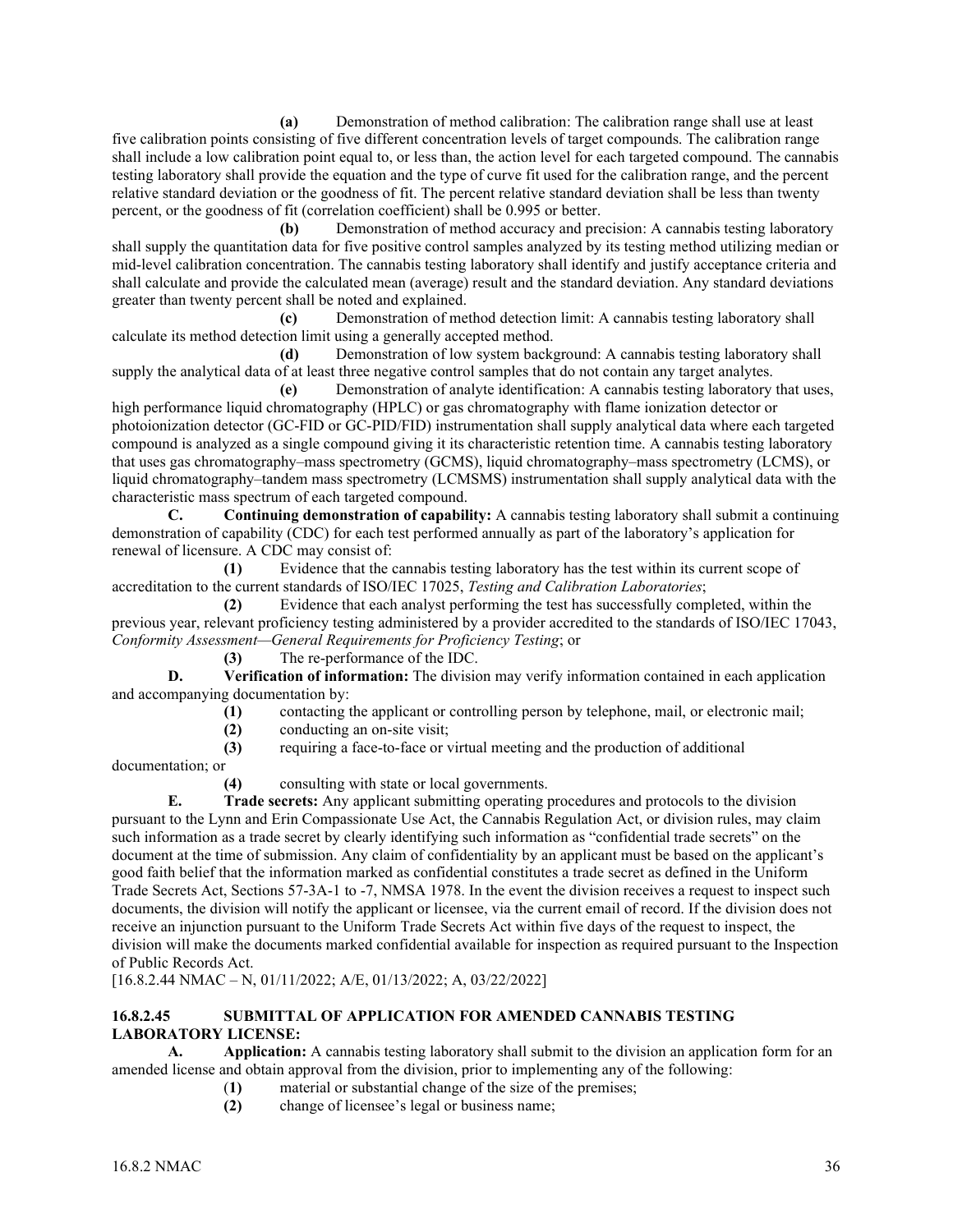**(a)** Demonstration of method calibration: The calibration range shall use at least five calibration points consisting of five different concentration levels of target compounds. The calibration range shall include a low calibration point equal to, or less than, the action level for each targeted compound. The cannabis testing laboratory shall provide the equation and the type of curve fit used for the calibration range, and the percent relative standard deviation or the goodness of fit. The percent relative standard deviation shall be less than twenty percent, or the goodness of fit (correlation coefficient) shall be 0.995 or better.

**(b)** Demonstration of method accuracy and precision: A cannabis testing laboratory shall supply the quantitation data for five positive control samples analyzed by its testing method utilizing median or mid-level calibration concentration. The cannabis testing laboratory shall identify and justify acceptance criteria and shall calculate and provide the calculated mean (average) result and the standard deviation. Any standard deviations greater than twenty percent shall be noted and explained.

**(c)** Demonstration of method detection limit: A cannabis testing laboratory shall calculate its method detection limit using a generally accepted method.

**(d)** Demonstration of low system background: A cannabis testing laboratory shall supply the analytical data of at least three negative control samples that do not contain any target analytes.

**(e)** Demonstration of analyte identification: A cannabis testing laboratory that uses, high performance liquid chromatography (HPLC) or gas chromatography with flame ionization detector or photoionization detector (GC-FID or GC-PID/FID) instrumentation shall supply analytical data where each targeted compound is analyzed as a single compound giving it its characteristic retention time. A cannabis testing laboratory that uses gas chromatography–mass spectrometry (GCMS), liquid chromatography–mass spectrometry (LCMS), or liquid chromatography–tandem mass spectrometry (LCMSMS) instrumentation shall supply analytical data with the characteristic mass spectrum of each targeted compound.

**C. Continuing demonstration of capability:** A cannabis testing laboratory shall submit a continuing demonstration of capability (CDC) for each test performed annually as part of the laboratory's application for renewal of licensure. A CDC may consist of:

**(1)** Evidence that the cannabis testing laboratory has the test within its current scope of accreditation to the current standards of ISO/IEC 17025, *Testing and Calibration Laboratories*;

**(2)** Evidence that each analyst performing the test has successfully completed, within the previous year, relevant proficiency testing administered by a provider accredited to the standards of ISO/IEC 17043, *Conformity Assessment—General Requirements for Proficiency Testing*; or

**(3)** The re-performance of the IDC.

**D. Verification of information:** The division may verify information contained in each application and accompanying documentation by:

- **(1)** contacting the applicant or controlling person by telephone, mail, or electronic mail;
- **(2)** conducting an on-site visit;
- **(3)** requiring a face-to-face or virtual meeting and the production of additional

documentation; or

**(4)** consulting with state or local governments.

**E. Trade secrets:** Any applicant submitting operating procedures and protocols to the division pursuant to the Lynn and Erin Compassionate Use Act, the Cannabis Regulation Act, or division rules, may claim such information as a trade secret by clearly identifying such information as "confidential trade secrets" on the document at the time of submission. Any claim of confidentiality by an applicant must be based on the applicant's good faith belief that the information marked as confidential constitutes a trade secret as defined in the Uniform Trade Secrets Act, Sections 57-3A-1 to -7, NMSA 1978. In the event the division receives a request to inspect such documents, the division will notify the applicant or licensee, via the current email of record. If the division does not receive an injunction pursuant to the Uniform Trade Secrets Act within five days of the request to inspect, the division will make the documents marked confidential available for inspection as required pursuant to the Inspection of Public Records Act.

[16.8.2.44 NMAC – N, 01/11/2022; A/E, 01/13/2022; A, 03/22/2022]

## **16.8.2.45 SUBMITTAL OF APPLICATION FOR AMENDED CANNABIS TESTING LABORATORY LICENSE:**

**A. Application:** A cannabis testing laboratory shall submit to the division an application form for an amended license and obtain approval from the division, prior to implementing any of the following:

- (**1)** material or substantial change of the size of the premises;
- **(2)** change of licensee's legal or business name;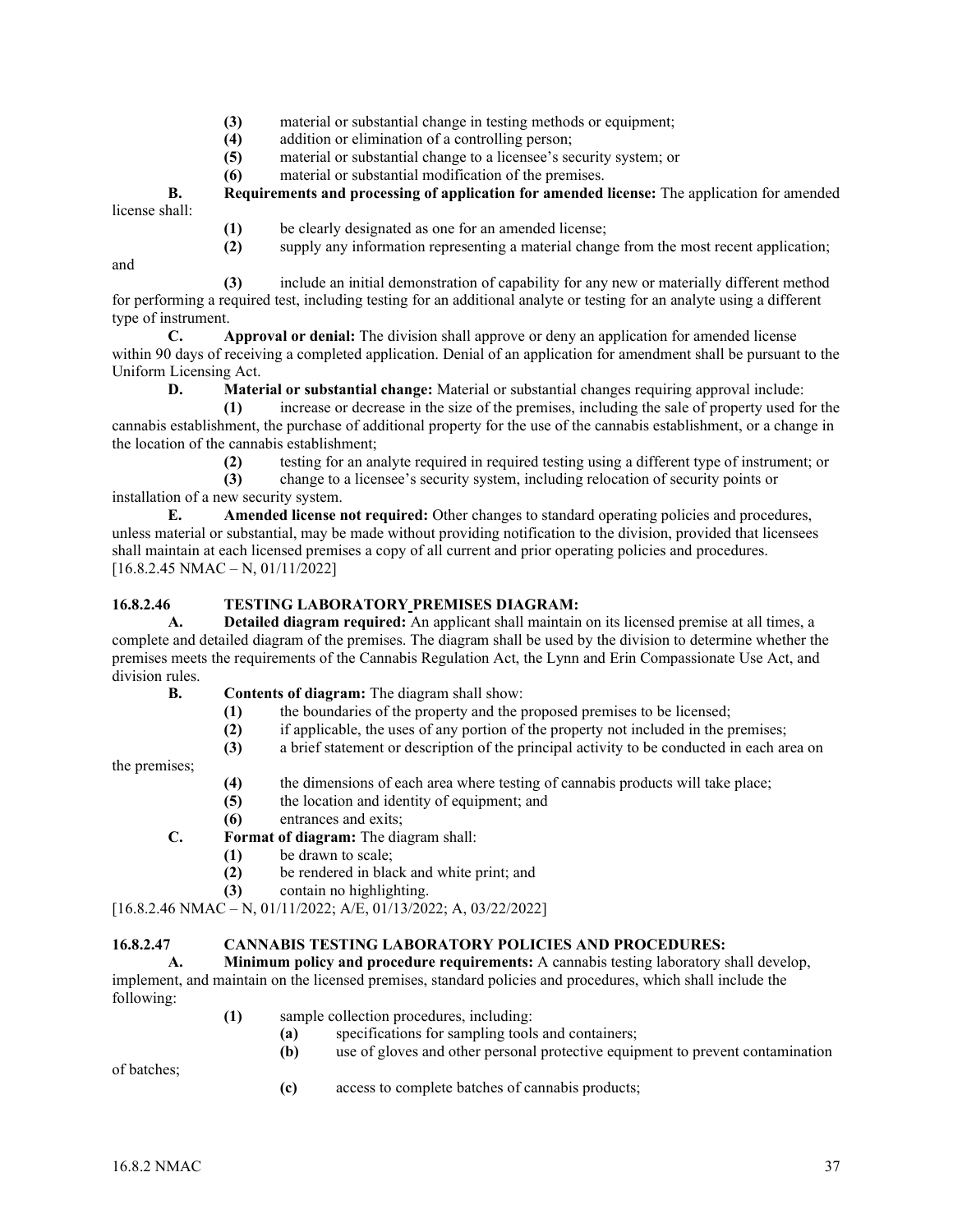- **(3)** material or substantial change in testing methods or equipment;
- **(4)** addition or elimination of a controlling person;
- **(5)** material or substantial change to a licensee's security system; or
- **(6)** material or substantial modification of the premises.

**B. Requirements and processing of application for amended license:** The application for amended license shall:

- **(1)** be clearly designated as one for an amended license;
- **(2)** supply any information representing a material change from the most recent application;

and

 **(3)** include an initial demonstration of capability for any new or materially different method for performing a required test, including testing for an additional analyte or testing for an analyte using a different type of instrument.

**C. Approval or denial:** The division shall approve or deny an application for amended license within 90 days of receiving a completed application. Denial of an application for amendment shall be pursuant to the Uniform Licensing Act.

**D. Material or substantial change:** Material or substantial changes requiring approval include:

 **(1)** increase or decrease in the size of the premises, including the sale of property used for the cannabis establishment, the purchase of additional property for the use of the cannabis establishment, or a change in the location of the cannabis establishment;

**(2)** testing for an analyte required in required testing using a different type of instrument; or

 **(3)** change to a licensee's security system, including relocation of security points or installation of a new security system.

**E. Amended license not required:** Other changes to standard operating policies and procedures, unless material or substantial, may be made without providing notification to the division, provided that licensees shall maintain at each licensed premises a copy of all current and prior operating policies and procedures. [16.8.2.45 NMAC – N, 01/11/2022]

## **16.8.2.46 TESTING LABORATORY PREMISES DIAGRAM:**

**A. Detailed diagram required:** An applicant shall maintain on its licensed premise at all times, a complete and detailed diagram of the premises. The diagram shall be used by the division to determine whether the premises meets the requirements of the Cannabis Regulation Act, the Lynn and Erin Compassionate Use Act, and division rules.

- **B. Contents of diagram:** The diagram shall show:
	- **(1)** the boundaries of the property and the proposed premises to be licensed;
	- **(2)** if applicable, the uses of any portion of the property not included in the premises;
	- **(3)** a brief statement or description of the principal activity to be conducted in each area on

the premises;

- **(4)** the dimensions of each area where testing of cannabis products will take place;
- **(5)** the location and identity of equipment; and
- **(6)** entrances and exits;

**C. Format of diagram:** The diagram shall:

- **(1)** be drawn to scale;
- **(2)** be rendered in black and white print; and
- **(3)** contain no highlighting.

[16.8.2.46 NMAC – N, 01/11/2022; A/E, 01/13/2022; A, 03/22/2022]

## **16.8.2.47 CANNABIS TESTING LABORATORY POLICIES AND PROCEDURES:**

**A. Minimum policy and procedure requirements:** A cannabis testing laboratory shall develop, implement, and maintain on the licensed premises, standard policies and procedures, which shall include the following:

- **(1)** sample collection procedures, including:
	- **(a)** specifications for sampling tools and containers;
	- **(b)** use of gloves and other personal protective equipment to prevent contamination

of batches;

**(c)** access to complete batches of cannabis products;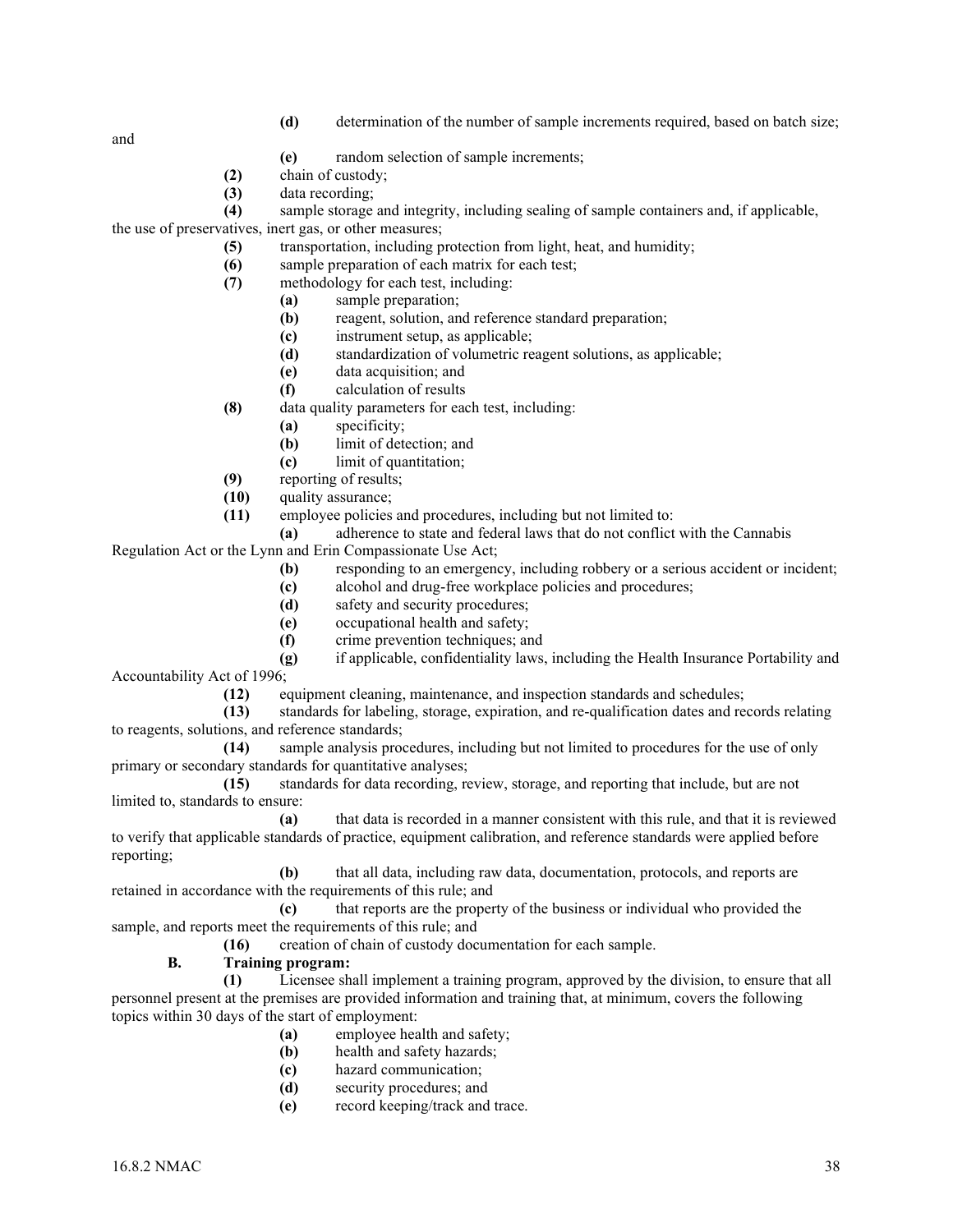**(d)** determination of the number of sample increments required, based on batch size;

and

- **(e)** random selection of sample increments;
- **(2)** chain of custody;
- **(3)** data recording;
- **(4)** sample storage and integrity, including sealing of sample containers and, if applicable,

the use of preservatives, inert gas, or other measures;

- **(5)** transportation, including protection from light, heat, and humidity;
- **(6)** sample preparation of each matrix for each test;
- **(7)** methodology for each test, including:
	- **(a)** sample preparation;
		- **(b)** reagent, solution, and reference standard preparation;
		- **(c)** instrument setup, as applicable;
		- **(d)** standardization of volumetric reagent solutions, as applicable;
		- **(e)** data acquisition; and
	- **(f)** calculation of results
- **(8)** data quality parameters for each test, including:
	- **(a)** specificity;
	- **(b)** limit of detection; and
	- **(c)** limit of quantitation;
- **(9)** reporting of results;
- **(10)** quality assurance;
- **(11)** employee policies and procedures, including but not limited to:
- **(a)** adherence to state and federal laws that do not conflict with the Cannabis

Regulation Act or the Lynn and Erin Compassionate Use Act;

- **(b)** responding to an emergency, including robbery or a serious accident or incident;
- **(c)** alcohol and drug-free workplace policies and procedures;
- **(d)** safety and security procedures;
- **(e)** occupational health and safety;
- **(f)** crime prevention techniques; and
- **(g)** if applicable, confidentiality laws, including the Health Insurance Portability and Accountability Act of 1996;
	- **(12)** equipment cleaning, maintenance, and inspection standards and schedules;
- **(13)** standards for labeling, storage, expiration, and re-qualification dates and records relating to reagents, solutions, and reference standards;
- **(14)** sample analysis procedures, including but not limited to procedures for the use of only primary or secondary standards for quantitative analyses;

**(15)** standards for data recording, review, storage, and reporting that include, but are not limited to, standards to ensure:

**(a)** that data is recorded in a manner consistent with this rule, and that it is reviewed to verify that applicable standards of practice, equipment calibration, and reference standards were applied before reporting;

**(b)** that all data, including raw data, documentation, protocols, and reports are retained in accordance with the requirements of this rule; and

**(c)** that reports are the property of the business or individual who provided the sample, and reports meet the requirements of this rule; and

**(16)** creation of chain of custody documentation for each sample.

## **B. Training program:**

**(1)** Licensee shall implement a training program, approved by the division, to ensure that all personnel present at the premises are provided information and training that, at minimum, covers the following topics within 30 days of the start of employment:

- **(a)** employee health and safety;
- **(b)** health and safety hazards;
- **(c)** hazard communication;
- **(d)** security procedures; and
- **(e)** record keeping/track and trace.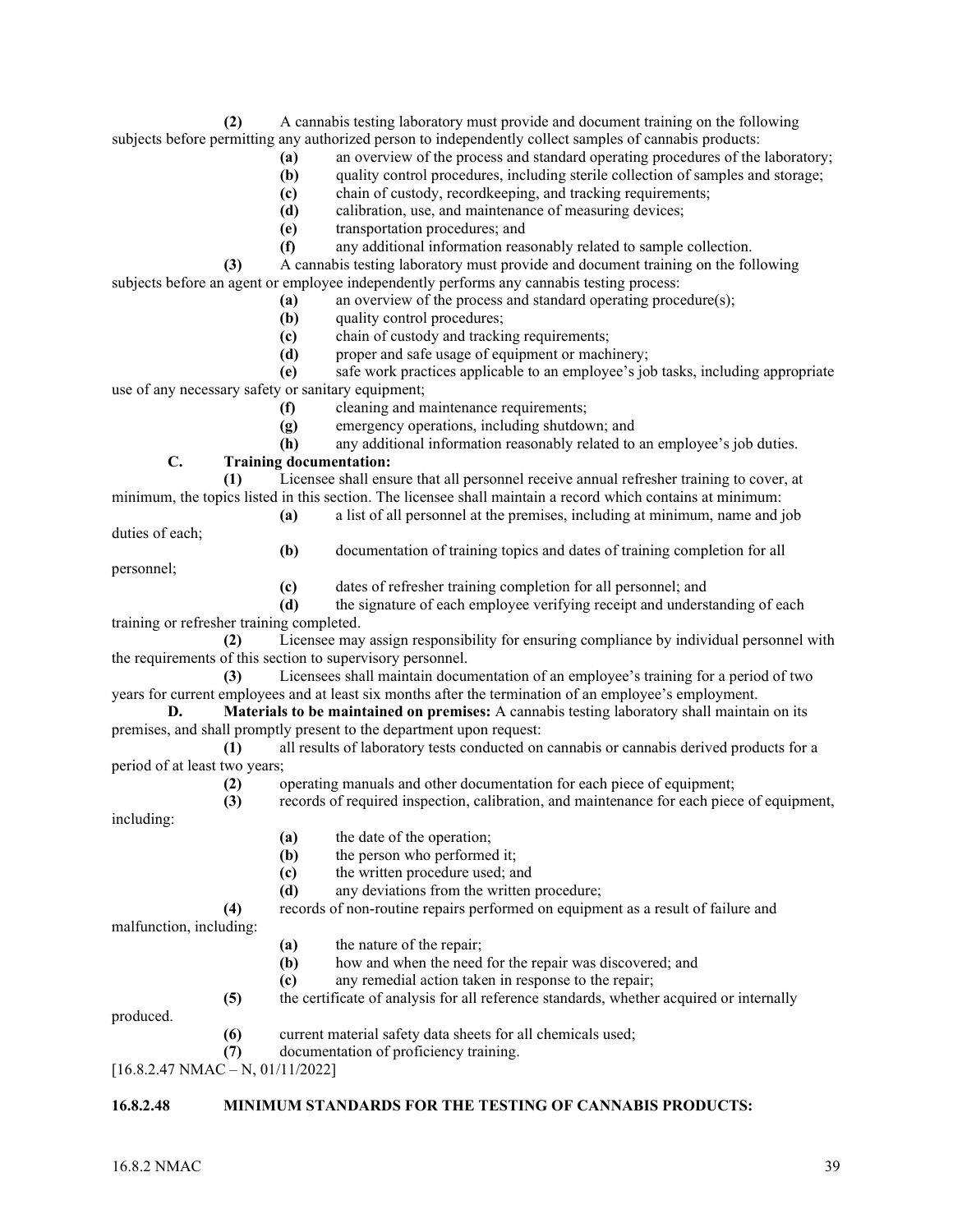**(2)** A cannabis testing laboratory must provide and document training on the following subjects before permitting any authorized person to independently collect samples of cannabis products:

- **(a)** an overview of the process and standard operating procedures of the laboratory;
- **(b)** quality control procedures, including sterile collection of samples and storage;
- **(c)** chain of custody, recordkeeping, and tracking requirements;
- **(d)** calibration, use, and maintenance of measuring devices;
- **(e)** transportation procedures; and
- **(f)** any additional information reasonably related to sample collection.

**(3)** A cannabis testing laboratory must provide and document training on the following subjects before an agent or employee independently performs any cannabis testing process:

- **(a)** an overview of the process and standard operating procedure(s);
	- **(b)** quality control procedures;
	- **(c)** chain of custody and tracking requirements;
	- **(d)** proper and safe usage of equipment or machinery;

**(e)** safe work practices applicable to an employee's job tasks, including appropriate use of any necessary safety or sanitary equipment;

- **(f)** cleaning and maintenance requirements;
- **(g)** emergency operations, including shutdown; and
- **(h)** any additional information reasonably related to an employee's job duties.

## **C. Training documentation:**

**(1)** Licensee shall ensure that all personnel receive annual refresher training to cover, at minimum, the topics listed in this section. The licensee shall maintain a record which contains at minimum:

**(a)** a list of all personnel at the premises, including at minimum, name and job

duties of each;

**(b)** documentation of training topics and dates of training completion for all

personnel;

**(c)** dates of refresher training completion for all personnel; and

**(d)** the signature of each employee verifying receipt and understanding of each training or refresher training completed.

**(2)** Licensee may assign responsibility for ensuring compliance by individual personnel with the requirements of this section to supervisory personnel.

**(3)** Licensees shall maintain documentation of an employee's training for a period of two years for current employees and at least six months after the termination of an employee's employment.

**D. Materials to be maintained on premises:** A cannabis testing laboratory shall maintain on its premises, and shall promptly present to the department upon request:

**(1)** all results of laboratory tests conducted on cannabis or cannabis derived products for a period of at least two years;

**(2)** operating manuals and other documentation for each piece of equipment;

- including:
- **(a)** the date of the operation;
- **(b)** the person who performed it;
- **(c)** the written procedure used; and
- **(d)** any deviations from the written procedure;

**(4)** records of non-routine repairs performed on equipment as a result of failure and

**(3)** records of required inspection, calibration, and maintenance for each piece of equipment,

malfunction, including:

- **(a)** the nature of the repair;
- **(b)** how and when the need for the repair was discovered; and
- **(c)** any remedial action taken in response to the repair;
- **(5)** the certificate of analysis for all reference standards, whether acquired or internally

produced.

- **(6)** current material safety data sheets for all chemicals used;
- **(7)** documentation of proficiency training.
- [16.8.2.47 NMAC N, 01/11/2022]

## **16.8.2.48 MINIMUM STANDARDS FOR THE TESTING OF CANNABIS PRODUCTS:**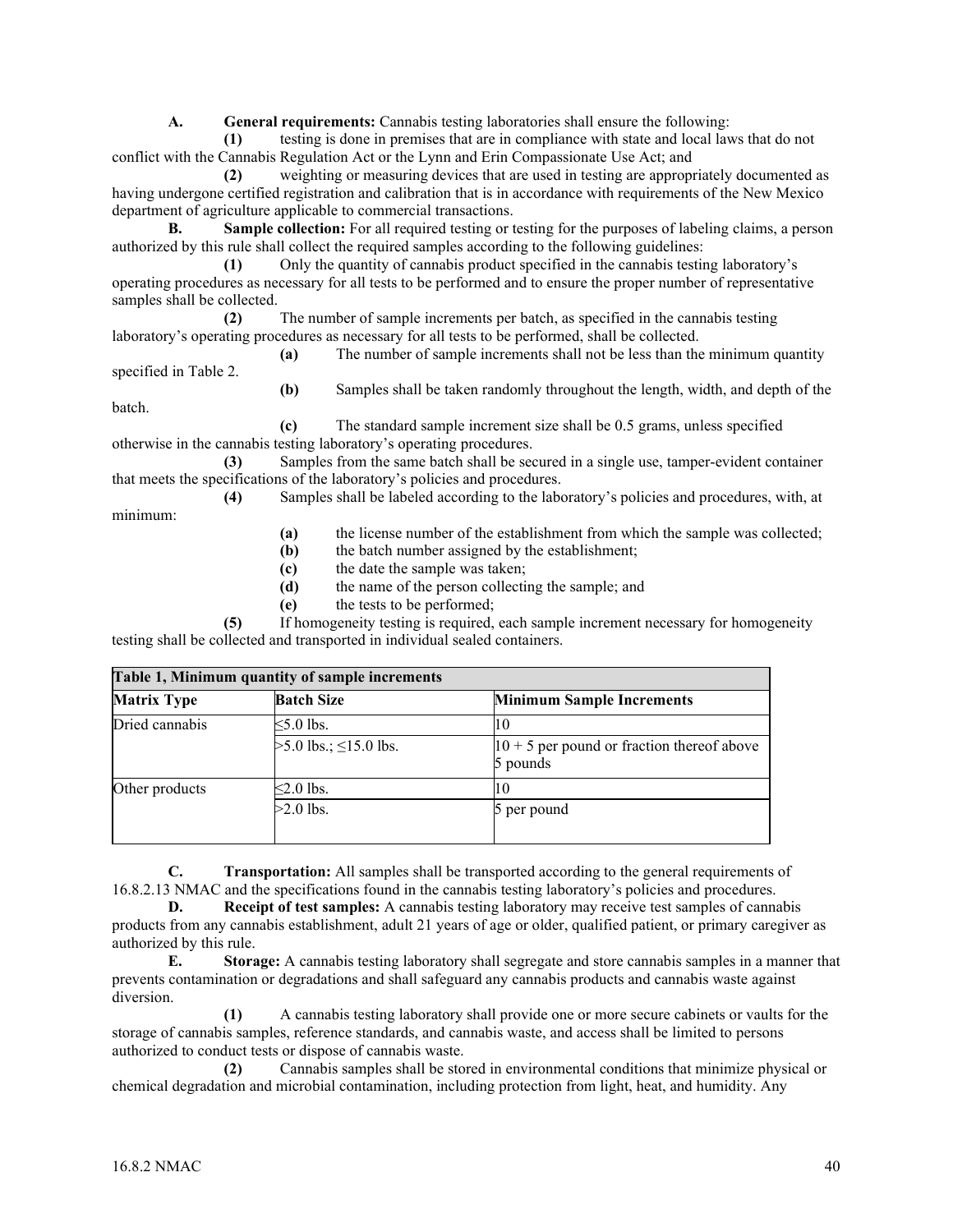**A. General requirements:** Cannabis testing laboratories shall ensure the following:

 **(1)** testing is done in premises that are in compliance with state and local laws that do not conflict with the Cannabis Regulation Act or the Lynn and Erin Compassionate Use Act; and

 **(2)** weighting or measuring devices that are used in testing are appropriately documented as having undergone certified registration and calibration that is in accordance with requirements of the New Mexico department of agriculture applicable to commercial transactions.

**B. Sample collection:** For all required testing or testing for the purposes of labeling claims, a person authorized by this rule shall collect the required samples according to the following guidelines:

 **(1)** Only the quantity of cannabis product specified in the cannabis testing laboratory's operating procedures as necessary for all tests to be performed and to ensure the proper number of representative samples shall be collected.

 **(2)** The number of sample increments per batch, as specified in the cannabis testing laboratory's operating procedures as necessary for all tests to be performed, shall be collected.

 **(a)** The number of sample increments shall not be less than the minimum quantity specified in Table 2.

 **(b)** Samples shall be taken randomly throughout the length, width, and depth of the batch.

 **(c)** The standard sample increment size shall be 0.5 grams, unless specified otherwise in the cannabis testing laboratory's operating procedures.

 **(3)** Samples from the same batch shall be secured in a single use, tamper-evident container that meets the specifications of the laboratory's policies and procedures.

**(4)** Samples shall be labeled according to the laboratory's policies and procedures, with, at

minimum:

**(a)** the license number of the establishment from which the sample was collected;

- **(b)** the batch number assigned by the establishment;
- **(c)** the date the sample was taken;
- **(d)** the name of the person collecting the sample; and
- **(e)** the tests to be performed;

 **(5)** If homogeneity testing is required, each sample increment necessary for homogeneity testing shall be collected and transported in individual sealed containers.

| Table 1, Minimum quantity of sample increments |                               |                                                            |
|------------------------------------------------|-------------------------------|------------------------------------------------------------|
| <b>Matrix Type</b>                             | <b>Batch Size</b>             | <b>Minimum Sample Increments</b>                           |
| Dried cannabis                                 | $<5.0$ lbs.                   | 10                                                         |
|                                                | $>5.0$ lbs.; $\leq$ 15.0 lbs. | $ 10 + 5 $ per pound or fraction thereof above<br>5 pounds |
| Other products                                 | $\leq$ 2.0 lbs.               | 10                                                         |
|                                                | $>2.0$ lbs.                   | 5 per pound                                                |

**C. Transportation:** All samples shall be transported according to the general requirements of 16.8.2.13 NMAC and the specifications found in the cannabis testing laboratory's policies and procedures.

**D. Receipt of test samples:** A cannabis testing laboratory may receive test samples of cannabis products from any cannabis establishment, adult 21 years of age or older, qualified patient, or primary caregiver as authorized by this rule.

**E. Storage:** A cannabis testing laboratory shall segregate and store cannabis samples in a manner that prevents contamination or degradations and shall safeguard any cannabis products and cannabis waste against diversion.

 **(1)** A cannabis testing laboratory shall provide one or more secure cabinets or vaults for the storage of cannabis samples, reference standards, and cannabis waste, and access shall be limited to persons authorized to conduct tests or dispose of cannabis waste.

 **(2)** Cannabis samples shall be stored in environmental conditions that minimize physical or chemical degradation and microbial contamination, including protection from light, heat, and humidity. Any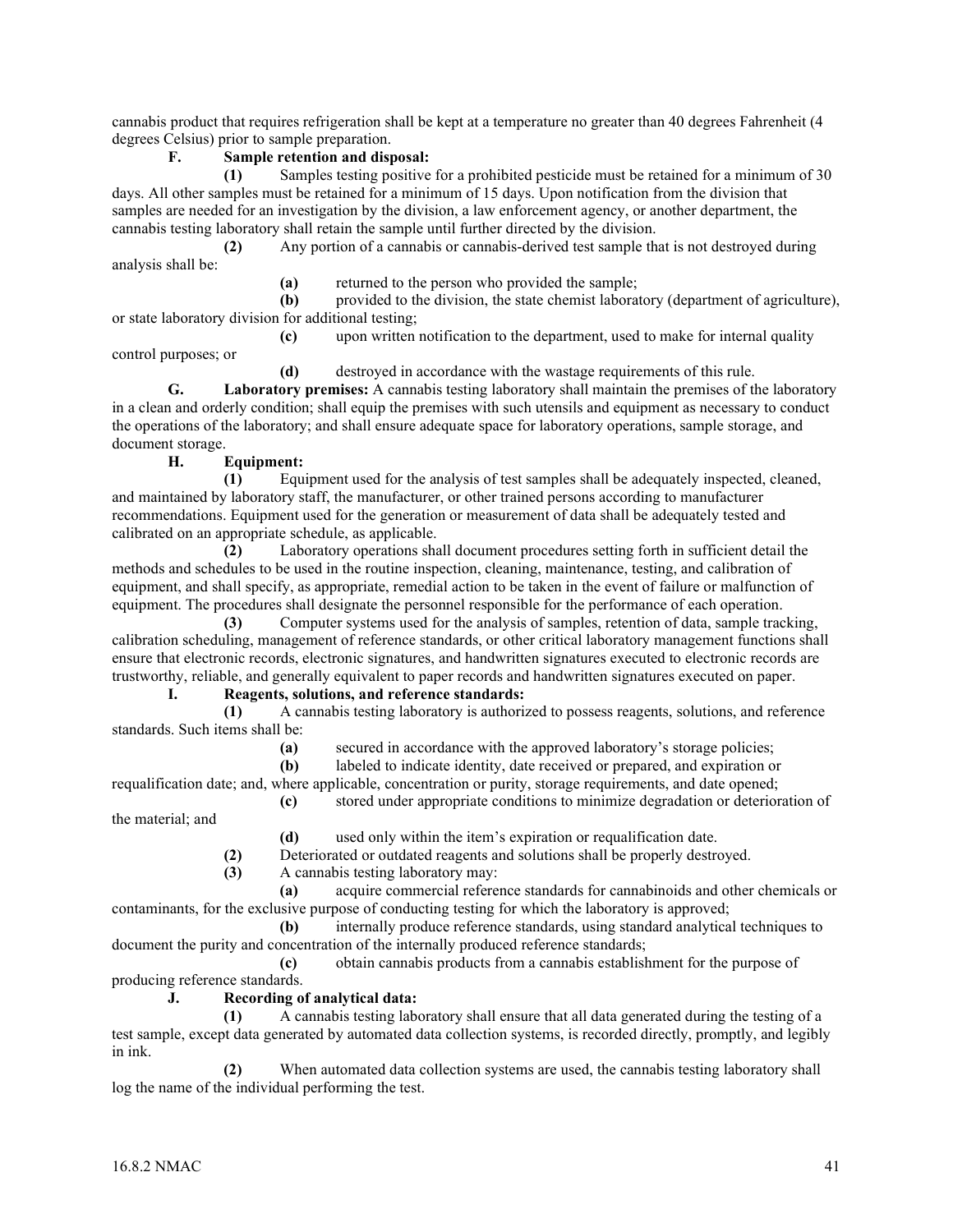cannabis product that requires refrigeration shall be kept at a temperature no greater than 40 degrees Fahrenheit (4 degrees Celsius) prior to sample preparation.

## **F. Sample retention and disposal:**

**(1)** Samples testing positive for a prohibited pesticide must be retained for a minimum of 30 days. All other samples must be retained for a minimum of 15 days. Upon notification from the division that samples are needed for an investigation by the division, a law enforcement agency, or another department, the cannabis testing laboratory shall retain the sample until further directed by the division.

**(2)** Any portion of a cannabis or cannabis-derived test sample that is not destroyed during analysis shall be:

**(a)** returned to the person who provided the sample;

**(b)** provided to the division, the state chemist laboratory (department of agriculture), or state laboratory division for additional testing;

**(c)** upon written notification to the department, used to make for internal quality

control purposes; or

**(d)** destroyed in accordance with the wastage requirements of this rule.

**G. Laboratory premises:** A cannabis testing laboratory shall maintain the premises of the laboratory in a clean and orderly condition; shall equip the premises with such utensils and equipment as necessary to conduct the operations of the laboratory; and shall ensure adequate space for laboratory operations, sample storage, and document storage.

## **H. Equipment:**

**(1)** Equipment used for the analysis of test samples shall be adequately inspected, cleaned, and maintained by laboratory staff, the manufacturer, or other trained persons according to manufacturer recommendations. Equipment used for the generation or measurement of data shall be adequately tested and calibrated on an appropriate schedule, as applicable.

**(2)** Laboratory operations shall document procedures setting forth in sufficient detail the methods and schedules to be used in the routine inspection, cleaning, maintenance, testing, and calibration of equipment, and shall specify, as appropriate, remedial action to be taken in the event of failure or malfunction of equipment. The procedures shall designate the personnel responsible for the performance of each operation.

**(3)** Computer systems used for the analysis of samples, retention of data, sample tracking, calibration scheduling, management of reference standards, or other critical laboratory management functions shall ensure that electronic records, electronic signatures, and handwritten signatures executed to electronic records are trustworthy, reliable, and generally equivalent to paper records and handwritten signatures executed on paper.

## **I. Reagents, solutions, and reference standards:**

**(1)** A cannabis testing laboratory is authorized to possess reagents, solutions, and reference standards. Such items shall be:

**(a)** secured in accordance with the approved laboratory's storage policies;

**(b)** labeled to indicate identity, date received or prepared, and expiration or

requalification date; and, where applicable, concentration or purity, storage requirements, and date opened; **(c)** stored under appropriate conditions to minimize degradation or deterioration of

the material; and

- **(d)** used only within the item's expiration or requalification date.
- **(2)** Deteriorated or outdated reagents and solutions shall be properly destroyed.
- **(3)** A cannabis testing laboratory may:

**(a)** acquire commercial reference standards for cannabinoids and other chemicals or contaminants, for the exclusive purpose of conducting testing for which the laboratory is approved;

**(b)** internally produce reference standards, using standard analytical techniques to document the purity and concentration of the internally produced reference standards;

**(c)** obtain cannabis products from a cannabis establishment for the purpose of producing reference standards.

## **J. Recording of analytical data:**

**(1)** A cannabis testing laboratory shall ensure that all data generated during the testing of a test sample, except data generated by automated data collection systems, is recorded directly, promptly, and legibly in ink.

**(2)** When automated data collection systems are used, the cannabis testing laboratory shall log the name of the individual performing the test.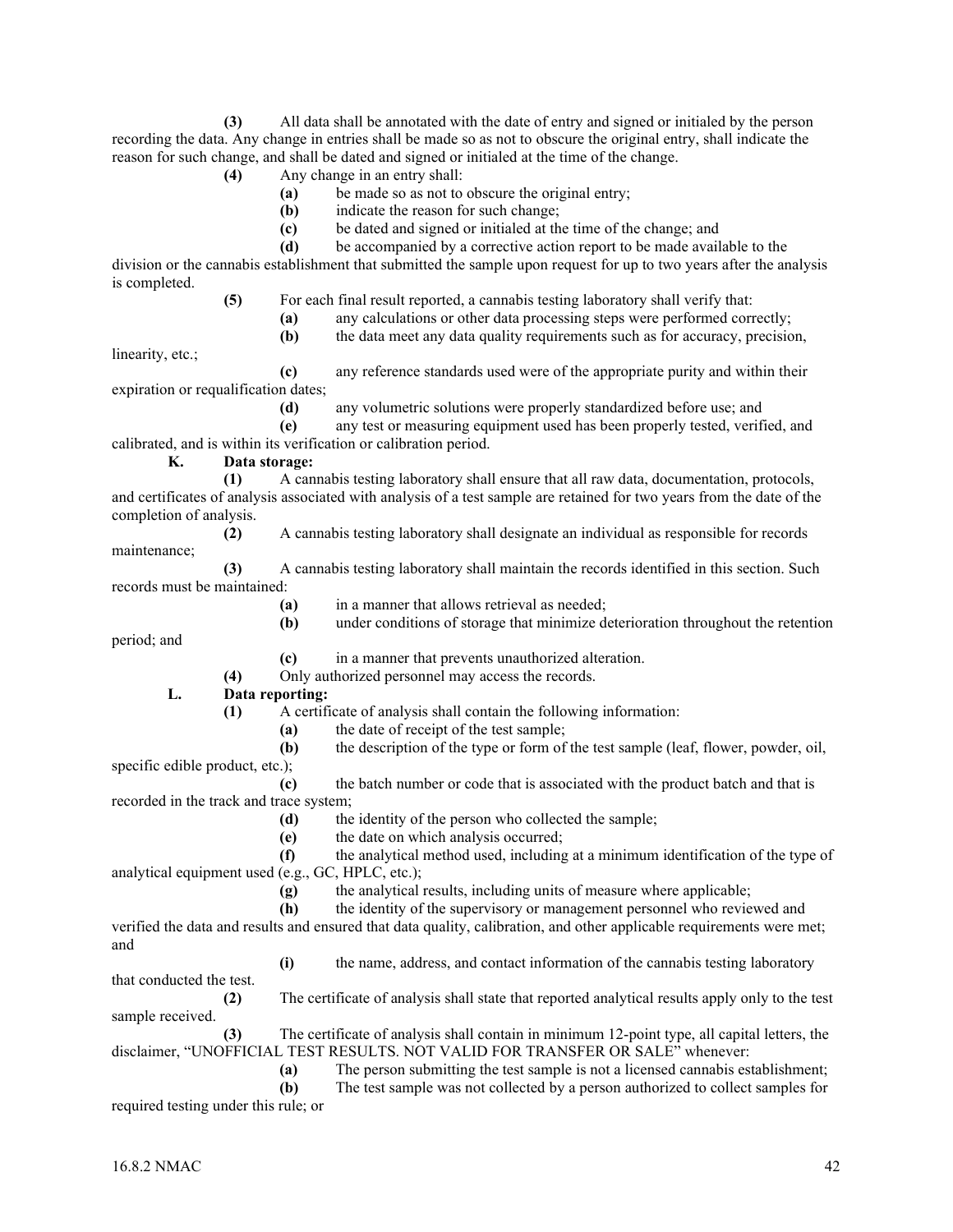**(3)** All data shall be annotated with the date of entry and signed or initialed by the person recording the data. Any change in entries shall be made so as not to obscure the original entry, shall indicate the reason for such change, and shall be dated and signed or initialed at the time of the change.

- **(4)** Any change in an entry shall:
	- **(a)** be made so as not to obscure the original entry;
	- **(b)** indicate the reason for such change;
	- **(c)** be dated and signed or initialed at the time of the change; and
	- **(d)** be accompanied by a corrective action report to be made available to the

division or the cannabis establishment that submitted the sample upon request for up to two years after the analysis is completed.

**(5)** For each final result reported, a cannabis testing laboratory shall verify that:

- **(a)** any calculations or other data processing steps were performed correctly;
- **(b)** the data meet any data quality requirements such as for accuracy, precision,

linearity, etc.;

**(c)** any reference standards used were of the appropriate purity and within their expiration or requalification dates;

**(d)** any volumetric solutions were properly standardized before use; and

**(e)** any test or measuring equipment used has been properly tested, verified, and calibrated, and is within its verification or calibration period.

**K. Data storage:**

- **(1)** A cannabis testing laboratory shall ensure that all raw data, documentation, protocols, and certificates of analysis associated with analysis of a test sample are retained for two years from the date of the completion of analysis.
- **(2)** A cannabis testing laboratory shall designate an individual as responsible for records maintenance;
- **(3)** A cannabis testing laboratory shall maintain the records identified in this section. Such records must be maintained:
	- **(a)** in a manner that allows retrieval as needed;
	- **(b)** under conditions of storage that minimize deterioration throughout the retention

period; and

- **(c)** in a manner that prevents unauthorized alteration.
- **(4)** Only authorized personnel may access the records.
- **L. Data reporting:**
	- **(1)** A certificate of analysis shall contain the following information:
		- **(a)** the date of receipt of the test sample;
- **(b)** the description of the type or form of the test sample (leaf, flower, powder, oil, specific edible product, etc.);
- **(c)** the batch number or code that is associated with the product batch and that is recorded in the track and trace system;
	- **(d)** the identity of the person who collected the sample;
	- **(e)** the date on which analysis occurred;
- **(f)** the analytical method used, including at a minimum identification of the type of analytical equipment used (e.g., GC, HPLC, etc.);
	- **(g)** the analytical results, including units of measure where applicable;
	- **(h)** the identity of the supervisory or management personnel who reviewed and

verified the data and results and ensured that data quality, calibration, and other applicable requirements were met; and

**(i)** the name, address, and contact information of the cannabis testing laboratory

that conducted the test.

**(2)** The certificate of analysis shall state that reported analytical results apply only to the test sample received.

**(3)** The certificate of analysis shall contain in minimum 12-point type, all capital letters, the disclaimer, "UNOFFICIAL TEST RESULTS. NOT VALID FOR TRANSFER OR SALE" whenever:

**(a)** The person submitting the test sample is not a licensed cannabis establishment;

**(b)** The test sample was not collected by a person authorized to collect samples for required testing under this rule; or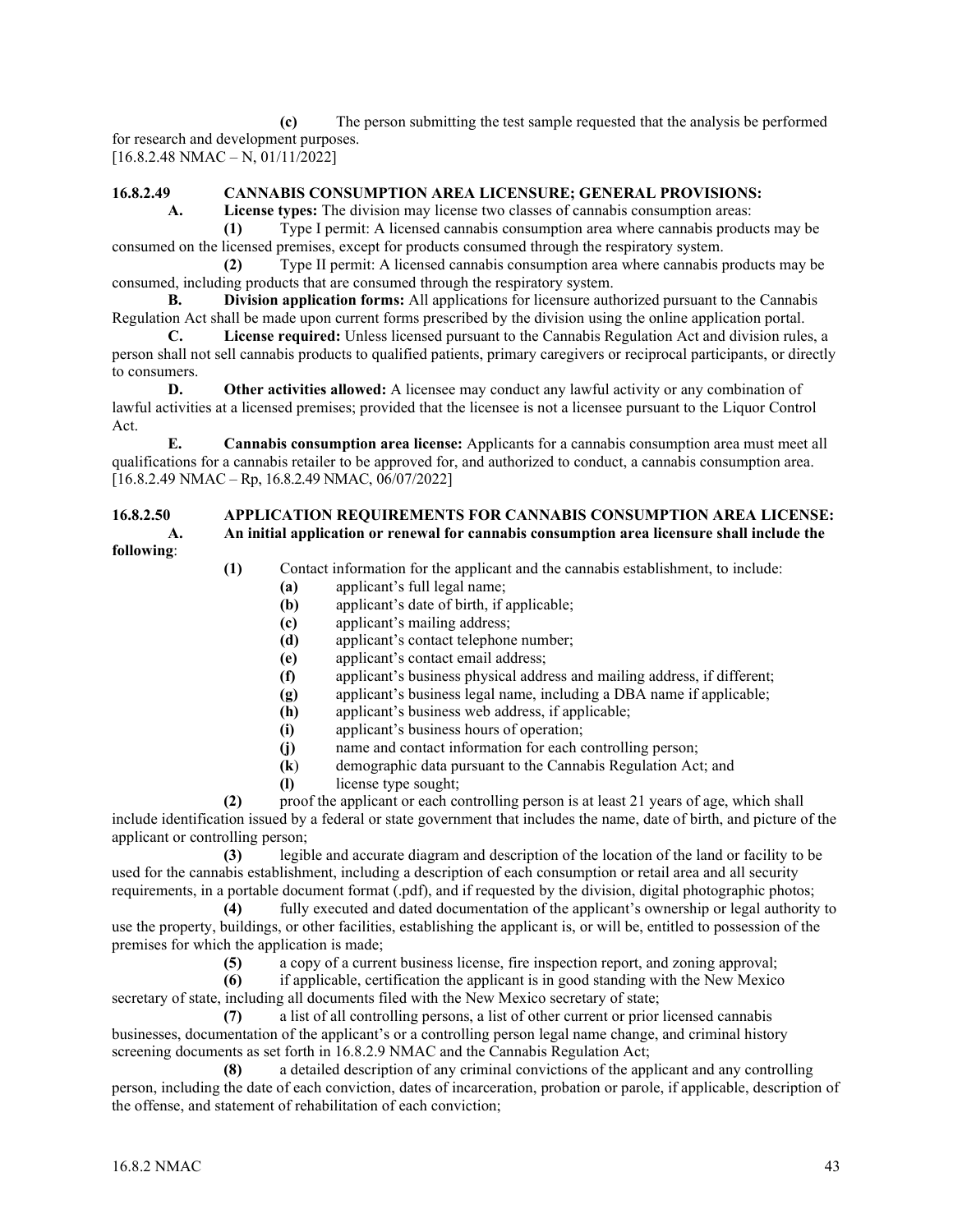**(c)** The person submitting the test sample requested that the analysis be performed for research and development purposes. [16.8.2.48 NMAC – N, 01/11/2022]

#### **16.8.2.49 CANNABIS CONSUMPTION AREA LICENSURE; GENERAL PROVISIONS:**

**A. License types:** The division may license two classes of cannabis consumption areas:

**(1)** Type I permit: A licensed cannabis consumption area where cannabis products may be consumed on the licensed premises, except for products consumed through the respiratory system.

**(2)** Type II permit: A licensed cannabis consumption area where cannabis products may be consumed, including products that are consumed through the respiratory system.

**B. Division application forms:** All applications for licensure authorized pursuant to the Cannabis Regulation Act shall be made upon current forms prescribed by the division using the online application portal.

**C. License required:** Unless licensed pursuant to the Cannabis Regulation Act and division rules, a person shall not sell cannabis products to qualified patients, primary caregivers or reciprocal participants, or directly to consumers.

**D. Other activities allowed:** A licensee may conduct any lawful activity or any combination of lawful activities at a licensed premises; provided that the licensee is not a licensee pursuant to the Liquor Control Act.

**E. Cannabis consumption area license:** Applicants for a cannabis consumption area must meet all qualifications for a cannabis retailer to be approved for, and authorized to conduct, a cannabis consumption area.  $[16.8.2.49 \text{ NMAC} - \text{Rp}, 16.8.2.49 \text{ NMAC}, 06/07/2022]$ 

## **16.8.2.50 APPLICATION REQUIREMENTS FOR CANNABIS CONSUMPTION AREA LICENSE: A. An initial application or renewal for cannabis consumption area licensure shall include the**

**following**:

- **(1)** Contact information for the applicant and the cannabis establishment, to include:
	- **(a)** applicant's full legal name;
	- **(b)** applicant's date of birth, if applicable;
	- **(c)** applicant's mailing address;
	- **(d)** applicant's contact telephone number;
	- **(e)** applicant's contact email address;
	- **(f)** applicant's business physical address and mailing address, if different;
	- **(g)** applicant's business legal name, including a DBA name if applicable;
	- **(h)** applicant's business web address, if applicable;
	- **(i)** applicant's business hours of operation;
	- **(j)** name and contact information for each controlling person;
	- **(k**) demographic data pursuant to the Cannabis Regulation Act; and
	- **(l)** license type sought;

**(2)** proof the applicant or each controlling person is at least 21 years of age, which shall include identification issued by a federal or state government that includes the name, date of birth, and picture of the applicant or controlling person;

**(3)** legible and accurate diagram and description of the location of the land or facility to be used for the cannabis establishment, including a description of each consumption or retail area and all security requirements, in a portable document format (.pdf), and if requested by the division, digital photographic photos;

**(4)** fully executed and dated documentation of the applicant's ownership or legal authority to use the property, buildings, or other facilities, establishing the applicant is, or will be, entitled to possession of the premises for which the application is made;

**(5)** a copy of a current business license, fire inspection report, and zoning approval;

**(6)** if applicable, certification the applicant is in good standing with the New Mexico

secretary of state, including all documents filed with the New Mexico secretary of state;

**(7)** a list of all controlling persons, a list of other current or prior licensed cannabis businesses, documentation of the applicant's or a controlling person legal name change, and criminal history screening documents as set forth in 16.8.2.9 NMAC and the Cannabis Regulation Act;

**(8)** a detailed description of any criminal convictions of the applicant and any controlling person, including the date of each conviction, dates of incarceration, probation or parole, if applicable, description of the offense, and statement of rehabilitation of each conviction;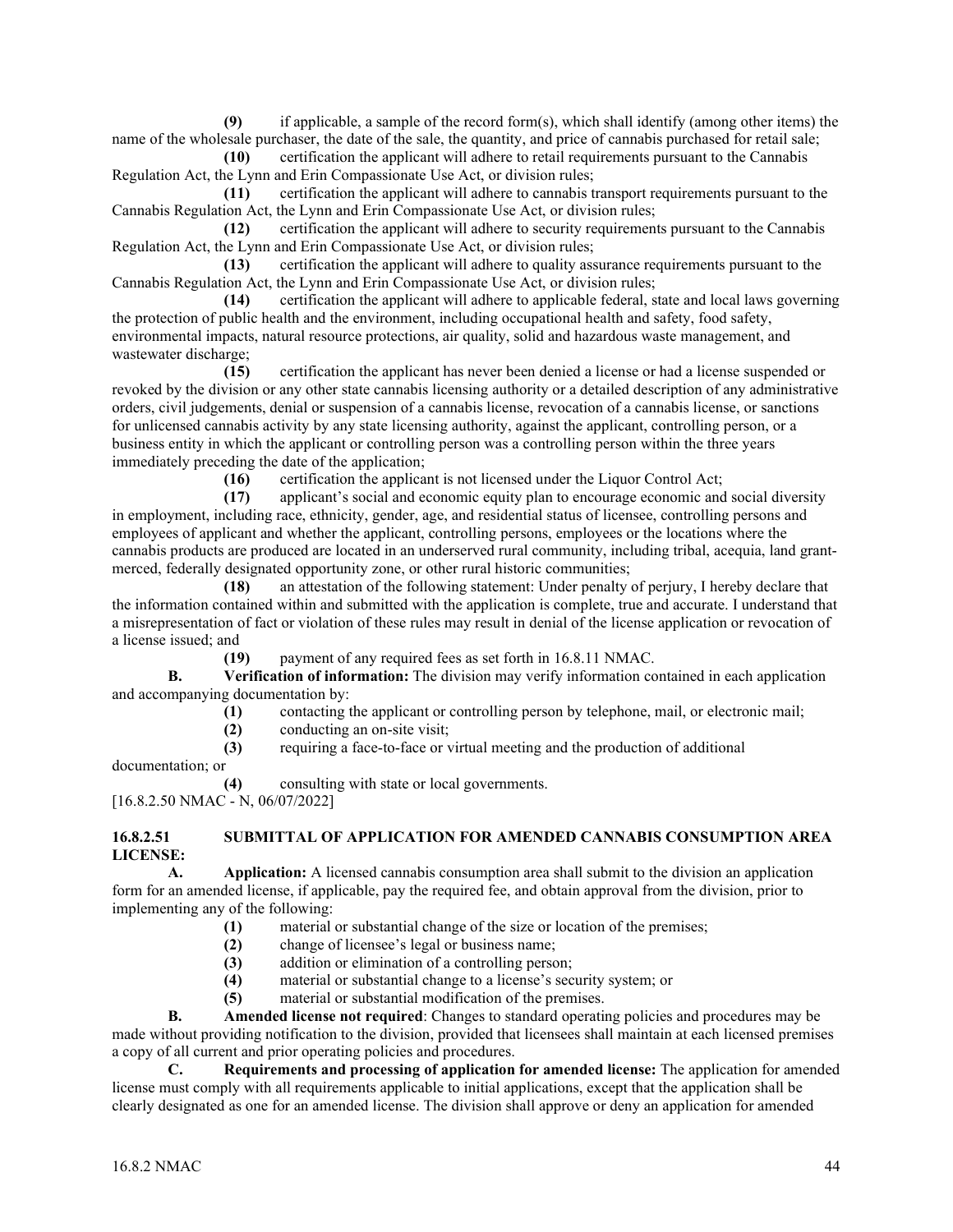**(9)** if applicable, a sample of the record form(s), which shall identify (among other items) the name of the wholesale purchaser, the date of the sale, the quantity, and price of cannabis purchased for retail sale;

**(10)** certification the applicant will adhere to retail requirements pursuant to the Cannabis Regulation Act, the Lynn and Erin Compassionate Use Act, or division rules;

**(11)** certification the applicant will adhere to cannabis transport requirements pursuant to the Cannabis Regulation Act, the Lynn and Erin Compassionate Use Act, or division rules;

**(12)** certification the applicant will adhere to security requirements pursuant to the Cannabis Regulation Act, the Lynn and Erin Compassionate Use Act, or division rules;<br>(13) certification the applicant will adhere to quality ass

**(13)** certification the applicant will adhere to quality assurance requirements pursuant to the Cannabis Regulation Act, the Lynn and Erin Compassionate Use Act, or division rules;

**(14)** certification the applicant will adhere to applicable federal, state and local laws governing the protection of public health and the environment, including occupational health and safety, food safety, environmental impacts, natural resource protections, air quality, solid and hazardous waste management, and wastewater discharge;

**(15)** certification the applicant has never been denied a license or had a license suspended or revoked by the division or any other state cannabis licensing authority or a detailed description of any administrative orders, civil judgements, denial or suspension of a cannabis license, revocation of a cannabis license, or sanctions for unlicensed cannabis activity by any state licensing authority, against the applicant, controlling person, or a business entity in which the applicant or controlling person was a controlling person within the three years immediately preceding the date of the application;

**(16)** certification the applicant is not licensed under the Liquor Control Act;

**(17)** applicant's social and economic equity plan to encourage economic and social diversity in employment, including race, ethnicity, gender, age, and residential status of licensee, controlling persons and employees of applicant and whether the applicant, controlling persons, employees or the locations where the cannabis products are produced are located in an underserved rural community, including tribal, acequia, land grantmerced, federally designated opportunity zone, or other rural historic communities;

**(18)** an attestation of the following statement: Under penalty of perjury, I hereby declare that the information contained within and submitted with the application is complete, true and accurate. I understand that a misrepresentation of fact or violation of these rules may result in denial of the license application or revocation of a license issued; and

**(19)** payment of any required fees as set forth in 16.8.11 NMAC.

**B. Verification of information:** The division may verify information contained in each application and accompanying documentation by:

- **(1)** contacting the applicant or controlling person by telephone, mail, or electronic mail;
- **(2)** conducting an on-site visit;
- **(3)** requiring a face-to-face or virtual meeting and the production of additional

documentation; or

**(4)** consulting with state or local governments.

[16.8.2.50 NMAC - N, 06/07/2022]

#### **16.8.2.51 SUBMITTAL OF APPLICATION FOR AMENDED CANNABIS CONSUMPTION AREA LICENSE:**

**A. Application:** A licensed cannabis consumption area shall submit to the division an application form for an amended license, if applicable, pay the required fee, and obtain approval from the division, prior to implementing any of the following:

- **(1)** material or substantial change of the size or location of the premises;
- **(2)** change of licensee's legal or business name;
- **(3)** addition or elimination of a controlling person;
- **(4)** material or substantial change to a license's security system; or
- **(5)** material or substantial modification of the premises.

**B. Amended license not required**: Changes to standard operating policies and procedures may be made without providing notification to the division, provided that licensees shall maintain at each licensed premises a copy of all current and prior operating policies and procedures.

**C. Requirements and processing of application for amended license:** The application for amended license must comply with all requirements applicable to initial applications, except that the application shall be clearly designated as one for an amended license. The division shall approve or deny an application for amended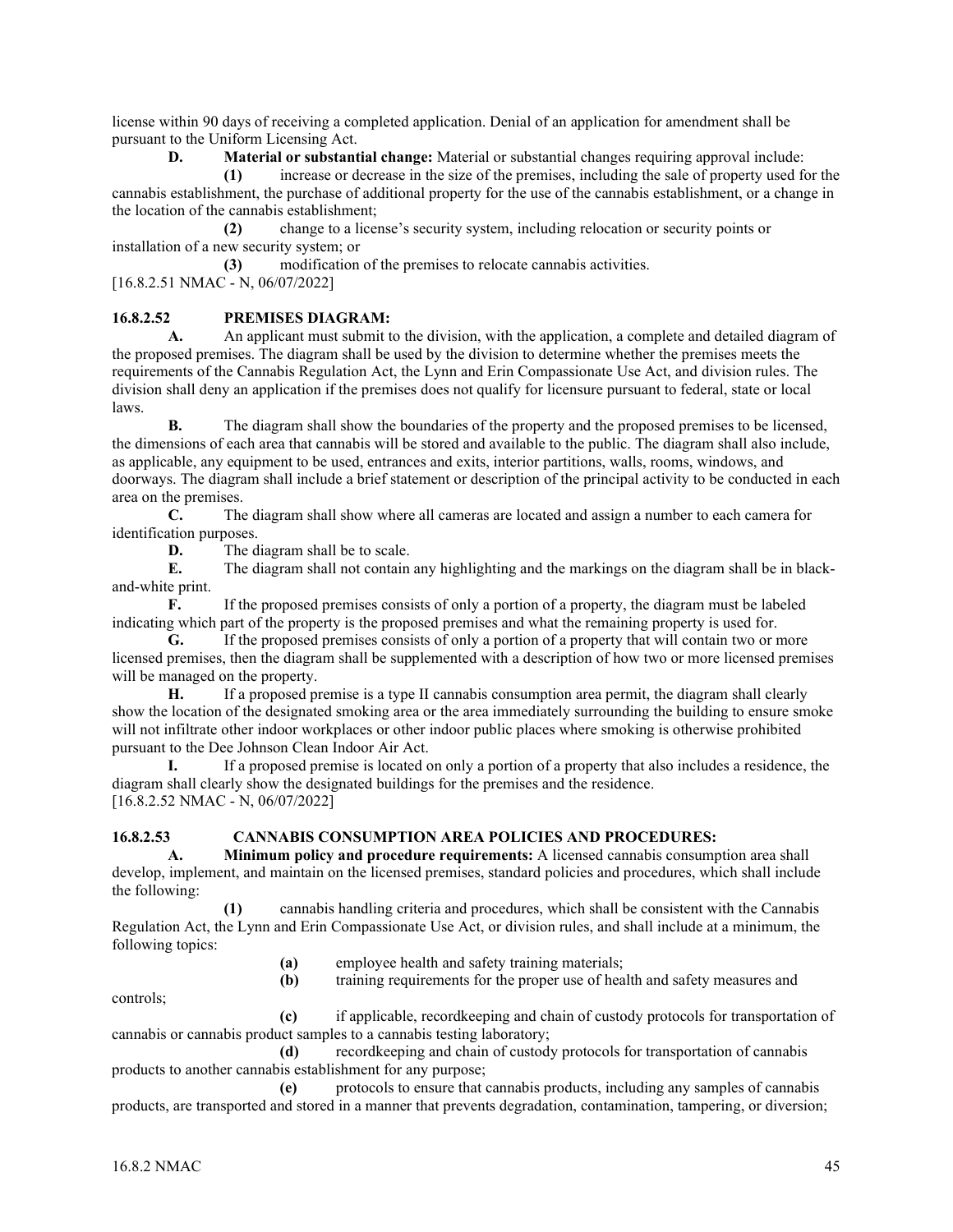license within 90 days of receiving a completed application. Denial of an application for amendment shall be pursuant to the Uniform Licensing Act.

**D. Material or substantial change:** Material or substantial changes requiring approval include:<br>(1) increase or decrease in the size of the premises, including the sale of property used for

**(1)** increase or decrease in the size of the premises, including the sale of property used for the cannabis establishment, the purchase of additional property for the use of the cannabis establishment, or a change in the location of the cannabis establishment;

**(2)** change to a license's security system, including relocation or security points or installation of a new security system; or

**(3)** modification of the premises to relocate cannabis activities. [16.8.2.51 NMAC - N, 06/07/2022]

## **16.8.2.52 PREMISES DIAGRAM:**

**A.** An applicant must submit to the division, with the application, a complete and detailed diagram of the proposed premises. The diagram shall be used by the division to determine whether the premises meets the requirements of the Cannabis Regulation Act, the Lynn and Erin Compassionate Use Act, and division rules. The division shall deny an application if the premises does not qualify for licensure pursuant to federal, state or local laws.

**B.** The diagram shall show the boundaries of the property and the proposed premises to be licensed, the dimensions of each area that cannabis will be stored and available to the public. The diagram shall also include, as applicable, any equipment to be used, entrances and exits, interior partitions, walls, rooms, windows, and doorways. The diagram shall include a brief statement or description of the principal activity to be conducted in each area on the premises.

**C.** The diagram shall show where all cameras are located and assign a number to each camera for identification purposes.

**D.** The diagram shall be to scale.

**E.** The diagram shall not contain any highlighting and the markings on the diagram shall be in blackand-white print.

**F.** If the proposed premises consists of only a portion of a property, the diagram must be labeled indicating which part of the property is the proposed premises and what the remaining property is used for.

**G.** If the proposed premises consists of only a portion of a property that will contain two or more licensed premises, then the diagram shall be supplemented with a description of how two or more licensed premises will be managed on the property.

**H.** If a proposed premise is a type II cannabis consumption area permit, the diagram shall clearly show the location of the designated smoking area or the area immediately surrounding the building to ensure smoke will not infiltrate other indoor workplaces or other indoor public places where smoking is otherwise prohibited pursuant to the Dee Johnson Clean Indoor Air Act.

**I.** If a proposed premise is located on only a portion of a property that also includes a residence, the diagram shall clearly show the designated buildings for the premises and the residence. [16.8.2.52 NMAC - N, 06/07/2022]

## **16.8.2.53 CANNABIS CONSUMPTION AREA POLICIES AND PROCEDURES:**

**A. Minimum policy and procedure requirements:** A licensed cannabis consumption area shall develop, implement, and maintain on the licensed premises, standard policies and procedures, which shall include the following:

**(1)** cannabis handling criteria and procedures, which shall be consistent with the Cannabis Regulation Act, the Lynn and Erin Compassionate Use Act, or division rules, and shall include at a minimum, the following topics:

- **(a)** employee health and safety training materials;
- **(b)** training requirements for the proper use of health and safety measures and

controls;

**(c)** if applicable, recordkeeping and chain of custody protocols for transportation of cannabis or cannabis product samples to a cannabis testing laboratory;

**(d)** recordkeeping and chain of custody protocols for transportation of cannabis products to another cannabis establishment for any purpose;

**(e)** protocols to ensure that cannabis products, including any samples of cannabis products, are transported and stored in a manner that prevents degradation, contamination, tampering, or diversion;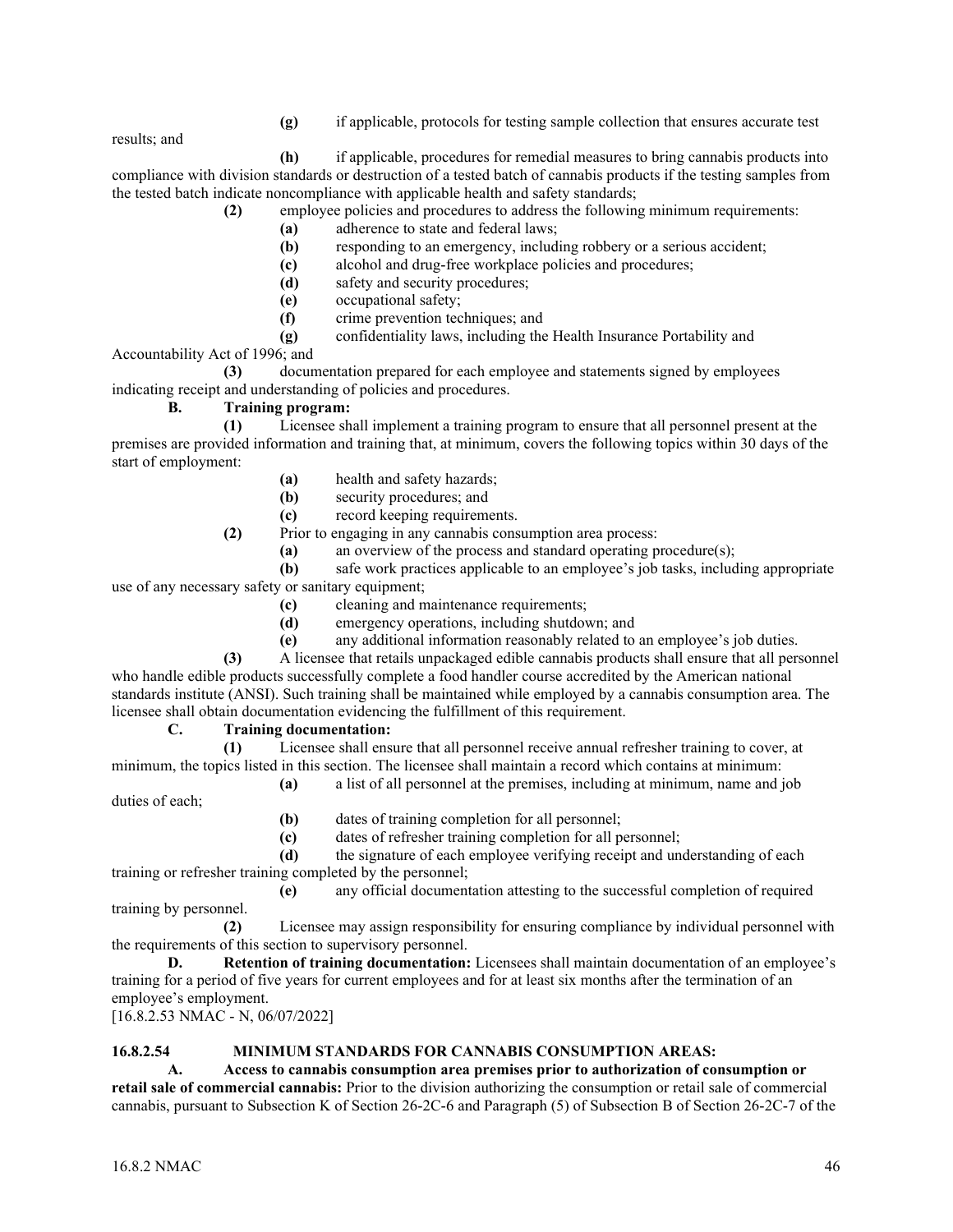**(g)** if applicable, protocols for testing sample collection that ensures accurate test

results; and

**(h)** if applicable, procedures for remedial measures to bring cannabis products into compliance with division standards or destruction of a tested batch of cannabis products if the testing samples from the tested batch indicate noncompliance with applicable health and safety standards;

- **(2)** employee policies and procedures to address the following minimum requirements:
	- **(a)** adherence to state and federal laws;
	- **(b)** responding to an emergency, including robbery or a serious accident;
	- **(c)** alcohol and drug-free workplace policies and procedures;
	- **(d)** safety and security procedures;
	- **(e)** occupational safety;
	- **(f)** crime prevention techniques; and

**(g)** confidentiality laws, including the Health Insurance Portability and

Accountability Act of 1996; and

**(3)** documentation prepared for each employee and statements signed by employees indicating receipt and understanding of policies and procedures.

## **B. Training program:**

**(1)** Licensee shall implement a training program to ensure that all personnel present at the premises are provided information and training that, at minimum, covers the following topics within 30 days of the start of employment:

- **(a)** health and safety hazards;
- **(b)** security procedures; and
- **(c)** record keeping requirements.
- **(2)** Prior to engaging in any cannabis consumption area process:
	- **(a)** an overview of the process and standard operating procedure(s);

**(b)** safe work practices applicable to an employee's job tasks, including appropriate use of any necessary safety or sanitary equipment;

- **(c)** cleaning and maintenance requirements;
- **(d)** emergency operations, including shutdown; and
- **(e)** any additional information reasonably related to an employee's job duties.

**(3)** A licensee that retails unpackaged edible cannabis products shall ensure that all personnel who handle edible products successfully complete a food handler course accredited by the American national standards institute (ANSI). Such training shall be maintained while employed by a cannabis consumption area. The licensee shall obtain documentation evidencing the fulfillment of this requirement.

## **C. Training documentation:**

**(1)** Licensee shall ensure that all personnel receive annual refresher training to cover, at minimum, the topics listed in this section. The licensee shall maintain a record which contains at minimum:

**(a)** a list of all personnel at the premises, including at minimum, name and job duties of each;

**(b)** dates of training completion for all personnel;

**(c)** dates of refresher training completion for all personnel;

**(d)** the signature of each employee verifying receipt and understanding of each training or refresher training completed by the personnel;

**(e)** any official documentation attesting to the successful completion of required training by personnel.

**(2)** Licensee may assign responsibility for ensuring compliance by individual personnel with the requirements of this section to supervisory personnel.

**D. Retention of training documentation:** Licensees shall maintain documentation of an employee's training for a period of five years for current employees and for at least six months after the termination of an employee's employment. [16.8.2.53 NMAC - N, 06/07/2022]

## **16.8.2.54 MINIMUM STANDARDS FOR CANNABIS CONSUMPTION AREAS:**

**A. Access to cannabis consumption area premises prior to authorization of consumption or** 

**retail sale of commercial cannabis:** Prior to the division authorizing the consumption or retail sale of commercial cannabis, pursuant to Subsection K of Section 26-2C-6 and Paragraph (5) of Subsection B of Section 26-2C-7 of the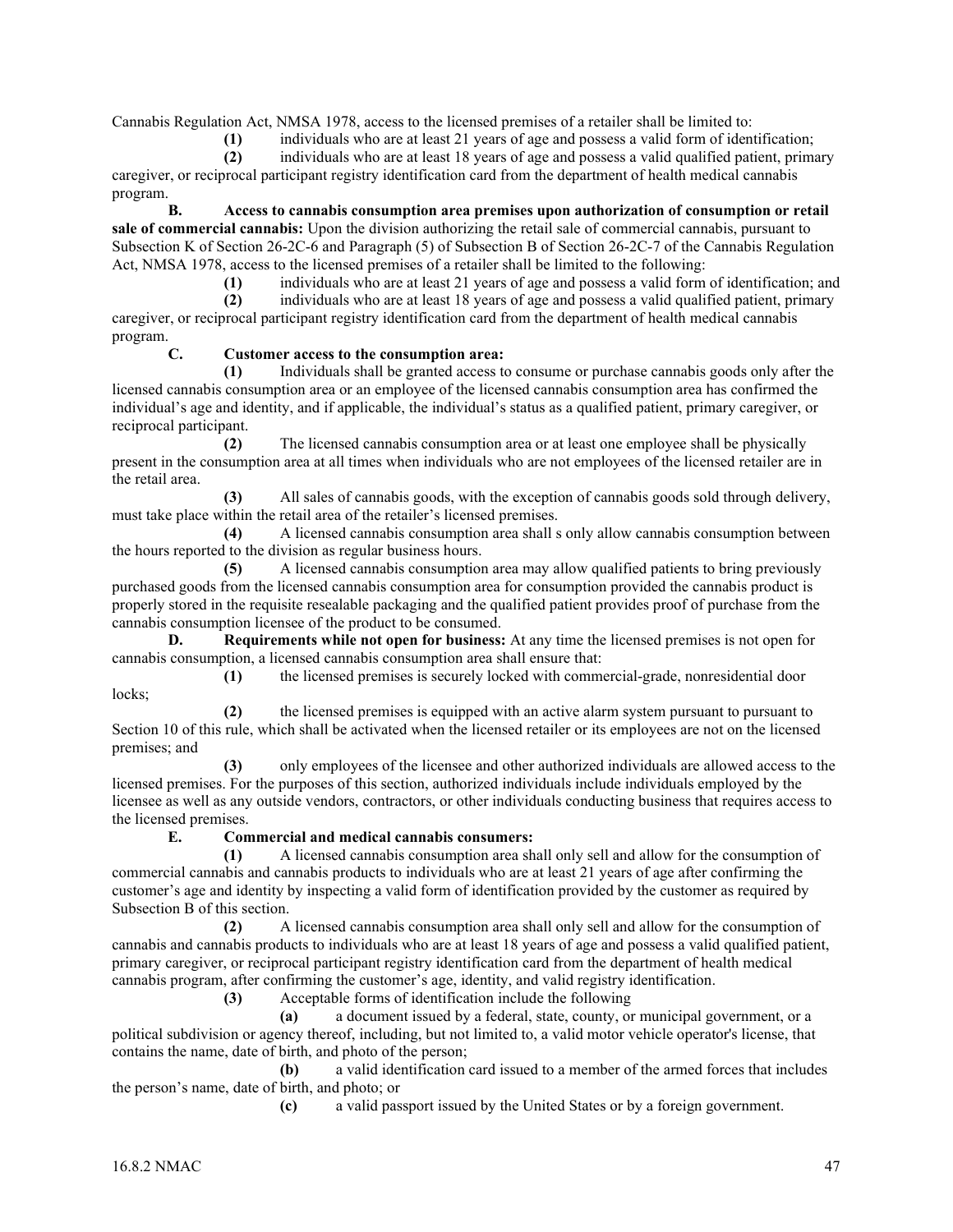Cannabis Regulation Act, NMSA 1978, access to the licensed premises of a retailer shall be limited to:

**(1)** individuals who are at least 21 years of age and possess a valid form of identification;

**(2)** individuals who are at least 18 years of age and possess a valid qualified patient, primary caregiver, or reciprocal participant registry identification card from the department of health medical cannabis program.

**B. Access to cannabis consumption area premises upon authorization of consumption or retail sale of commercial cannabis:** Upon the division authorizing the retail sale of commercial cannabis, pursuant to Subsection K of Section 26-2C-6 and Paragraph (5) of Subsection B of Section 26-2C-7 of the Cannabis Regulation Act, NMSA 1978, access to the licensed premises of a retailer shall be limited to the following:

**(1)** individuals who are at least 21 years of age and possess a valid form of identification; and

**(2)** individuals who are at least 18 years of age and possess a valid qualified patient, primary caregiver, or reciprocal participant registry identification card from the department of health medical cannabis program.

## **C. Customer access to the consumption area:**

**(1)** Individuals shall be granted access to consume or purchase cannabis goods only after the licensed cannabis consumption area or an employee of the licensed cannabis consumption area has confirmed the individual's age and identity, and if applicable, the individual's status as a qualified patient, primary caregiver, or reciprocal participant.

**(2)** The licensed cannabis consumption area or at least one employee shall be physically present in the consumption area at all times when individuals who are not employees of the licensed retailer are in the retail area.

**(3)** All sales of cannabis goods, with the exception of cannabis goods sold through delivery, must take place within the retail area of the retailer's licensed premises.

**(4)** A licensed cannabis consumption area shall s only allow cannabis consumption between the hours reported to the division as regular business hours.

**(5)** A licensed cannabis consumption area may allow qualified patients to bring previously purchased goods from the licensed cannabis consumption area for consumption provided the cannabis product is properly stored in the requisite resealable packaging and the qualified patient provides proof of purchase from the cannabis consumption licensee of the product to be consumed.

**D. Requirements while not open for business:** At any time the licensed premises is not open for cannabis consumption, a licensed cannabis consumption area shall ensure that:

**(1)** the licensed premises is securely locked with commercial-grade, nonresidential door locks;

**(2)** the licensed premises is equipped with an active alarm system pursuant to pursuant to Section 10 of this rule, which shall be activated when the licensed retailer or its employees are not on the licensed premises; and

**(3)** only employees of the licensee and other authorized individuals are allowed access to the licensed premises. For the purposes of this section, authorized individuals include individuals employed by the licensee as well as any outside vendors, contractors, or other individuals conducting business that requires access to the licensed premises.

## **E. Commercial and medical cannabis consumers:**

**(1)** A licensed cannabis consumption area shall only sell and allow for the consumption of commercial cannabis and cannabis products to individuals who are at least 21 years of age after confirming the customer's age and identity by inspecting a valid form of identification provided by the customer as required by Subsection B of this section.

**(2)** A licensed cannabis consumption area shall only sell and allow for the consumption of cannabis and cannabis products to individuals who are at least 18 years of age and possess a valid qualified patient, primary caregiver, or reciprocal participant registry identification card from the department of health medical cannabis program, after confirming the customer's age, identity, and valid registry identification.

**(3)** Acceptable forms of identification include the following

**(a)** a document issued by a federal, state, county, or municipal government, or a political subdivision or agency thereof, including, but not limited to, a valid motor vehicle operator's license, that contains the name, date of birth, and photo of the person;

**(b)** a valid identification card issued to a member of the armed forces that includes the person's name, date of birth, and photo; or

**(c)** a valid passport issued by the United States or by a foreign government.